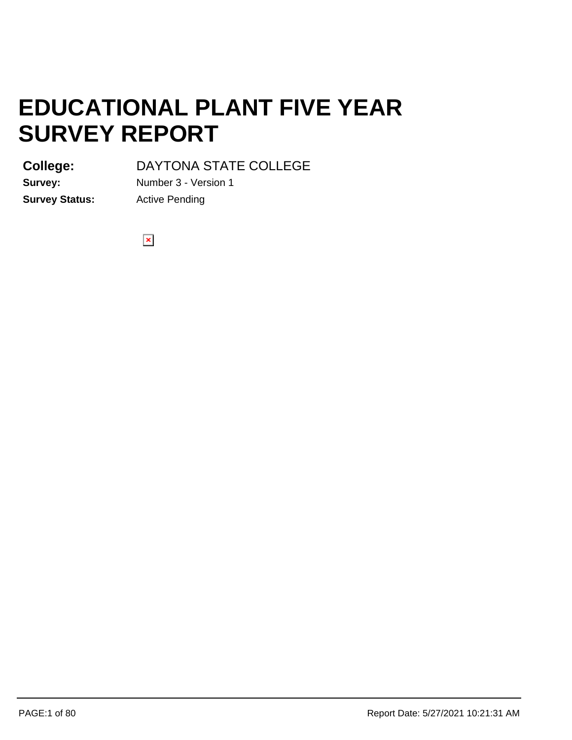**College:**

DAYTONA STATE COLLEGE

**Survey Status:** Active Pending

**Survey:** Number 3 - Version 1

 $\pmb{\times}$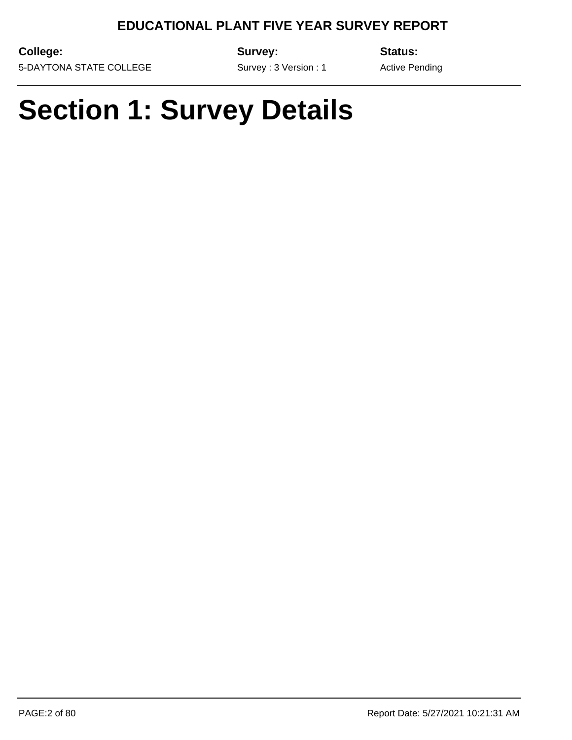**College:**

**Survey:**

**Status:**

5-DAYTONA STATE COLLEGE

Survey : 3 Version : 1

Active Pending

# **Section 1: Survey Details**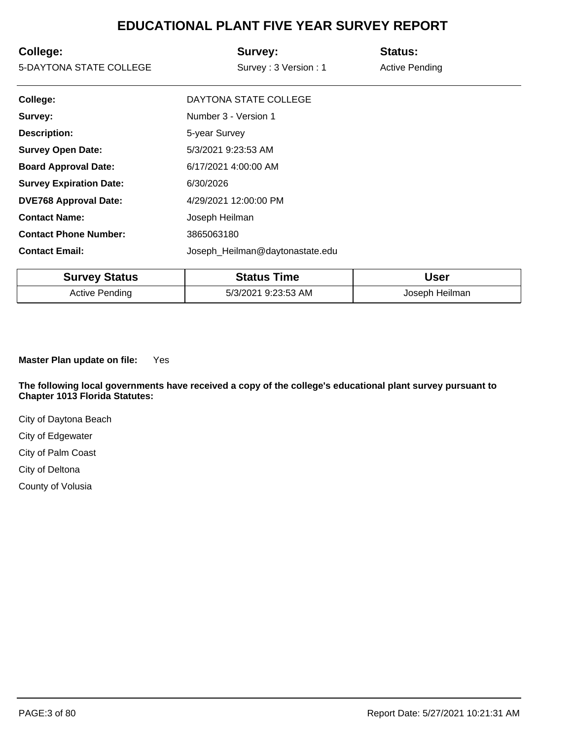| College:<br>5-DAYTONA STATE COLLEGE | Survey:<br>Survey: 3 Version: 1 | <b>Status:</b><br><b>Active Pending</b> |
|-------------------------------------|---------------------------------|-----------------------------------------|
| College:                            | DAYTONA STATE COLLEGE           |                                         |
| Survey:                             | Number 3 - Version 1            |                                         |
| <b>Description:</b>                 | 5-year Survey                   |                                         |
| <b>Survey Open Date:</b>            | 5/3/2021 9:23:53 AM             |                                         |
| <b>Board Approval Date:</b>         | 6/17/2021 4:00:00 AM            |                                         |
| <b>Survey Expiration Date:</b>      | 6/30/2026                       |                                         |
| <b>DVE768 Approval Date:</b>        | 4/29/2021 12:00:00 PM           |                                         |
| <b>Contact Name:</b>                | Joseph Heilman                  |                                         |
| <b>Contact Phone Number:</b>        | 3865063180                      |                                         |
| <b>Contact Email:</b>               | Joseph_Heilman@daytonastate.edu |                                         |

| <b>Survey Status</b>  | <b>Status Time</b>  | <b>User</b>    |  |
|-----------------------|---------------------|----------------|--|
| <b>Active Pending</b> | 5/3/2021 9:23:53 AM | Joseph Heilman |  |

**Master Plan update on file:**  Yes

**The following local governments have received a copy of the college's educational plant survey pursuant to Chapter 1013 Florida Statutes:**

City of Daytona Beach

City of Edgewater

City of Palm Coast

City of Deltona

County of Volusia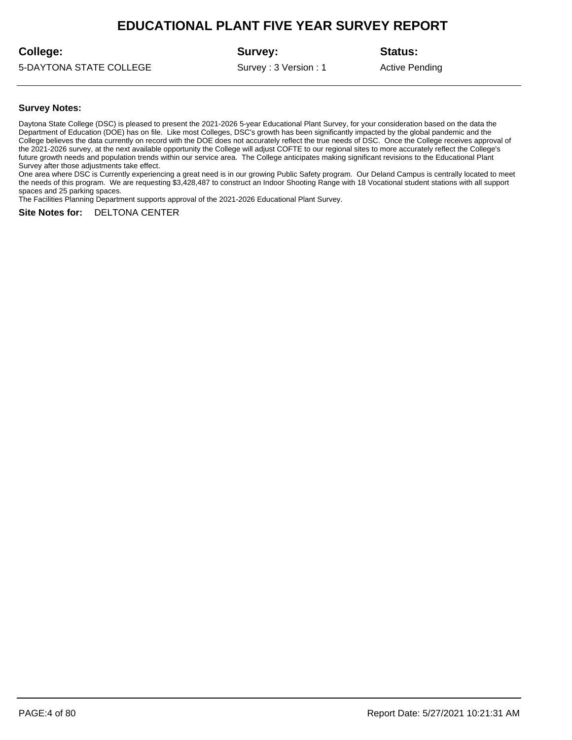### **College:**

**Survey:**

5-DAYTONA STATE COLLEGE

Survey : 3 Version : 1

**Status:**

Active Pending

#### **Survey Notes:**

Daytona State College (DSC) is pleased to present the 2021-2026 5-year Educational Plant Survey, for your consideration based on the data the Department of Education (DOE) has on file. Like most Colleges, DSC's growth has been significantly impacted by the global pandemic and the College believes the data currently on record with the DOE does not accurately reflect the true needs of DSC. Once the College receives approval of the 2021-2026 survey, at the next available opportunity the College will adjust COFTE to our regional sites to more accurately reflect the College's future growth needs and population trends within our service area. The College anticipates making significant revisions to the Educational Plant Survey after those adjustments take effect.

One area where DSC is Currently experiencing a great need is in our growing Public Safety program. Our Deland Campus is centrally located to meet the needs of this program. We are requesting \$3,428,487 to construct an Indoor Shooting Range with 18 Vocational student stations with all support spaces and 25 parking spaces.

The Facilities Planning Department supports approval of the 2021-2026 Educational Plant Survey.

#### **Site Notes for:** DELTONA CENTER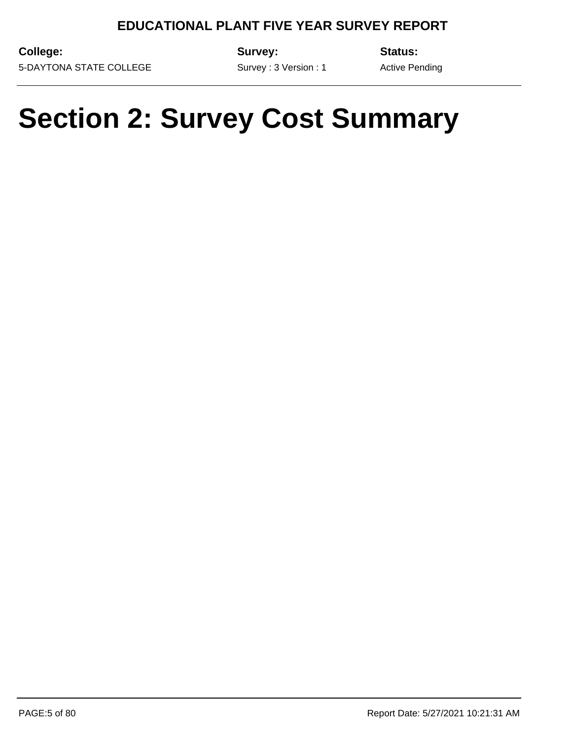**College:** 5-DAYTONA STATE COLLEGE **Survey:**

Survey : 3 Version : 1

**Status:** Active Pending

# **Section 2: Survey Cost Summary**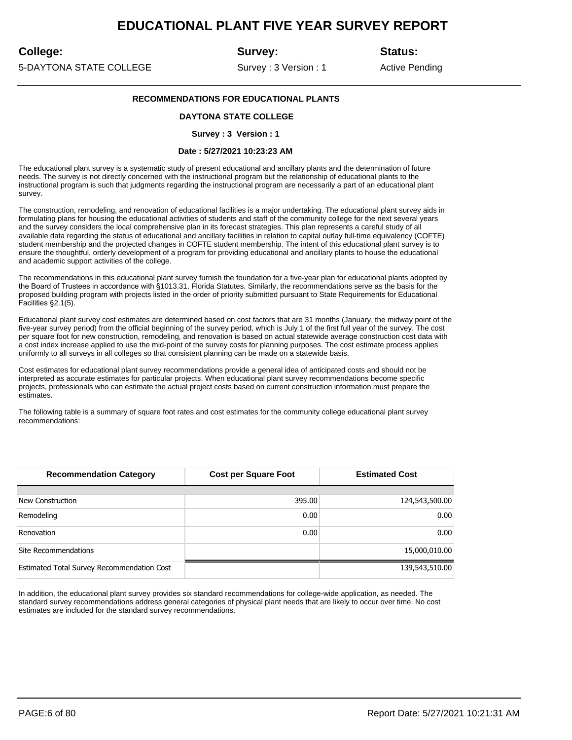### **College:**

**Survey:**

**Status:**

5-DAYTONA STATE COLLEGE

Survey : 3 Version : 1

Active Pending

#### **RECOMMENDATIONS FOR EDUCATIONAL PLANTS**

#### **DAYTONA STATE COLLEGE**

#### **Survey : 3 Version : 1**

#### **Date : 5/27/2021 10:23:23 AM**

The educational plant survey is a systematic study of present educational and ancillary plants and the determination of future needs. The survey is not directly concerned with the instructional program but the relationship of educational plants to the instructional program is such that judgments regarding the instructional program are necessarily a part of an educational plant survey.

The construction, remodeling, and renovation of educational facilities is a major undertaking. The educational plant survey aids in formulating plans for housing the educational activities of students and staff of the community college for the next several years and the survey considers the local comprehensive plan in its forecast strategies. This plan represents a careful study of all available data regarding the status of educational and ancillary facilities in relation to capital outlay full-time equivalency (COFTE) student membership and the projected changes in COFTE student membership. The intent of this educational plant survey is to ensure the thoughtful, orderly development of a program for providing educational and ancillary plants to house the educational and academic support activities of the college.

The recommendations in this educational plant survey furnish the foundation for a five-year plan for educational plants adopted by the Board of Trustees in accordance with §1013.31, Florida Statutes. Similarly, the recommendations serve as the basis for the proposed building program with projects listed in the order of priority submitted pursuant to State Requirements for Educational Facilities §2.1(5).

Educational plant survey cost estimates are determined based on cost factors that are 31 months (January, the midway point of the five-year survey period) from the official beginning of the survey period, which is July 1 of the first full year of the survey. The cost per square foot for new construction, remodeling, and renovation is based on actual statewide average construction cost data with a cost index increase applied to use the mid-point of the survey costs for planning purposes. The cost estimate process applies uniformly to all surveys in all colleges so that consistent planning can be made on a statewide basis.

Cost estimates for educational plant survey recommendations provide a general idea of anticipated costs and should not be interpreted as accurate estimates for particular projects. When educational plant survey recommendations become specific projects, professionals who can estimate the actual project costs based on current construction information must prepare the estimates.

The following table is a summary of square foot rates and cost estimates for the community college educational plant survey recommendations:

| <b>Recommendation Category</b>             | <b>Cost per Square Foot</b> | <b>Estimated Cost</b> |
|--------------------------------------------|-----------------------------|-----------------------|
|                                            |                             |                       |
| New Construction                           | 395.00                      | 124,543,500.00        |
| Remodeling                                 | 0.00                        | 0.00                  |
| Renovation                                 | 0.00                        | 0.00                  |
| Site Recommendations                       |                             | 15,000,010.00         |
| Estimated Total Survey Recommendation Cost |                             | 139,543,510.00        |

In addition, the educational plant survey provides six standard recommendations for college-wide application, as needed. The standard survey recommendations address general categories of physical plant needs that are likely to occur over time. No cost estimates are included for the standard survey recommendations.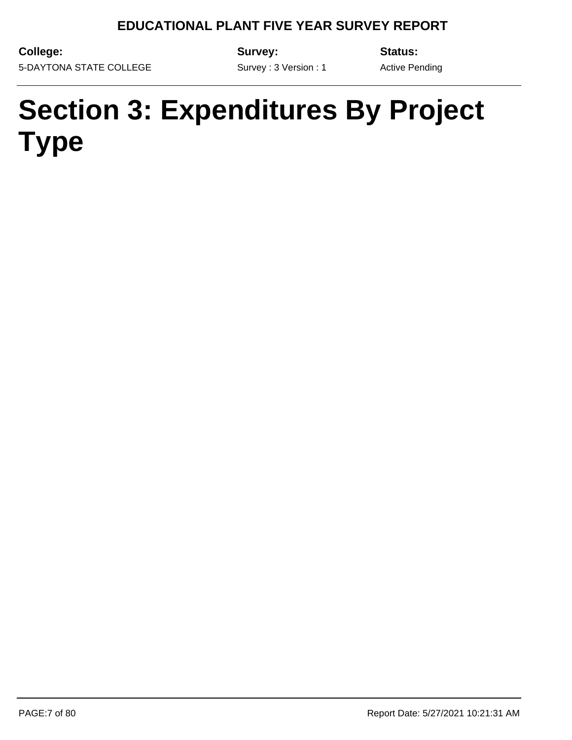**College:** 5-DAYTONA STATE COLLEGE **Survey:**

**Status:**

Survey : 3 Version : 1

Active Pending

# **Section 3: Expenditures By Project Type**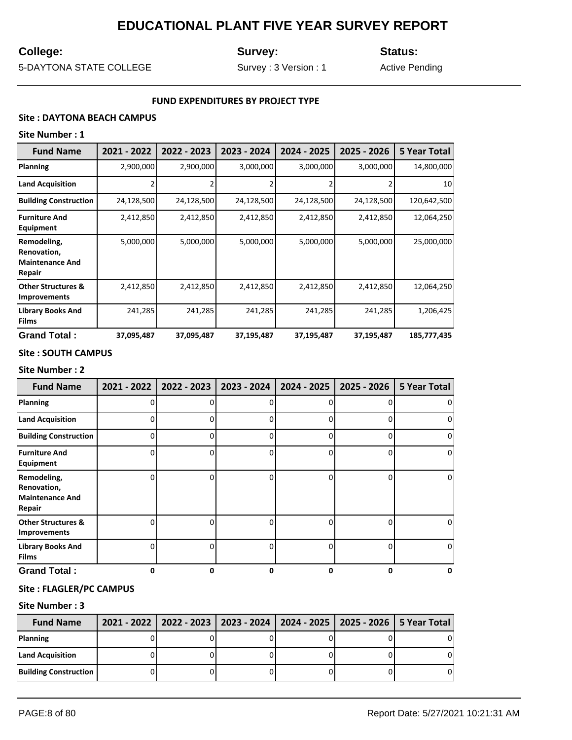## **College:**

**Survey:**

**Status:**

5-DAYTONA STATE COLLEGE

Survey : 3 Version : 1

Active Pending

#### **FUND EXPENDITURES BY PROJECT TYPE**

### **Site : DAYTONA BEACH CAMPUS**

### **Site Number : 1**

| <b>Fund Name</b>                                               | 2021 - 2022 | 2022 - 2023 | 2023 - 2024 | 2024 - 2025 | 2025 - 2026 | 5 Year Total |
|----------------------------------------------------------------|-------------|-------------|-------------|-------------|-------------|--------------|
| <b>Planning</b>                                                | 2,900,000   | 2,900,000   | 3,000,000   | 3,000,000   | 3,000,000   | 14,800,000   |
| <b>Land Acquisition</b>                                        |             |             |             |             |             | 10           |
| <b>Building Construction</b>                                   | 24,128,500  | 24,128,500  | 24,128,500  | 24,128,500  | 24,128,500  | 120,642,500  |
| <b>Furniture And</b><br>Equipment                              | 2,412,850   | 2,412,850   | 2,412,850   | 2,412,850   | 2,412,850   | 12,064,250   |
| Remodeling,<br>Renovation,<br><b>Maintenance And</b><br>Repair | 5,000,000   | 5,000,000   | 5,000,000   | 5,000,000   | 5,000,000   | 25,000,000   |
| <b>Other Structures &amp;</b><br><b>Improvements</b>           | 2,412,850   | 2,412,850   | 2,412,850   | 2,412,850   | 2,412,850   | 12,064,250   |
| <b>Library Books And</b><br><b>Films</b>                       | 241,285     | 241,285     | 241,285     | 241,285     | 241,285     | 1,206,425    |
| <b>Grand Total:</b>                                            | 37,095,487  | 37,095,487  | 37,195,487  | 37,195,487  | 37,195,487  | 185,777,435  |

#### **Site : SOUTH CAMPUS**

#### **Site Number : 2**

| <b>Fund Name</b>                                               | 2021 - 2022 | 2022 - 2023 | 2023 - 2024 | 2024 - 2025 | 2025 - 2026 | 5 Year Total   |
|----------------------------------------------------------------|-------------|-------------|-------------|-------------|-------------|----------------|
| Planning                                                       |             |             |             | n           |             | $\overline{0}$ |
| <b>Land Acquisition</b>                                        |             |             |             |             |             | $\overline{0}$ |
| <b>Building Construction</b>                                   |             | n           | ი           | 0           | 0           | $\overline{0}$ |
| <b>Furniture And</b><br>Equipment                              |             |             | ŋ           | ŋ           | U           | $\overline{0}$ |
| Remodeling,<br>Renovation,<br><b>Maintenance And</b><br>Repair |             |             |             | n           | U           | $\overline{0}$ |
| <b>Other Structures &amp;</b><br><b>Improvements</b>           |             |             |             | n           | U           | $\overline{0}$ |
| <b>Library Books And</b><br><b>Films</b>                       |             |             |             | 0           | 0           | $\overline{0}$ |
| <b>Grand Total:</b>                                            | 0           | 0           | 0           | 0           | 0           | 0              |

### **Site : FLAGLER/PC CAMPUS**

| <b>Fund Name</b>             | 2021 - 2022   2022 - 2023   2023 - 2024   2024 - 2025   2025 - 2026   5 Year Total |  |   |
|------------------------------|------------------------------------------------------------------------------------|--|---|
| Planning                     |                                                                                    |  |   |
| Land Acquisition             |                                                                                    |  |   |
| <b>Building Construction</b> |                                                                                    |  | 0 |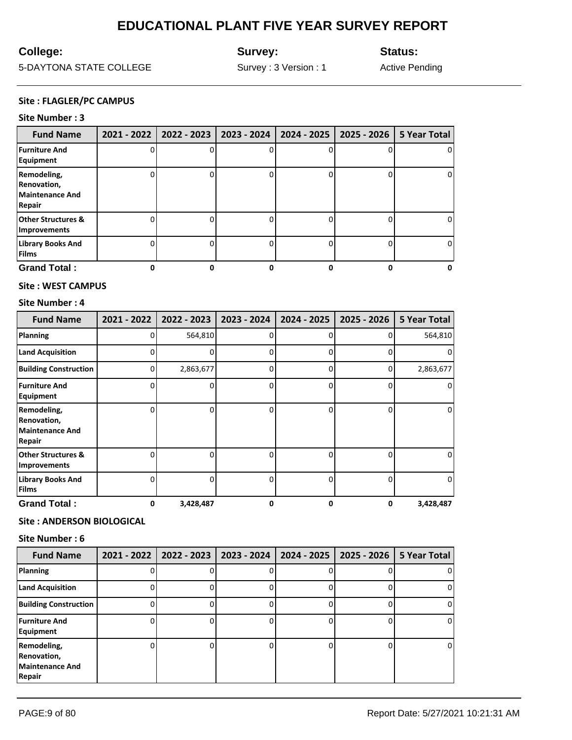## **College:**

**Survey:**

**Status:**

5-DAYTONA STATE COLLEGE

Survey : 3 Version : 1

Active Pending

#### **Site : FLAGLER/PC CAMPUS**

#### **Site Number : 3**

| <b>Fund Name</b>                                               |   | 2021 - 2022   2022 - 2023 | 2023 - 2024   2024 - 2025 |   | 2025 - 2026   5 Year Total |
|----------------------------------------------------------------|---|---------------------------|---------------------------|---|----------------------------|
| <b>Furniture And</b><br>Equipment                              |   |                           |                           |   | 0                          |
| Remodeling,<br>Renovation,<br><b>Maintenance And</b><br>Repair |   |                           |                           | 0 | 0                          |
| <b>Other Structures &amp;</b><br><b>Improvements</b>           |   |                           |                           |   | 0                          |
| <b>Library Books And</b><br><b>Films</b>                       |   |                           |                           |   | 0                          |
| <b>Grand Total:</b>                                            | ŋ |                           |                           |   | o                          |

#### **Site : WEST CAMPUS**

#### **Site Number : 4**

| <b>Fund Name</b>                                               | 2021 - 2022 | 2022 - 2023 | 2023 - 2024 | 2024 - 2025 | 2025 - 2026 | <b>5 Year Total</b> |
|----------------------------------------------------------------|-------------|-------------|-------------|-------------|-------------|---------------------|
| Planning                                                       | 0           | 564,810     | ŋ           | O           | ŋ           | 564,810             |
| <b>Land Acquisition</b>                                        | 0           |             | $\Omega$    | 0           | 0           | 0                   |
| <b>Building Construction</b>                                   | 0           | 2,863,677   | 0           | 0           | 0           | 2,863,677           |
| <b>Furniture And</b><br>Equipment                              | 0           |             |             | ŋ           | 0           | 0                   |
| Remodeling,<br>Renovation,<br><b>Maintenance And</b><br>Repair | ი           | ŋ           | 0           | 0           | 0           | 0                   |
| <b>Other Structures &amp;</b><br><b>Improvements</b>           | U           | ŋ           | n           | ŋ           | 0           | 0                   |
| <b>Library Books And</b><br><b>Films</b>                       | 0           | n           | ი           | O           | 0           | 0                   |
| <b>Grand Total:</b>                                            | 0           | 3,428,487   | 0           | 0           | 0           | 3,428,487           |

#### **Site : ANDERSON BIOLOGICAL**

| <b>Fund Name</b>                                               | 2021 - 2022 | 2022 - 2023 | 2023 - 2024 | 2024 - 2025 | 2025 - 2026 | 5 Year Total |
|----------------------------------------------------------------|-------------|-------------|-------------|-------------|-------------|--------------|
| <b>Planning</b>                                                |             |             |             |             |             | U            |
| <b>Land Acquisition</b>                                        |             |             |             |             |             | O            |
| <b>Building Construction</b>                                   |             |             |             |             |             | O            |
| <b>Furniture And</b><br>Equipment                              |             |             |             |             |             | 0            |
| Remodeling,<br>Renovation,<br><b>Maintenance And</b><br>Repair |             |             |             |             |             | 0            |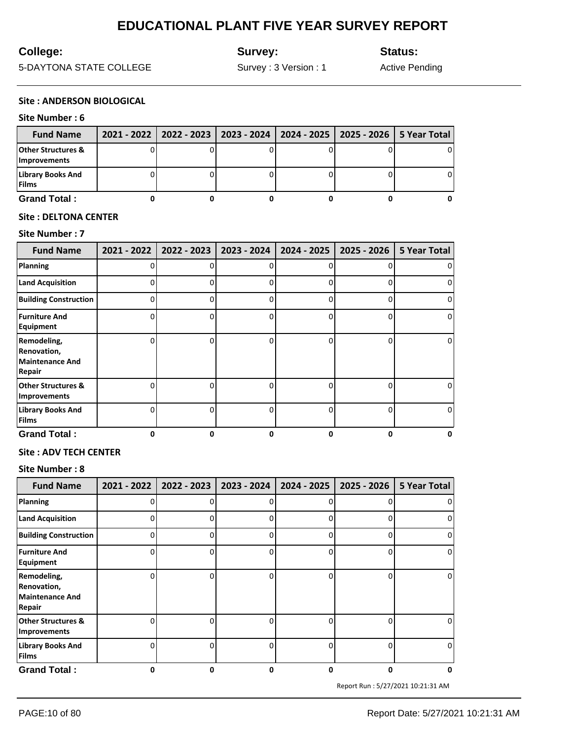## **College:**

**Survey:**

**Status:**

5-DAYTONA STATE COLLEGE

Survey : 3 Version : 1

Active Pending

#### **Site : ANDERSON BIOLOGICAL**

#### **Site Number : 6**

| <b>Fund Name</b>                         | 2021 - 2022   2022 - 2023   2023 - 2024   2024 - 2025   2025 - 2026   5 Year Total |  |   |
|------------------------------------------|------------------------------------------------------------------------------------|--|---|
| Other Structures &<br>Improvements       |                                                                                    |  | 0 |
| <b>Library Books And</b><br><b>Films</b> |                                                                                    |  | 0 |
| <b>Grand Total:</b>                      |                                                                                    |  |   |

#### **Site : DELTONA CENTER**

#### **Site Number : 7**

| <b>Fund Name</b>                                                      | $2021 - 2022$ | 2022 - 2023 | 2023 - 2024 | 2024 - 2025 | 2025 - 2026  | <b>5 Year Total</b> |
|-----------------------------------------------------------------------|---------------|-------------|-------------|-------------|--------------|---------------------|
| Planning                                                              | U             | n           |             |             | ŋ            | 0                   |
| <b>Land Acquisition</b>                                               |               |             |             |             |              | 0                   |
| <b>Building Construction</b>                                          | 0             | ŋ           |             | ი           | 0            | 0                   |
| <b>Furniture And</b><br>Equipment                                     | 0             | n           |             | ი           | 0            | 0                   |
| Remodeling,<br>Renovation,<br><b>Maintenance And</b><br><b>Repair</b> | O             | ŋ           |             | n           | <sup>0</sup> | 0                   |
| <b>Other Structures &amp;</b><br><b>Improvements</b>                  | O             | ŋ           |             | ი           | 0            | 0                   |
| <b>Library Books And</b><br><b>Films</b>                              | n             | n           |             |             | <sup>0</sup> | 0                   |
| <b>Grand Total:</b>                                                   | n             | 0           | ŋ           | 0           | 0            | $\Omega$            |

#### **Site : ADV TECH CENTER**

#### **Site Number : 8**

| <b>Fund Name</b>                                               | $2021 - 2022$ | 2022 - 2023 | 2023 - 2024 | 2024 - 2025  | 2025 - 2026  | 5 Year Total   |
|----------------------------------------------------------------|---------------|-------------|-------------|--------------|--------------|----------------|
| Planning                                                       |               |             |             | 0            |              | 0              |
| <b>Land Acquisition</b>                                        | n             |             | ი           | 0            | 0            | $\overline{0}$ |
| <b>Building Construction</b>                                   |               |             | ი           | $\Omega$     | 0            | $\overline{0}$ |
| <b>Furniture And</b><br>Equipment                              |               |             | n           | $\Omega$     | 0            | $\overline{0}$ |
| Remodeling,<br>Renovation,<br><b>Maintenance And</b><br>Repair |               |             |             | $\Omega$     | 0            | $\overline{0}$ |
| <b>Other Structures &amp;</b><br><b>Improvements</b>           | n             |             | ი           | O            | U            | $\overline{0}$ |
| <b>Library Books And</b><br><b>Films</b>                       | ∩             |             | n           | <sup>0</sup> | <sup>0</sup> | $\overline{0}$ |
| <b>Grand Total:</b>                                            | 0             | 0           | 0           | 0            | 0            | 0              |

Report Run : 5/27/2021 10:21:31 AM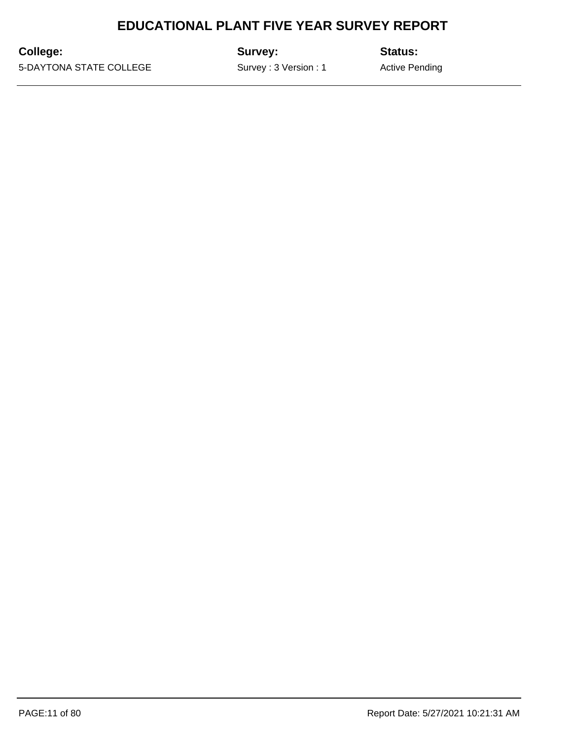**College:**

**Survey:**

**Status:**

5-DAYTONA STATE COLLEGE

Survey : 3 Version : 1

Active Pending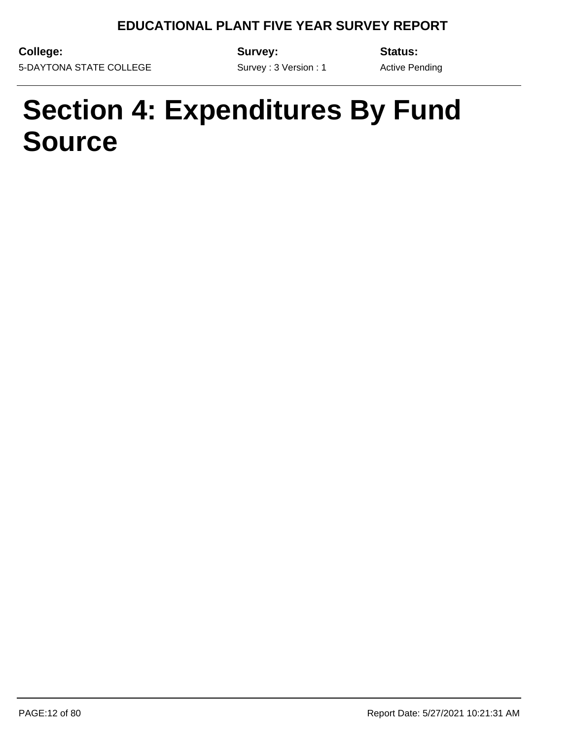**College:** 5-DAYTONA STATE COLLEGE **Survey:**

**Status:**

Survey : 3 Version : 1

Active Pending

# **Section 4: Expenditures By Fund Source**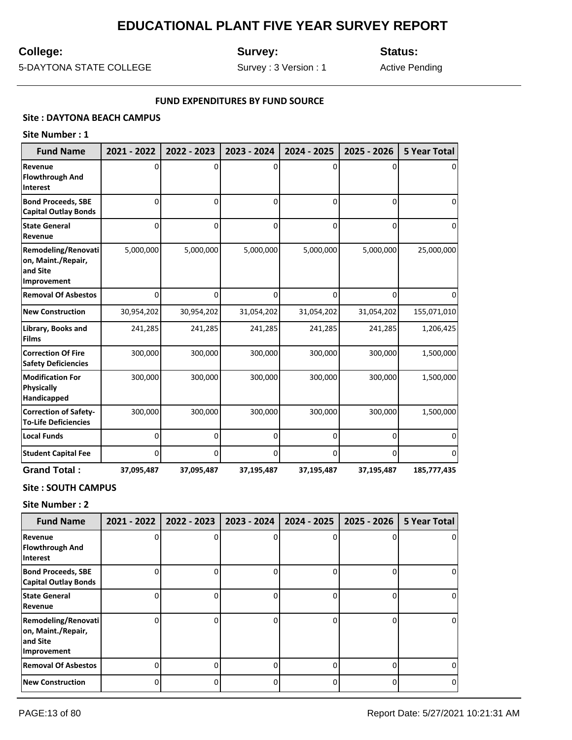## **College:**

**Survey:**

**Status:**

5-DAYTONA STATE COLLEGE

Survey : 3 Version : 1

Active Pending

#### **FUND EXPENDITURES BY FUND SOURCE**

### **Site : DAYTONA BEACH CAMPUS**

### **Site Number : 1**

| <b>Fund Name</b>                                                     | 2021 - 2022 | 2022 - 2023 | 2023 - 2024 | 2024 - 2025 | 2025 - 2026 | 5 Year Total |
|----------------------------------------------------------------------|-------------|-------------|-------------|-------------|-------------|--------------|
| Revenue<br><b>Flowthrough And</b><br><b>Interest</b>                 | o           | O           | ŋ           | U           |             |              |
| <b>Bond Proceeds, SBE</b><br><b>Capital Outlay Bonds</b>             | 0           | 0           | 0           | $\Omega$    | 0           | <sup>0</sup> |
| <b>State General</b><br>Revenue                                      | 0           | 0           | 0           | 0           | 0           | 0            |
| Remodeling/Renovati<br>on, Maint./Repair,<br>and Site<br>Improvement | 5,000,000   | 5,000,000   | 5,000,000   | 5,000,000   | 5,000,000   | 25,000,000   |
| <b>Removal Of Asbestos</b>                                           | 0           | $\Omega$    | O           | $\Omega$    | 0           | 0            |
| <b>New Construction</b>                                              | 30,954,202  | 30,954,202  | 31,054,202  | 31,054,202  | 31,054,202  | 155,071,010  |
| Library, Books and<br><b>Films</b>                                   | 241,285     | 241,285     | 241,285     | 241,285     | 241,285     | 1,206,425    |
| <b>Correction Of Fire</b><br><b>Safety Deficiencies</b>              | 300,000     | 300,000     | 300,000     | 300,000     | 300,000     | 1,500,000    |
| <b>Modification For</b><br><b>Physically</b><br>Handicapped          | 300,000     | 300,000     | 300,000     | 300,000     | 300,000     | 1,500,000    |
| <b>Correction of Safety-</b><br><b>To-Life Deficiencies</b>          | 300,000     | 300,000     | 300,000     | 300,000     | 300,000     | 1,500,000    |
| <b>Local Funds</b>                                                   | 0           | 0           | 0           | 0           | 0           | <sup>0</sup> |
| <b>Student Capital Fee</b>                                           | 0           | 0           | 0           | 0           | 0           | 0            |
| <b>Grand Total:</b>                                                  | 37,095,487  | 37,095,487  | 37,195,487  | 37,195,487  | 37,195,487  | 185,777,435  |

### **Site : SOUTH CAMPUS**

| <b>Fund Name</b>                                                            | 2021 - 2022   2022 - 2023 | 2023 - 2024 | 2024 - 2025 | 2025 - 2026 | <b>5 Year Total</b> |
|-----------------------------------------------------------------------------|---------------------------|-------------|-------------|-------------|---------------------|
| Revenue<br>Flowthrough And<br><b>Interest</b>                               |                           |             | 0           |             | 0                   |
| <b>Bond Proceeds, SBE</b><br><b>Capital Outlay Bonds</b>                    |                           |             | n           | 0           | 0                   |
| <b>State General</b><br>Revenue                                             |                           |             | n           | ŋ           | 0                   |
| <b>Remodeling/Renovati</b><br>on, Maint./Repair,<br>and Site<br>Improvement |                           |             | n           | ŋ           | 0                   |
| <b>Removal Of Asbestos</b>                                                  |                           | ი           | 0           | 0           | 0                   |
| <b>New Construction</b>                                                     |                           |             | n           | 0           | 0                   |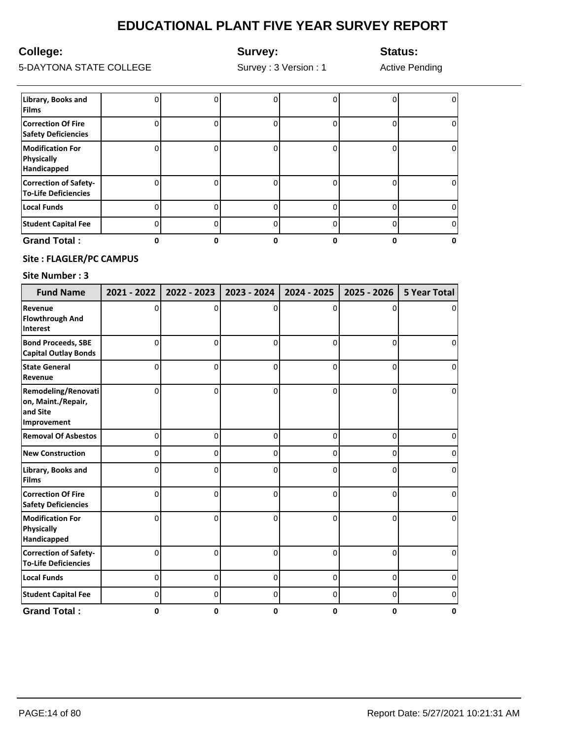## **College:**

**Survey:**

**Status:**

5-DAYTONA STATE COLLEGE

Survey : 3 Version : 1

Active Pending

| <b>Grand Total:</b>                                         |  |   |   |
|-------------------------------------------------------------|--|---|---|
| <b>Student Capital Fee</b>                                  |  |   |   |
| <b>Local Funds</b>                                          |  |   |   |
| <b>Correction of Safety-</b><br><b>To-Life Deficiencies</b> |  |   |   |
| <b>Modification For</b><br><b>Physically</b><br>Handicapped |  | 0 | O |
| <b>Correction Of Fire</b><br><b>Safety Deficiencies</b>     |  |   | O |
| Library, Books and<br><b>Films</b>                          |  |   |   |

### **Site : FLAGLER/PC CAMPUS**

| <b>Fund Name</b>                                                     | 2021 - 2022 | 2022 - 2023 | 2023 - 2024 | 2024 - 2025 | 2025 - 2026 | <b>5 Year Total</b> |
|----------------------------------------------------------------------|-------------|-------------|-------------|-------------|-------------|---------------------|
| Revenue<br><b>Flowthrough And</b><br><b>Interest</b>                 | O           | O           | O           | n           | n           |                     |
| <b>Bond Proceeds, SBE</b><br><b>Capital Outlay Bonds</b>             | $\Omega$    | 0           | $\Omega$    | $\Omega$    | $\Omega$    | $\Omega$            |
| <b>State General</b><br>Revenue                                      | $\Omega$    | 0           | $\Omega$    | $\Omega$    | $\Omega$    | $\Omega$            |
| Remodeling/Renovati<br>on, Maint./Repair,<br>and Site<br>Improvement | 0           | 0           | $\Omega$    | 0           | $\Omega$    | 0                   |
| <b>Removal Of Asbestos</b>                                           | 0           | 0           | 0           | 0           | 0           | o                   |
| <b>New Construction</b>                                              | 0           | 0           | 0           | 0           | 0           | 0                   |
| Library, Books and<br><b>Films</b>                                   | 0           | 0           | 0           | 0           | 0           | 0                   |
| <b>Correction Of Fire</b><br><b>Safety Deficiencies</b>              | $\Omega$    | 0           | $\Omega$    | $\Omega$    | $\Omega$    | O                   |
| <b>Modification For</b><br><b>Physically</b><br>Handicapped          | 0           | 0           | 0           | $\Omega$    | $\Omega$    | $\Omega$            |
| <b>Correction of Safety-</b><br><b>To-Life Deficiencies</b>          | $\Omega$    | 0           | $\Omega$    | $\Omega$    | $\Omega$    | 0                   |
| <b>Local Funds</b>                                                   | $\Omega$    | 0           | $\Omega$    | 0           | 0           | 0                   |
| <b>Student Capital Fee</b>                                           | 0           | 0           | 0           | 0           | 0           | 0                   |
| <b>Grand Total:</b>                                                  | 0           | 0           | 0           | 0           | 0           | 0                   |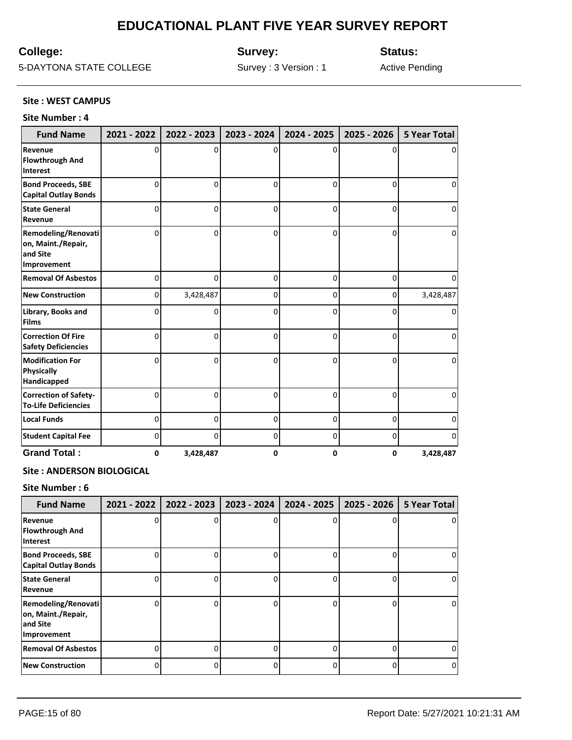## **College:**

**Survey:**

**Status:**

5-DAYTONA STATE COLLEGE

Survey : 3 Version : 1

Active Pending

#### **Site : WEST CAMPUS**

#### **Site Number : 4**

| <b>Fund Name</b>                                                     | 2021 - 2022 | 2022 - 2023 | 2023 - 2024 | 2024 - 2025 | 2025 - 2026    | <b>5 Year Total</b> |
|----------------------------------------------------------------------|-------------|-------------|-------------|-------------|----------------|---------------------|
| Revenue<br><b>Flowthrough And</b><br><b>Interest</b>                 | 0           | 0           | 0           | 0           | O              | 0                   |
| <b>Bond Proceeds, SBE</b><br><b>Capital Outlay Bonds</b>             | $\mathbf 0$ | 0           | $\Omega$    | $\Omega$    | 0              | 0                   |
| <b>State General</b><br>Revenue                                      | $\Omega$    | 0           | $\Omega$    | 0           | 0              | 0                   |
| Remodeling/Renovati<br>on, Maint./Repair,<br>and Site<br>Improvement | $\Omega$    | 0           | 0           | 0           | 0              | 0                   |
| <b>Removal Of Asbestos</b>                                           | $\Omega$    | 0           | 0           | 0           | 0              | 0                   |
| <b>New Construction</b>                                              | 0           | 3,428,487   | 0           | 0           | 0              | 3,428,487           |
| Library, Books and<br><b>Films</b>                                   | $\Omega$    | 0           | 0           | 0           | 0              | 0                   |
| <b>Correction Of Fire</b><br><b>Safety Deficiencies</b>              | $\Omega$    | 0           | 0           | 0           | 0              | 0                   |
| <b>Modification For</b><br><b>Physically</b><br>Handicapped          | $\Omega$    | 0           | $\Omega$    | 0           | 0              | $\Omega$            |
| <b>Correction of Safety-</b><br><b>To-Life Deficiencies</b>          | $\Omega$    | 0           | 0           | 0           | 0              | 0                   |
| <b>Local Funds</b>                                                   | $\Omega$    | 0           | $\Omega$    | 0           | $\Omega$       | 0                   |
| <b>Student Capital Fee</b>                                           | 0           | 0           | 0           | 0           | $\overline{0}$ | 0                   |
| <b>Grand Total:</b>                                                  | 0           | 3,428,487   | 0           | 0           | 0              | 3,428,487           |

#### **Site : ANDERSON BIOLOGICAL**

| <b>Fund Name</b>                                                     | 2021 - 2022 | 2022 - 2023 | 2023 - 2024 | 2024 - 2025 | 2025 - 2026 | <b>5 Year Total</b> |
|----------------------------------------------------------------------|-------------|-------------|-------------|-------------|-------------|---------------------|
| Revenue<br>Flowthrough And<br><b>Interest</b>                        |             |             | ი           |             |             | 0                   |
| <b>Bond Proceeds, SBE</b><br><b>Capital Outlay Bonds</b>             |             |             | ი           |             |             | 0                   |
| <b>State General</b><br>Revenue                                      |             |             | ŋ           |             |             | 0                   |
| Remodeling/Renovati<br>on, Maint./Repair,<br>and Site<br>Improvement | n           |             | n           | U           | U           | 0                   |
| <b>Removal Of Asbestos</b>                                           |             |             | ი           | 0           | 0           | 0                   |
| <b>New Construction</b>                                              |             |             | o           | 0           | 0           | 0                   |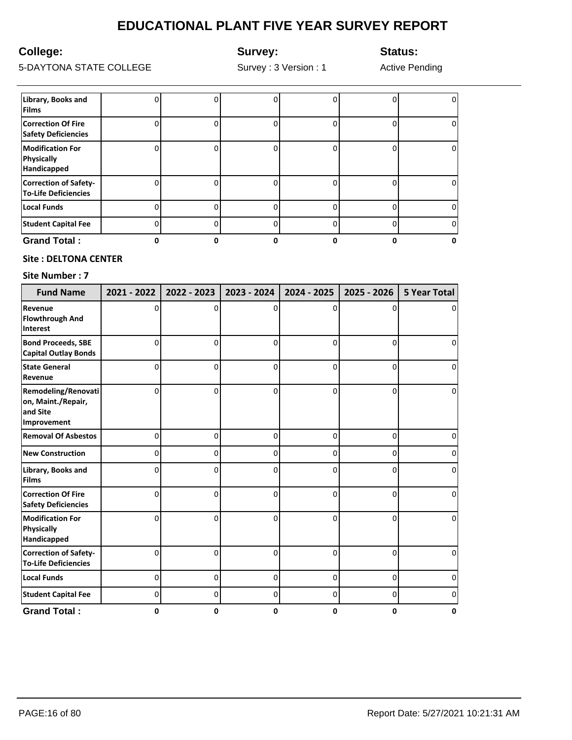## **College:**

**Survey:**

**Status:**

5-DAYTONA STATE COLLEGE

Survey : 3 Version : 1

Active Pending

| <b>Student Capital Fee</b>                                  |  |   |   |   |
|-------------------------------------------------------------|--|---|---|---|
| <b>Local Funds</b>                                          |  |   |   |   |
| <b>Correction of Safety-</b><br><b>To-Life Deficiencies</b> |  |   |   | U |
| <b>Modification For</b><br><b>Physically</b><br>Handicapped |  | 0 | n | O |
| <b>Correction Of Fire</b><br><b>Safety Deficiencies</b>     |  |   |   | 0 |
| Library, Books and<br><b>Films</b>                          |  | Ω |   |   |

### **Site : DELTONA CENTER**

| <b>Fund Name</b>                                                     | 2021 - 2022 | 2022 - 2023 | 2023 - 2024 | 2024 - 2025 | 2025 - 2026    | <b>5 Year Total</b> |
|----------------------------------------------------------------------|-------------|-------------|-------------|-------------|----------------|---------------------|
| Revenue<br><b>Flowthrough And</b><br><b>Interest</b>                 | 0           | 0           | 0           | 0           | 0              | 0                   |
| <b>Bond Proceeds, SBE</b><br><b>Capital Outlay Bonds</b>             | 0           | 0           | 0           | 0           | 0              | 0                   |
| <b>State General</b><br>Revenue                                      | 0           | $\Omega$    | 0           | 0           | 0              | 0                   |
| Remodeling/Renovati<br>on, Maint./Repair,<br>and Site<br>Improvement | $\Omega$    | 0           | $\Omega$    | $\Omega$    | $\Omega$       | 0                   |
| <b>Removal Of Asbestos</b>                                           | 0           | 0           | 0           | 0           | 0              | 0                   |
| <b>New Construction</b>                                              | 0           | 0           | 0           | 0           | $\overline{0}$ | 0                   |
| Library, Books and<br><b>Films</b>                                   | 0           | 0           | 0           | 0           | 0              | 0                   |
| <b>Correction Of Fire</b><br><b>Safety Deficiencies</b>              | 0           | 0           | 0           | 0           | 0              | 0                   |
| <b>Modification For</b><br><b>Physically</b><br>Handicapped          | 0           | $\Omega$    | $\Omega$    | $\Omega$    | $\Omega$       | 0                   |
| <b>Correction of Safety-</b><br><b>To-Life Deficiencies</b>          | $\Omega$    | $\Omega$    | 0           | 0           | 0              | 0                   |
| <b>Local Funds</b>                                                   | $\Omega$    | 0           | 0           | 0           | $\overline{0}$ | 0                   |
| <b>Student Capital Fee</b>                                           | 0           | 0           | 0           | 0           | $\overline{0}$ | 0                   |
| <b>Grand Total:</b>                                                  | 0           | 0           | 0           | 0           | 0              | 0                   |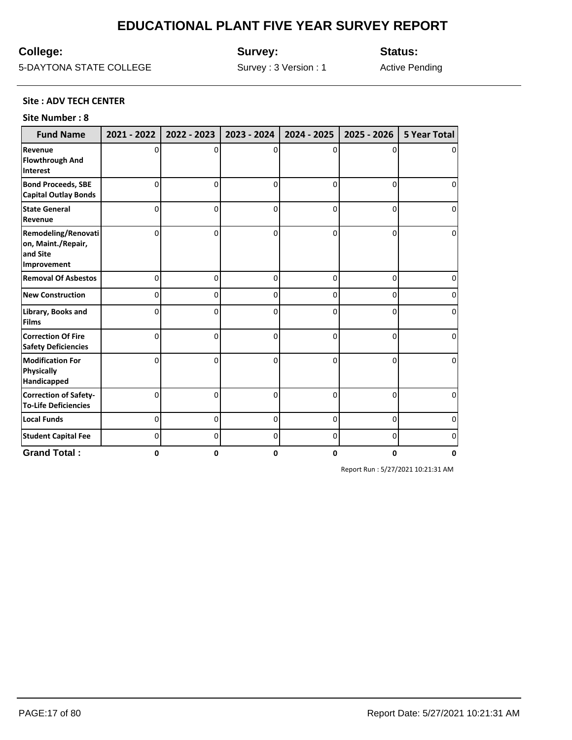## **College:**

**Survey:**

**Status:**

5-DAYTONA STATE COLLEGE

Survey : 3 Version : 1

Active Pending

#### **Site : ADV TECH CENTER**

#### **Site Number : 8**

| <b>Fund Name</b>                                                     | 2021 - 2022 | 2022 - 2023 | 2023 - 2024 | 2024 - 2025 | 2025 - 2026 | <b>5 Year Total</b> |
|----------------------------------------------------------------------|-------------|-------------|-------------|-------------|-------------|---------------------|
| Revenue<br><b>Flowthrough And</b><br><b>Interest</b>                 | O           | O           | 0           | 0           | 0           | 0                   |
| <b>Bond Proceeds, SBE</b><br><b>Capital Outlay Bonds</b>             | 0           | 0           | $\Omega$    | 0           | 0           | 0                   |
| <b>State General</b><br>Revenue                                      | 0           | $\Omega$    | $\Omega$    | 0           | $\Omega$    | $\Omega$            |
| Remodeling/Renovati<br>on, Maint./Repair,<br>and Site<br>Improvement | 0           | 0           | 0           | 0           | 0           | 0                   |
| <b>Removal Of Asbestos</b>                                           | 0           | 0           | 0           | 0           | 0           | 0                   |
| <b>New Construction</b>                                              | 0           | 0           | 0           | 0           | 0           | 0                   |
| Library, Books and<br><b>Films</b>                                   | 0           | 0           | 0           | 0           | 0           | 0                   |
| <b>Correction Of Fire</b><br><b>Safety Deficiencies</b>              | O           | 0           | $\Omega$    | 0           | 0           | 0                   |
| <b>Modification For</b><br><b>Physically</b><br>Handicapped          | U           | $\Omega$    | $\Omega$    | 0           | 0           | 0                   |
| <b>Correction of Safety-</b><br><b>To-Life Deficiencies</b>          | 0           | 0           | 0           | 0           | 0           | 0                   |
| <b>Local Funds</b>                                                   | 0           | 0           | 0           | 0           | $\mathbf 0$ | 0                   |
| <b>Student Capital Fee</b>                                           | 0           | 0           | 0           | 0           | 0           | 0                   |
| <b>Grand Total:</b>                                                  | 0           | 0           | 0           | 0           | 0           | 0                   |

Report Run : 5/27/2021 10:21:31 AM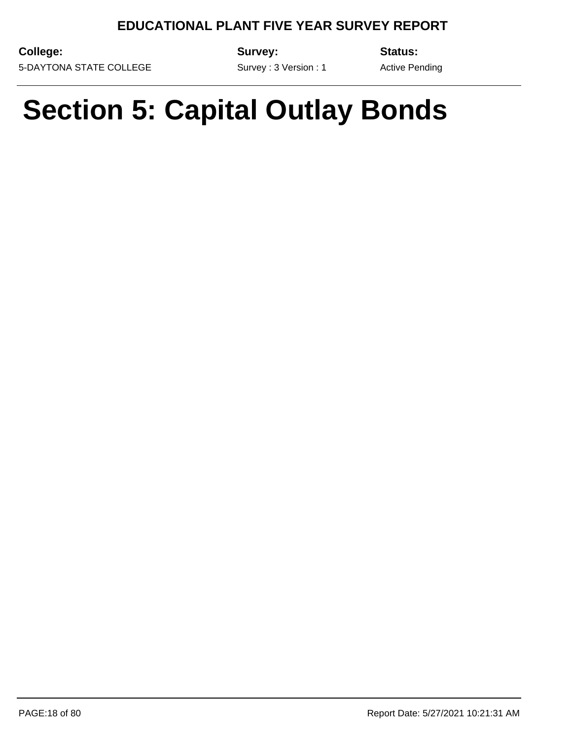Survey : 3 Version : 1

**College:** 5-DAYTONA STATE COLLEGE **Survey:**

**Status:**

Active Pending

# **Section 5: Capital Outlay Bonds**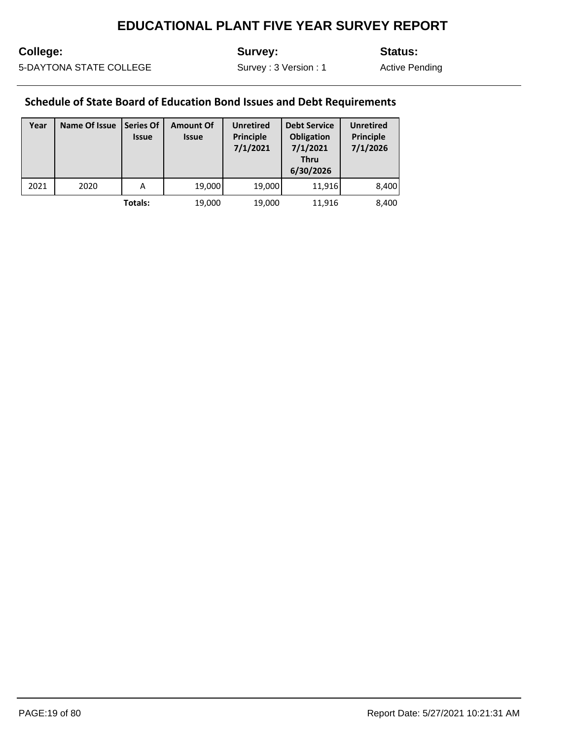## **College:**

**Survey:**

**Status:**

5-DAYTONA STATE COLLEGE

Survey : 3 Version : 1

Active Pending

## **Schedule of State Board of Education Bond Issues and Debt Requirements**

| Year | Name Of Issue | <b>Series Of</b><br><b>Issue</b> | <b>Amount Of</b><br><b>Issue</b> | <b>Unretired</b><br><b>Principle</b><br>7/1/2021 | <b>Debt Service</b><br>Obligation<br>7/1/2021<br><b>Thru</b><br>6/30/2026 | <b>Unretired</b><br><b>Principle</b><br>7/1/2026 |
|------|---------------|----------------------------------|----------------------------------|--------------------------------------------------|---------------------------------------------------------------------------|--------------------------------------------------|
| 2021 | 2020          | A                                | 19,000                           | 19,000                                           | 11,916                                                                    | 8,400                                            |
|      |               | Totals:                          | 19,000                           | 19,000                                           | 11,916                                                                    | 8,400                                            |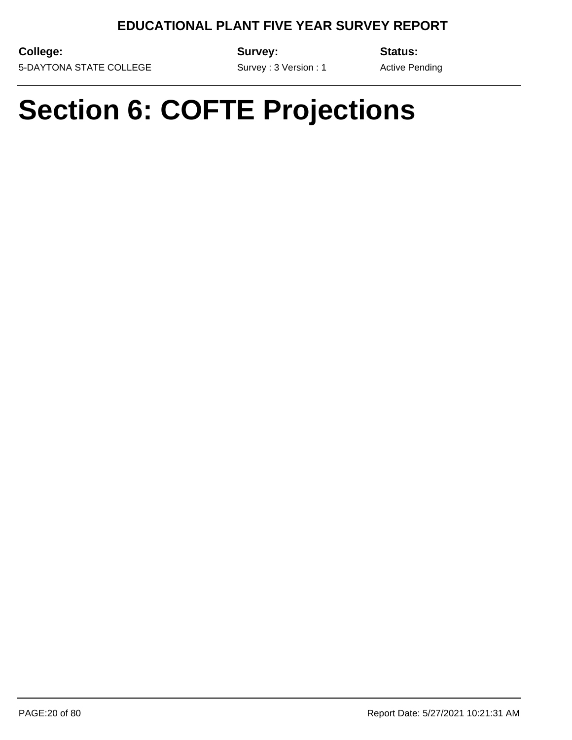**College:** 5-DAYTONA STATE COLLEGE **Survey:**

**Status:**

Survey : 3 Version : 1

Active Pending

# **Section 6: COFTE Projections**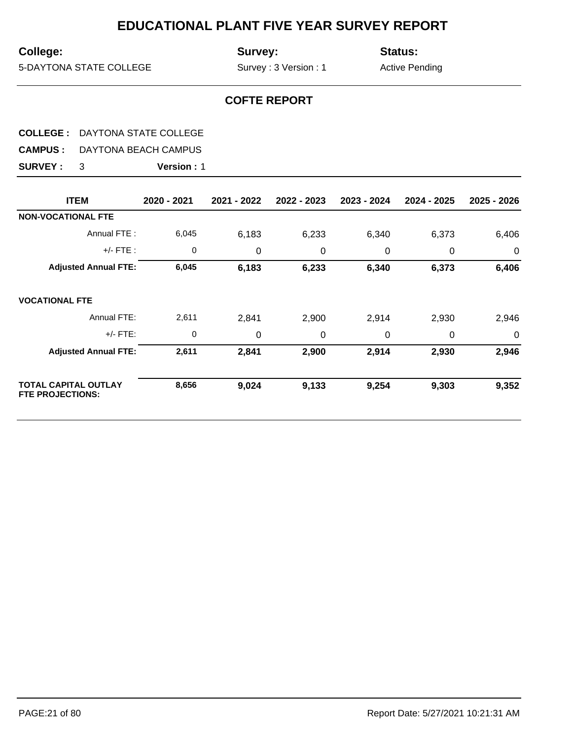## **College:**

**Survey:**

**Status:**

5-DAYTONA STATE COLLEGE

Survey : 3 Version : 1

Active Pending

## **COFTE REPORT**

## **COLLEGE :** DAYTONA STATE COLLEGE

**CAMPUS :** DAYTONA BEACH CAMPUS

| <b>ITEM</b>                                            | 2020 - 2021 | 2021 - 2022 | 2022 - 2023 | 2023 - 2024 | 2024 - 2025 | 2025 - 2026    |
|--------------------------------------------------------|-------------|-------------|-------------|-------------|-------------|----------------|
| <b>NON-VOCATIONAL FTE</b>                              |             |             |             |             |             |                |
| Annual FTE:                                            | 6,045       | 6,183       | 6,233       | 6,340       | 6,373       | 6,406          |
| $+/-$ FTE :                                            | 0           | 0           | 0           | 0           | 0           | $\overline{0}$ |
| <b>Adjusted Annual FTE:</b>                            | 6,045       | 6,183       | 6,233       | 6,340       | 6,373       | 6,406          |
| <b>VOCATIONAL FTE</b>                                  |             |             |             |             |             |                |
| Annual FTE:                                            | 2,611       | 2,841       | 2,900       | 2,914       | 2,930       | 2,946          |
| $+/-$ FTE:                                             | $\mathbf 0$ | 0           | 0           | 0           | 0           | 0              |
| <b>Adjusted Annual FTE:</b>                            | 2,611       | 2,841       | 2,900       | 2,914       | 2,930       | 2,946          |
| <b>TOTAL CAPITAL OUTLAY</b><br><b>FTE PROJECTIONS:</b> | 8,656       | 9,024       | 9,133       | 9,254       | 9,303       | 9,352          |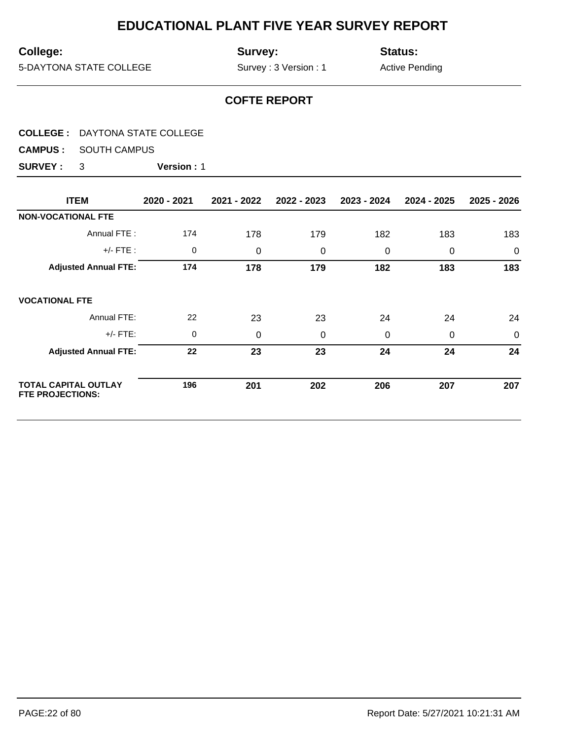## **College:**

**Survey:**

**Status:**

5-DAYTONA STATE COLLEGE

Survey : 3 Version : 1

Active Pending

## **COFTE REPORT**

|  |  | <b>COLLEGE: DAYTONA STATE COLLEGE</b> |
|--|--|---------------------------------------|
|--|--|---------------------------------------|

**CAMPUS :** SOUTH CAMPUS

| <b>ITEM</b>                                            | 2020 - 2021 | 2021 - 2022 | 2022 - 2023 | 2023 - 2024 | 2024 - 2025 | 2025 - 2026 |
|--------------------------------------------------------|-------------|-------------|-------------|-------------|-------------|-------------|
| <b>NON-VOCATIONAL FTE</b>                              |             |             |             |             |             |             |
| Annual FTE:                                            | 174         | 178         | 179         | 182         | 183         | 183         |
| $+/-$ FTE :                                            | 0           | 0           | 0           | 0           | 0           | $\mathbf 0$ |
| <b>Adjusted Annual FTE:</b>                            | 174         | 178         | 179         | 182         | 183         | 183         |
| <b>VOCATIONAL FTE</b>                                  |             |             |             |             |             |             |
| Annual FTE:                                            | 22          | 23          | 23          | 24          | 24          | 24          |
| $+/-$ FTE:                                             | 0           | 0           | 0           | 0           | 0           | $\mathbf 0$ |
| <b>Adjusted Annual FTE:</b>                            | 22          | 23          | 23          | 24          | 24          | 24          |
| <b>TOTAL CAPITAL OUTLAY</b><br><b>FTE PROJECTIONS:</b> | 196         | 201         | 202         | 206         | 207         | 207         |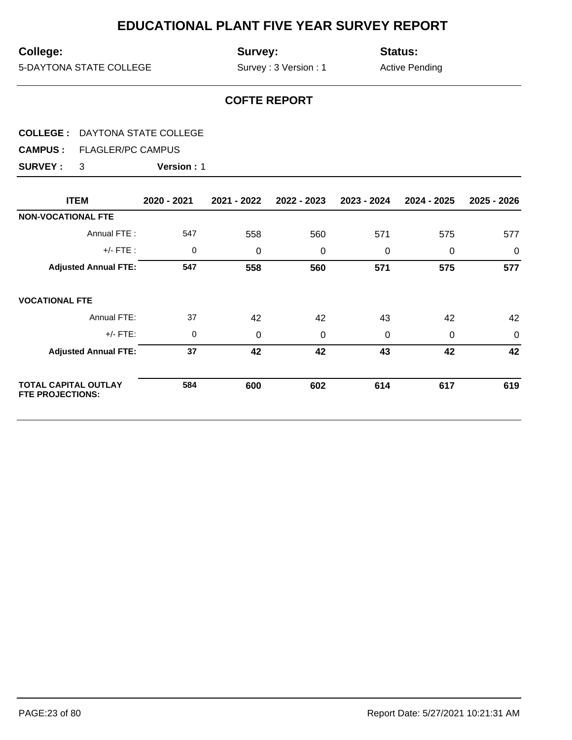## **College:**

**Survey:**

**Status:**

5-DAYTONA STATE COLLEGE

Survey : 3 Version : 1

Active Pending

## **COFTE REPORT**

#### **COLLEGE :** DAYTONA STATE COLLEGE

**CAMPUS :** FLAGLER/PC CAMPUS

| <b>ITEM</b>                                            | 2020 - 2021 | 2021 - 2022 | 2022 - 2023 | 2023 - 2024 | 2024 - 2025 | 2025 - 2026 |
|--------------------------------------------------------|-------------|-------------|-------------|-------------|-------------|-------------|
| <b>NON-VOCATIONAL FTE</b>                              |             |             |             |             |             |             |
| Annual FTE:                                            | 547         | 558         | 560         | 571         | 575         | 577         |
| $+/-$ FTE :                                            | 0           | 0           | $\mathbf 0$ | 0           | $\mathbf 0$ | $\mathbf 0$ |
| <b>Adjusted Annual FTE:</b>                            | 547         | 558         | 560         | 571         | 575         | 577         |
| <b>VOCATIONAL FTE</b>                                  |             |             |             |             |             |             |
| Annual FTE:                                            | 37          | 42          | 42          | 43          | 42          | 42          |
| $+/-$ FTE:                                             | 0           | 0           | $\mathbf 0$ | 0           | 0           | $\mathbf 0$ |
| <b>Adjusted Annual FTE:</b>                            | 37          | 42          | 42          | 43          | 42          | 42          |
| <b>TOTAL CAPITAL OUTLAY</b><br><b>FTE PROJECTIONS:</b> | 584         | 600         | 602         | 614         | 617         | 619         |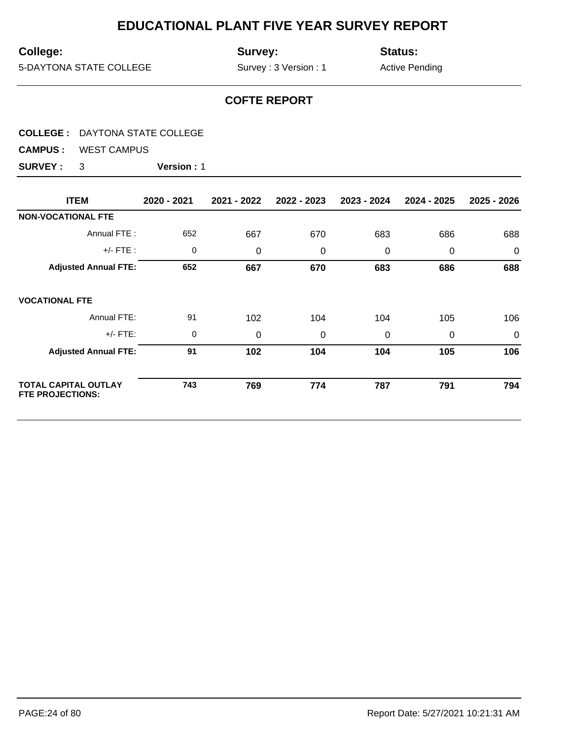## **College:**

**Survey:**

**Status:**

5-DAYTONA STATE COLLEGE

Survey : 3 Version : 1

Active Pending

## **COFTE REPORT**

**CAMPUS :** WEST CAMPUS

| <b>ITEM</b>                                     | 2020 - 2021 | 2021 - 2022 | 2022 - 2023 | 2023 - 2024 | 2024 - 2025 | 2025 - 2026 |
|-------------------------------------------------|-------------|-------------|-------------|-------------|-------------|-------------|
| <b>NON-VOCATIONAL FTE</b>                       |             |             |             |             |             |             |
| Annual FTE:                                     | 652         | 667         | 670         | 683         | 686         | 688         |
| $+/-$ FTE:                                      | 0           | 0           | $\mathbf 0$ | 0           | 0           | $\mathbf 0$ |
| <b>Adjusted Annual FTE:</b>                     | 652         | 667         | 670         | 683         | 686         | 688         |
| <b>VOCATIONAL FTE</b>                           |             |             |             |             |             |             |
| Annual FTE:                                     | 91          | 102         | 104         | 104         | 105         | 106         |
| $+/-$ FTE:                                      | 0           | 0           | 0           | $\Omega$    | 0           | $\mathbf 0$ |
| <b>Adjusted Annual FTE:</b>                     | 91          | 102         | 104         | 104         | 105         | 106         |
| TOTAL CAPITAL OUTLAY<br><b>FTE PROJECTIONS:</b> | 743         | 769         | 774         | 787         | 791         | 794         |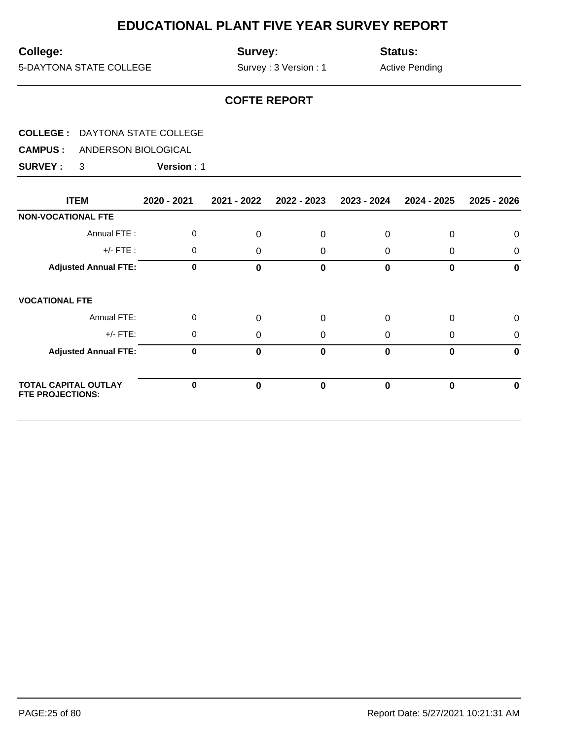## **College:**

**Survey:**

**Status:**

5-DAYTONA STATE COLLEGE

Survey : 3 Version : 1

Active Pending

## **COFTE REPORT**

**CAMPUS :** ANDERSON BIOLOGICAL

| <b>ITEM</b>                                            | 2020 - 2021 | 2021 - 2022 | 2022 - 2023 | 2023 - 2024 | 2024 - 2025 | 2025 - 2026  |
|--------------------------------------------------------|-------------|-------------|-------------|-------------|-------------|--------------|
| <b>NON-VOCATIONAL FTE</b>                              |             |             |             |             |             |              |
| Annual FTE:                                            | 0           | 0           | 0           | 0           | 0           | 0            |
| $+/-$ FTE :                                            | 0           | 0           | 0           | 0           | 0           | 0            |
| <b>Adjusted Annual FTE:</b>                            | $\mathbf 0$ | $\Omega$    | 0           | 0           | 0           | 0            |
| <b>VOCATIONAL FTE</b>                                  |             |             |             |             |             |              |
| Annual FTE:                                            | 0           | 0           | $\Omega$    | $\Omega$    | 0           | $\mathbf 0$  |
| $+/-$ FTE:                                             | 0           | $\Omega$    | 0           | 0           | 0           | $\mathbf{0}$ |
| <b>Adjusted Annual FTE:</b>                            | 0           | $\Omega$    | 0           | 0           | 0           | $\bf{0}$     |
| <b>TOTAL CAPITAL OUTLAY</b><br><b>FTE PROJECTIONS:</b> | $\bf{0}$    | 0           | 0           | 0           | 0           | 0            |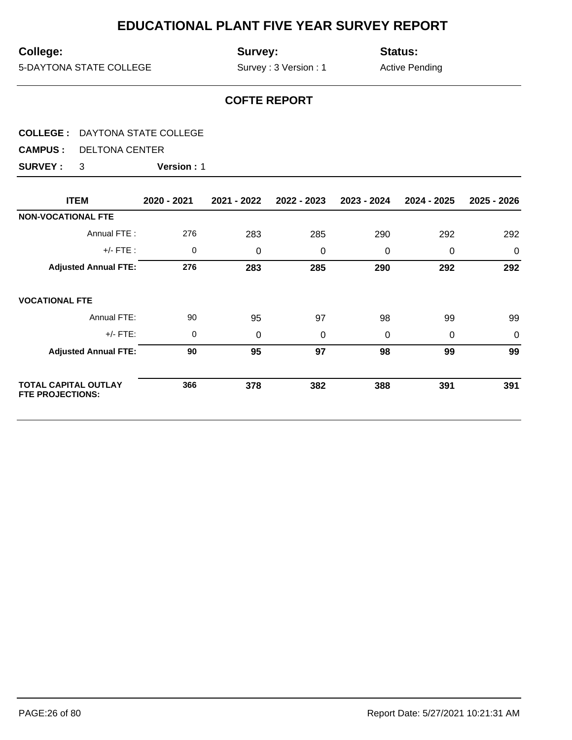## **College:**

**Survey:**

**Status:**

5-DAYTONA STATE COLLEGE

Survey : 3 Version : 1

Active Pending

## **COFTE REPORT**

|  | <b>COLLEGE: DAYTONA STATE COLLEGE</b> |
|--|---------------------------------------|
|--|---------------------------------------|

**CAMPUS :** DELTONA CENTER

| <b>ITEM</b>                                            | 2020 - 2021 | 2021 - 2022 | 2022 - 2023 | 2023 - 2024 | 2024 - 2025 | 2025 - 2026 |
|--------------------------------------------------------|-------------|-------------|-------------|-------------|-------------|-------------|
| <b>NON-VOCATIONAL FTE</b>                              |             |             |             |             |             |             |
| Annual FTE:                                            | 276         | 283         | 285         | 290         | 292         | 292         |
| $+/-$ FTE :                                            | 0           | 0           | 0           | 0           | 0           | $\mathbf 0$ |
| <b>Adjusted Annual FTE:</b>                            | 276         | 283         | 285         | 290         | 292         | 292         |
| <b>VOCATIONAL FTE</b>                                  |             |             |             |             |             |             |
| Annual FTE:                                            | 90          | 95          | 97          | 98          | 99          | 99          |
| $+/-$ FTE:                                             | 0           | 0           | 0           | 0           | 0           | $\mathbf 0$ |
| <b>Adjusted Annual FTE:</b>                            | 90          | 95          | 97          | 98          | 99          | 99          |
| <b>TOTAL CAPITAL OUTLAY</b><br><b>FTE PROJECTIONS:</b> | 366         | 378         | 382         | 388         | 391         | 391         |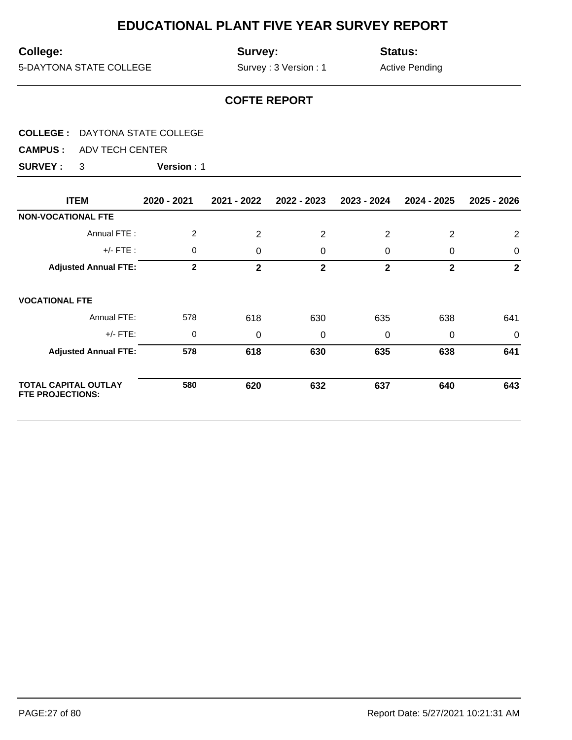## **College:**

**Survey:**

**Status:**

5-DAYTONA STATE COLLEGE

Survey : 3 Version : 1

Active Pending

## **COFTE REPORT**

|--|

**CAMPUS :** ADV TECH CENTER

| <b>ITEM</b>                                            | 2020 - 2021    | 2021 - 2022  | 2022 - 2023  | 2023 - 2024    | 2024 - 2025  | 2025 - 2026  |
|--------------------------------------------------------|----------------|--------------|--------------|----------------|--------------|--------------|
| <b>NON-VOCATIONAL FTE</b>                              |                |              |              |                |              |              |
| Annual FTE:                                            | $\overline{2}$ | 2            | 2            | 2              | 2            | 2            |
| $+/-$ FTE :                                            | 0              | 0            | 0            | 0              | 0            | $\mathbf 0$  |
| <b>Adjusted Annual FTE:</b>                            | $\overline{2}$ | $\mathbf{2}$ | $\mathbf{2}$ | $\overline{2}$ | $\mathbf{2}$ | $\mathbf{2}$ |
| <b>VOCATIONAL FTE</b>                                  |                |              |              |                |              |              |
| Annual FTE:                                            | 578            | 618          | 630          | 635            | 638          | 641          |
| $+/-$ FTE:                                             | 0              | 0            | 0            | 0              | 0            | 0            |
| <b>Adjusted Annual FTE:</b>                            | 578            | 618          | 630          | 635            | 638          | 641          |
| <b>TOTAL CAPITAL OUTLAY</b><br><b>FTE PROJECTIONS:</b> | 580            | 620          | 632          | 637            | 640          | 643          |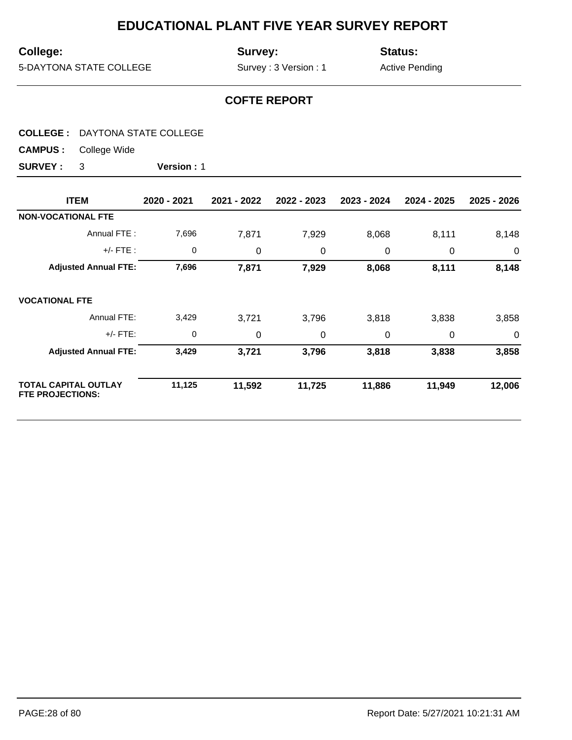## **College:**

**Survey:**

**Status:**

5-DAYTONA STATE COLLEGE

Survey : 3 Version : 1

Active Pending

## **COFTE REPORT**

#### **COLLEGE :** DAYTONA STATE COLLEGE

**CAMPUS :** College Wide

| <b>ITEM</b>                                            | 2020 - 2021 | 2021 - 2022 | 2022 - 2023 | 2023 - 2024 | 2024 - 2025 | 2025 - 2026    |
|--------------------------------------------------------|-------------|-------------|-------------|-------------|-------------|----------------|
| <b>NON-VOCATIONAL FTE</b>                              |             |             |             |             |             |                |
| Annual FTE:                                            | 7,696       | 7,871       | 7,929       | 8,068       | 8,111       | 8,148          |
| $+/-$ FTE :                                            | 0           | 0           | 0           | 0           | 0           | $\overline{0}$ |
| <b>Adjusted Annual FTE:</b>                            | 7,696       | 7,871       | 7,929       | 8,068       | 8,111       | 8,148          |
| <b>VOCATIONAL FTE</b>                                  |             |             |             |             |             |                |
| Annual FTE:                                            | 3,429       | 3,721       | 3,796       | 3,818       | 3,838       | 3,858          |
| $+/-$ FTE:                                             | 0           | 0           | 0           | $\Omega$    | 0           | 0              |
| <b>Adjusted Annual FTE:</b>                            | 3,429       | 3,721       | 3,796       | 3,818       | 3,838       | 3,858          |
| <b>TOTAL CAPITAL OUTLAY</b><br><b>FTE PROJECTIONS:</b> | 11,125      | 11,592      | 11,725      | 11,886      | 11,949      | 12,006         |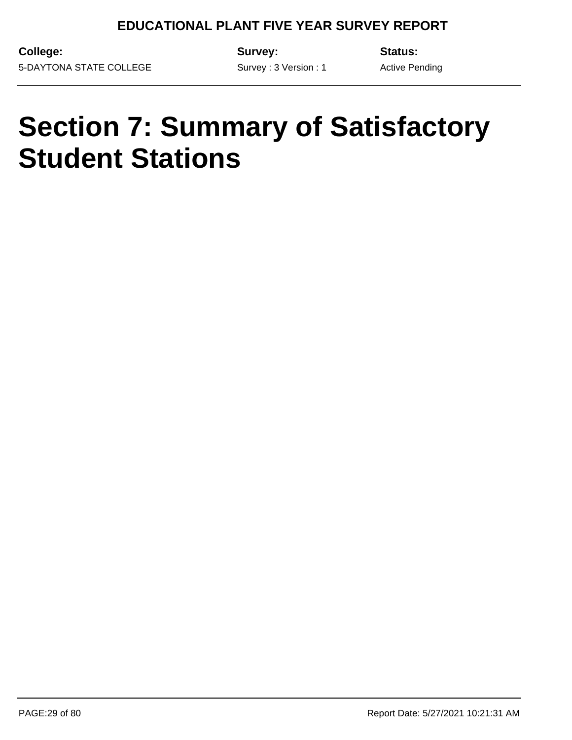Survey : 3 Version : 1

**College:** 5-DAYTONA STATE COLLEGE **Survey:**

**Status:**

Active Pending

# **Section 7: Summary of Satisfactory Student Stations**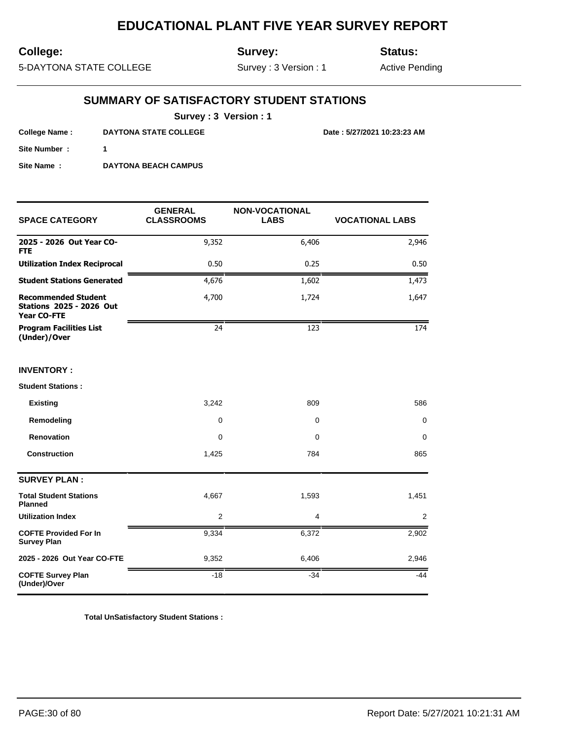## **College:**

**Survey:**

**Status:**

5-DAYTONA STATE COLLEGE

Survey : 3 Version : 1

Active Pending

## **SUMMARY OF SATISFACTORY STUDENT STATIONS**

**Survey : 3 Version : 1**

**College Name : DAYTONA STATE COLLEGE Date : 5/27/2021 10:23:23 AM**

**Site Number : 1**

**Site Name : DAYTONA BEACH CAMPUS**

| <b>SPACE CATEGORY</b>                                                               | <b>GENERAL</b><br><b>CLASSROOMS</b> | <b>NON-VOCATIONAL</b><br><b>LABS</b> | <b>VOCATIONAL LABS</b> |  |
|-------------------------------------------------------------------------------------|-------------------------------------|--------------------------------------|------------------------|--|
| 2025 - 2026 Out Year CO-<br><b>FTE</b>                                              | 9,352                               | 6,406                                | 2,946                  |  |
| <b>Utilization Index Reciprocal</b>                                                 | 0.50                                | 0.25                                 | 0.50                   |  |
| <b>Student Stations Generated</b>                                                   | 4,676                               | 1,602                                | 1,473                  |  |
| <b>Recommended Student</b><br><b>Stations 2025 - 2026 Out</b><br><b>Year CO-FTE</b> | 4,700                               | 1,724                                | 1,647                  |  |
| <b>Program Facilities List</b><br>(Under)/Over                                      | 24                                  | 123                                  | 174                    |  |
| <b>INVENTORY:</b>                                                                   |                                     |                                      |                        |  |
| <b>Student Stations:</b>                                                            |                                     |                                      |                        |  |
| <b>Existing</b>                                                                     | 3,242                               | 809                                  | 586                    |  |
| Remodeling                                                                          | 0                                   | 0                                    | 0                      |  |
| <b>Renovation</b>                                                                   | 0                                   | 0                                    | 0                      |  |
| <b>Construction</b>                                                                 | 1,425                               | 784                                  | 865                    |  |
| <b>SURVEY PLAN:</b>                                                                 |                                     |                                      |                        |  |
| <b>Total Student Stations</b><br><b>Planned</b>                                     | 4,667                               | 1,593                                | 1,451                  |  |
| <b>Utilization Index</b>                                                            | 2                                   | 4                                    | 2                      |  |
| <b>COFTE Provided For In</b><br><b>Survey Plan</b>                                  | 9,334                               | 6,372                                | 2,902                  |  |
| 2025 - 2026 Out Year CO-FTE                                                         | 9,352                               | 6,406                                | 2,946                  |  |
| <b>COFTE Survey Plan</b><br>(Under)/Over                                            | $-18$                               | $-34$                                | $-44$                  |  |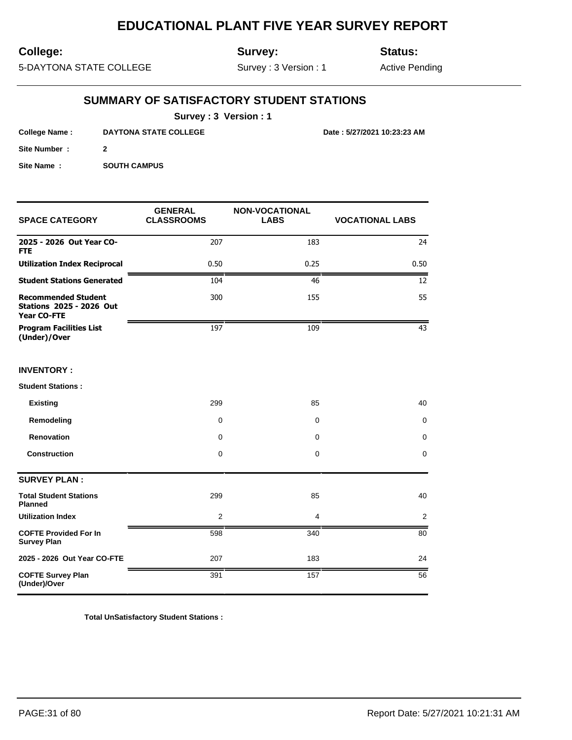## **College:**

**Survey:**

**Status:**

5-DAYTONA STATE COLLEGE

Survey : 3 Version : 1

Active Pending

## **SUMMARY OF SATISFACTORY STUDENT STATIONS**

**Survey : 3 Version : 1**

**College Name : DAYTONA STATE COLLEGE Date : 5/27/2021 10:23:23 AM**

**Site Number : 2 Site Name : SOUTH CAMPUS** 

| <b>SPACE CATEGORY</b>                                                        | <b>GENERAL</b><br><b>CLASSROOMS</b> | <b>NON-VOCATIONAL</b><br><b>LABS</b> | <b>VOCATIONAL LABS</b> |
|------------------------------------------------------------------------------|-------------------------------------|--------------------------------------|------------------------|
| 2025 - 2026 Out Year CO-<br><b>FTE</b>                                       | 207                                 | 183                                  | 24                     |
| <b>Utilization Index Reciprocal</b>                                          | 0.50                                | 0.25                                 | 0.50                   |
| <b>Student Stations Generated</b>                                            | 104                                 | 46                                   | 12                     |
| <b>Recommended Student</b><br><b>Stations 2025 - 2026 Out</b><br>Year CO-FTE | 300                                 | 155                                  | 55                     |
| <b>Program Facilities List</b><br>(Under)/Over                               | 197                                 | 109                                  | 43                     |
| <b>INVENTORY:</b>                                                            |                                     |                                      |                        |
| <b>Student Stations:</b>                                                     |                                     |                                      |                        |
| <b>Existing</b>                                                              | 299                                 | 85                                   | 40                     |
| Remodeling                                                                   | $\mathbf 0$                         | $\mathbf 0$                          | 0                      |
| Renovation                                                                   | $\mathbf 0$                         | 0                                    | $\mathbf 0$            |
| <b>Construction</b>                                                          | $\mathbf 0$                         | $\mathbf 0$                          | $\Omega$               |
| <b>SURVEY PLAN:</b>                                                          |                                     |                                      |                        |
| <b>Total Student Stations</b><br><b>Planned</b>                              | 299                                 | 85                                   | 40                     |
| <b>Utilization Index</b>                                                     | 2                                   | 4                                    | $\overline{2}$         |
| <b>COFTE Provided For In</b><br><b>Survey Plan</b>                           | 598                                 | 340                                  | 80                     |
| 2025 - 2026 Out Year CO-FTE                                                  | 207                                 | 183                                  | 24                     |
| <b>COFTE Survey Plan</b><br>(Under)/Over                                     | 391                                 | 157                                  | 56                     |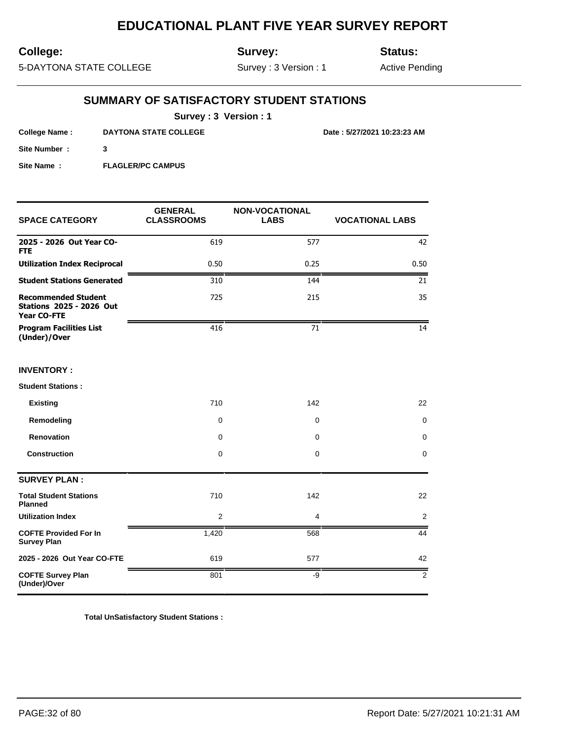## **College:**

**Survey:**

**Status:**

5-DAYTONA STATE COLLEGE

Survey : 3 Version : 1

Active Pending

## **SUMMARY OF SATISFACTORY STUDENT STATIONS**

**Survey : 3 Version : 1**

**College Name : DAYTONA STATE COLLEGE Date : 5/27/2021 10:23:23 AM**

**Site Number : 3**

**Site Name : FLAGLER/PC CAMPUS** 

| <b>SPACE CATEGORY</b>                                                               | <b>GENERAL</b><br><b>CLASSROOMS</b> | <b>NON-VOCATIONAL</b><br><b>LABS</b> | <b>VOCATIONAL LABS</b> |
|-------------------------------------------------------------------------------------|-------------------------------------|--------------------------------------|------------------------|
| 2025 - 2026 Out Year CO-<br><b>FTE</b>                                              | 619                                 | 577                                  | 42                     |
| <b>Utilization Index Reciprocal</b>                                                 | 0.50                                | 0.25                                 | 0.50                   |
| <b>Student Stations Generated</b>                                                   | 310                                 | 144                                  | 21                     |
| <b>Recommended Student</b><br><b>Stations 2025 - 2026 Out</b><br><b>Year CO-FTE</b> | 725                                 | 215                                  | 35                     |
| <b>Program Facilities List</b><br>(Under)/Over                                      | 416                                 | 71                                   | 14                     |
| <b>INVENTORY:</b>                                                                   |                                     |                                      |                        |
| <b>Student Stations:</b>                                                            |                                     |                                      |                        |
| <b>Existing</b>                                                                     | 710                                 | 142                                  | 22                     |
| Remodeling                                                                          | $\mathbf 0$                         | $\mathbf 0$                          | 0                      |
| <b>Renovation</b>                                                                   | $\mathbf 0$                         | 0                                    | 0                      |
| <b>Construction</b>                                                                 | $\mathbf 0$                         | $\mathbf 0$                          | $\mathbf 0$            |
| <b>SURVEY PLAN:</b>                                                                 |                                     |                                      |                        |
| <b>Total Student Stations</b><br><b>Planned</b>                                     | 710                                 | 142                                  | 22                     |
| <b>Utilization Index</b>                                                            | 2                                   | $\overline{4}$                       | 2                      |
| <b>COFTE Provided For In</b><br><b>Survey Plan</b>                                  | 1,420                               | 568                                  | 44                     |
| 2025 - 2026 Out Year CO-FTE                                                         | 619                                 | 577                                  | 42                     |
| <b>COFTE Survey Plan</b><br>(Under)/Over                                            | 801                                 | $-9$                                 | 2                      |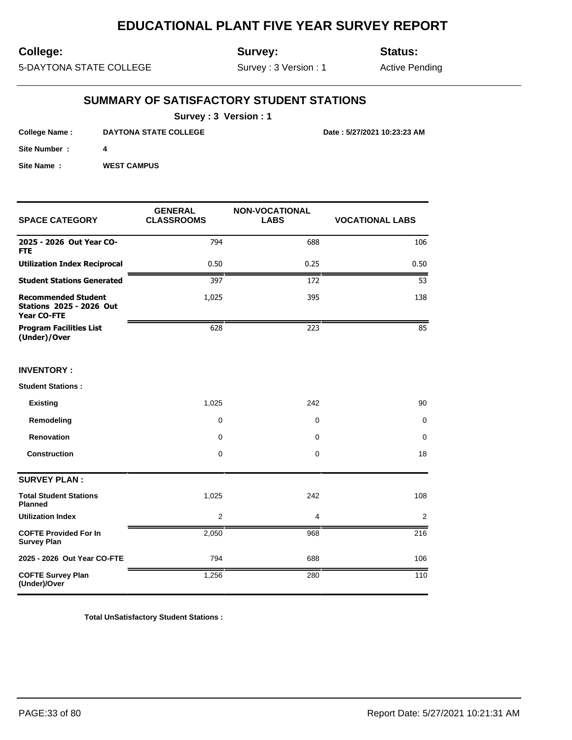## **College:**

**Survey:**

**Status:**

5-DAYTONA STATE COLLEGE

Survey : 3 Version : 1

Active Pending

## **SUMMARY OF SATISFACTORY STUDENT STATIONS**

**Survey : 3 Version : 1**

**College Name : DAYTONA STATE COLLEGE Date : 5/27/2021 10:23:23 AM**

**Site Number : 4**

**Site Name : WEST CAMPUS** 

| <b>SPACE CATEGORY</b>                                                        | <b>GENERAL</b><br><b>CLASSROOMS</b> | NON-VOCATIONAL<br><b>LABS</b> | <b>VOCATIONAL LABS</b> |
|------------------------------------------------------------------------------|-------------------------------------|-------------------------------|------------------------|
| 2025 - 2026 Out Year CO-<br><b>FTE</b>                                       | 794                                 | 688                           | 106                    |
| <b>Utilization Index Reciprocal</b>                                          | 0.50                                | 0.25                          | 0.50                   |
| <b>Student Stations Generated</b>                                            | 397                                 | 172                           | 53                     |
| <b>Recommended Student</b><br><b>Stations 2025 - 2026 Out</b><br>Year CO-FTE | 1,025                               | 395                           | 138                    |
| <b>Program Facilities List</b><br>(Under)/Over                               | 628                                 | 223                           | 85                     |
| <b>INVENTORY:</b>                                                            |                                     |                               |                        |
| <b>Student Stations:</b>                                                     |                                     |                               |                        |
| <b>Existing</b>                                                              | 1,025                               | 242                           | 90                     |
| Remodeling                                                                   | 0                                   | 0                             | 0                      |
| Renovation                                                                   | 0                                   | 0                             | 0                      |
| <b>Construction</b>                                                          | 0                                   | 0                             | 18                     |
| <b>SURVEY PLAN:</b>                                                          |                                     |                               |                        |
| <b>Total Student Stations</b><br><b>Planned</b>                              | 1,025                               | 242                           | 108                    |
| <b>Utilization Index</b>                                                     | $\overline{2}$                      | 4                             | $\overline{2}$         |
| <b>COFTE Provided For In</b><br><b>Survey Plan</b>                           | 2,050                               | 968                           | 216                    |
| 2025 - 2026 Out Year CO-FTE                                                  | 794                                 | 688                           | 106                    |
| <b>COFTE Survey Plan</b><br>(Under)/Over                                     | 1,256                               | 280                           | 110                    |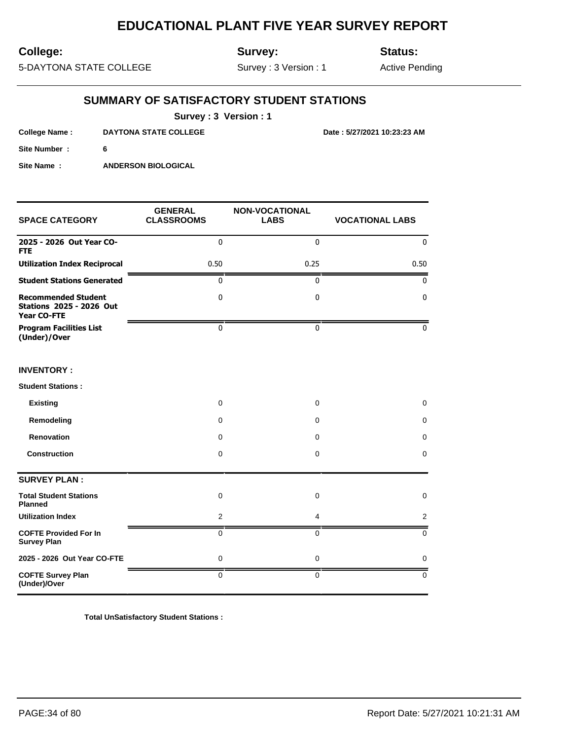## **College:**

**Survey:**

**Status:**

**College Name : DAYTONA STATE COLLEGE Date : 5/27/2021 10:23:23 AM**

5-DAYTONA STATE COLLEGE

Survey : 3 Version : 1

Active Pending

## **SUMMARY OF SATISFACTORY STUDENT STATIONS**

**Survey : 3 Version : 1**

| College Name: | <b>DAYTONA STATE COLLEGE</b> |
|---------------|------------------------------|
| Site Number:  |                              |
| Site Name:    | <b>ANDERSON BIOLOGICAL</b>   |

| <b>SPACE CATEGORY</b>                                                        | <b>GENERAL</b><br><b>CLASSROOMS</b> | <b>NON-VOCATIONAL</b><br><b>LABS</b> | <b>VOCATIONAL LABS</b> |
|------------------------------------------------------------------------------|-------------------------------------|--------------------------------------|------------------------|
| 2025 - 2026 Out Year CO-<br><b>FTE</b>                                       | $\mathbf{0}$                        | $\Omega$                             | $\mathbf 0$            |
| <b>Utilization Index Reciprocal</b>                                          | 0.50                                | 0.25                                 | 0.50                   |
| <b>Student Stations Generated</b>                                            | $\mathbf 0$                         | $\mathbf{0}$                         | 0                      |
| <b>Recommended Student</b><br><b>Stations 2025 - 2026 Out</b><br>Year CO-FTE | $\pmb{0}$                           | $\mathbf{0}$                         | 0                      |
| <b>Program Facilities List</b><br>(Under)/Over                               | $\mathbf 0$                         | $\mathbf{0}$                         | 0                      |
| <b>INVENTORY:</b>                                                            |                                     |                                      |                        |
| <b>Student Stations:</b>                                                     |                                     |                                      |                        |
| <b>Existing</b>                                                              | 0                                   | 0                                    | 0                      |
| Remodeling                                                                   | 0                                   | $\mathbf 0$                          | 0                      |
| Renovation                                                                   | 0                                   | 0                                    | 0                      |
| <b>Construction</b>                                                          | $\mathbf 0$                         | $\mathbf 0$                          | 0                      |
| <b>SURVEY PLAN:</b>                                                          |                                     |                                      |                        |
| <b>Total Student Stations</b><br>Planned                                     | $\mathbf 0$                         | $\mathbf 0$                          | 0                      |
| <b>Utilization Index</b>                                                     | 2                                   | $\overline{4}$                       | 2                      |
| <b>COFTE Provided For In</b><br><b>Survey Plan</b>                           | 0                                   | $\Omega$                             | 0                      |
| 2025 - 2026 Out Year CO-FTE                                                  | $\mathbf 0$                         | $\mathbf 0$                          | 0                      |
| <b>COFTE Survey Plan</b><br>(Under)/Over                                     | $\mathbf 0$                         | $\mathbf 0$                          | $\mathbf 0$            |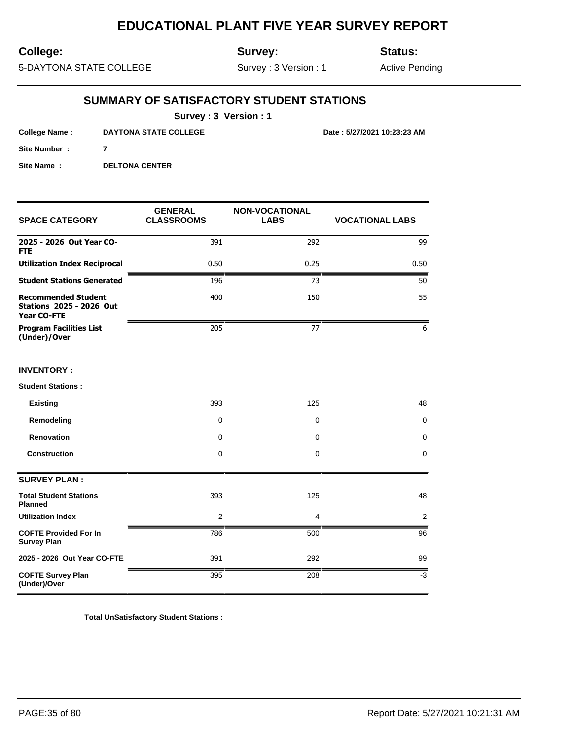## **College:**

**Survey:**

**Status:**

5-DAYTONA STATE COLLEGE

Survey : 3 Version : 1

Active Pending

## **SUMMARY OF SATISFACTORY STUDENT STATIONS**

**Survey : 3 Version : 1**

**College Name : DAYTONA STATE COLLEGE Date : 5/27/2021 10:23:23 AM**

**Site Name : DELTONA CENTER** 

**Site Number : 7**

| <b>SPACE CATEGORY</b>                                                        | <b>GENERAL</b><br><b>CLASSROOMS</b> | <b>NON-VOCATIONAL</b><br><b>LABS</b> | <b>VOCATIONAL LABS</b> |
|------------------------------------------------------------------------------|-------------------------------------|--------------------------------------|------------------------|
| 2025 - 2026 Out Year CO-<br><b>FTE</b>                                       | 391                                 | 292                                  | 99                     |
| <b>Utilization Index Reciprocal</b>                                          | 0.50                                | 0.25                                 | 0.50                   |
| <b>Student Stations Generated</b>                                            | 196                                 | 73                                   | 50                     |
| <b>Recommended Student</b><br><b>Stations 2025 - 2026 Out</b><br>Year CO-FTE | 400                                 | 150                                  | 55                     |
| <b>Program Facilities List</b><br>(Under)/Over                               | 205                                 | 77                                   | 6                      |
| <b>INVENTORY:</b>                                                            |                                     |                                      |                        |
| <b>Student Stations:</b>                                                     |                                     |                                      |                        |
| <b>Existing</b>                                                              | 393                                 | 125                                  | 48                     |
| Remodeling                                                                   | $\mathbf 0$                         | 0                                    | $\mathbf 0$            |
| Renovation                                                                   | 0                                   | 0                                    | $\mathbf 0$            |
| <b>Construction</b>                                                          | $\mathbf 0$                         | 0                                    | $\mathbf 0$            |
| <b>SURVEY PLAN:</b>                                                          |                                     |                                      |                        |
| <b>Total Student Stations</b><br><b>Planned</b>                              | 393                                 | 125                                  | 48                     |
| <b>Utilization Index</b>                                                     | 2                                   | 4                                    | 2                      |
| <b>COFTE Provided For In</b><br><b>Survey Plan</b>                           | 786                                 | 500                                  | 96                     |
| 2025 - 2026 Out Year CO-FTE                                                  | 391                                 | 292                                  | 99                     |
| <b>COFTE Survey Plan</b><br>(Under)/Over                                     | 395                                 | 208                                  | $-3$                   |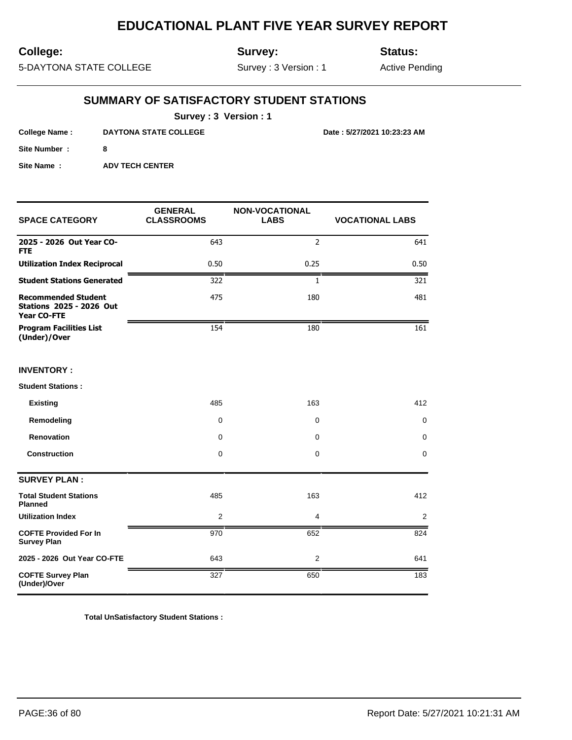## **College:**

**Survey:**

**Status:**

5-DAYTONA STATE COLLEGE

Survey : 3 Version : 1

Active Pending

## **SUMMARY OF SATISFACTORY STUDENT STATIONS**

**Survey : 3 Version : 1**

**College Name : DAYTONA STATE COLLEGE Date : 5/27/2021 10:23:23 AM**

**Site Number : 8**

**Site Name : ADV TECH CENTER** 

| <b>SPACE CATEGORY</b>                                                        | <b>GENERAL</b><br><b>CLASSROOMS</b> | <b>NON-VOCATIONAL</b><br><b>LABS</b> | <b>VOCATIONAL LABS</b> |
|------------------------------------------------------------------------------|-------------------------------------|--------------------------------------|------------------------|
| 2025 - 2026 Out Year CO-<br><b>FTE</b>                                       | 643                                 | $\overline{2}$                       | 641                    |
| <b>Utilization Index Reciprocal</b>                                          | 0.50                                | 0.25                                 | 0.50                   |
| <b>Student Stations Generated</b>                                            | 322                                 | 1                                    | 321                    |
| <b>Recommended Student</b><br><b>Stations 2025 - 2026 Out</b><br>Year CO-FTE | 475                                 | 180                                  | 481                    |
| <b>Program Facilities List</b><br>(Under)/Over                               | 154                                 | 180                                  | 161                    |
| <b>INVENTORY:</b>                                                            |                                     |                                      |                        |
| <b>Student Stations:</b>                                                     |                                     |                                      |                        |
| <b>Existing</b>                                                              | 485                                 | 163                                  | 412                    |
| Remodeling                                                                   | 0                                   | 0                                    | 0                      |
| Renovation                                                                   | $\mathbf 0$                         | $\mathbf 0$                          | 0                      |
| <b>Construction</b>                                                          | 0                                   | 0                                    | 0                      |
| <b>SURVEY PLAN:</b>                                                          |                                     |                                      |                        |
| <b>Total Student Stations</b><br>Planned                                     | 485                                 | 163                                  | 412                    |
| <b>Utilization Index</b>                                                     | $\overline{2}$                      | 4                                    | 2                      |
| <b>COFTE Provided For In</b><br><b>Survey Plan</b>                           | 970                                 | 652                                  | 824                    |
| 2025 - 2026 Out Year CO-FTE                                                  | 643                                 | $\overline{2}$                       | 641                    |
| <b>COFTE Survey Plan</b><br>(Under)/Over                                     | 327                                 | 650                                  | 183                    |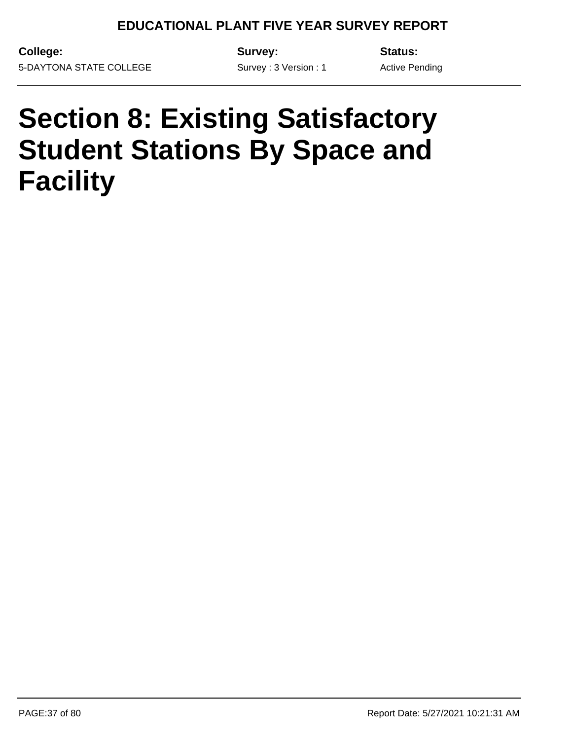Survey : 3 Version : 1

**College:** 5-DAYTONA STATE COLLEGE **Survey:**

**Status:**

Active Pending

## **Section 8: Existing Satisfactory Student Stations By Space and Facility**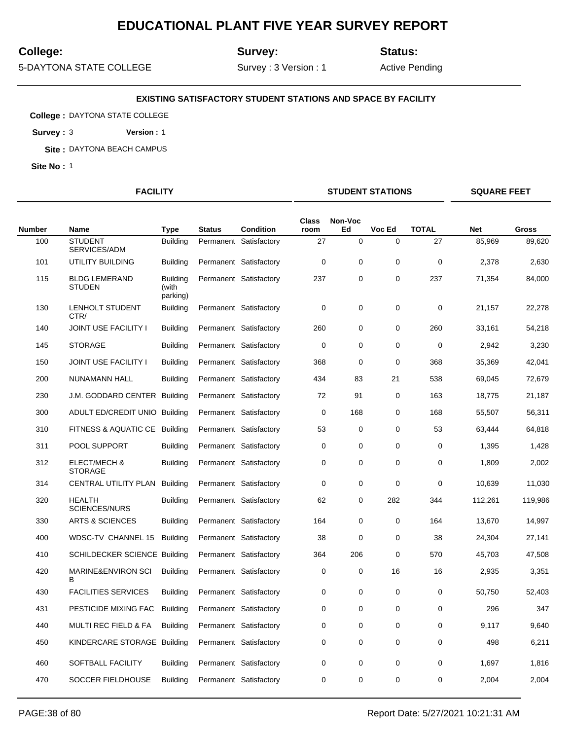## **College:**

**Site No :** 1

**Survey:**

**Status:**

5-DAYTONA STATE COLLEGE

**College :** DAYTONA STATE COLLEGE **Survey :** 3 **Version :** 1 **Site :** DAYTONA BEACH CAMPUS

Survey : 3 Version : 1

**EXISTING SATISFACTORY STUDENT STATIONS AND SPACE BY FACILITY**

Active Pending

**FACILITY STUDENT STATIONS SQUARE FEET**

|               |                                           |                                      |               |                        | Class       | Non-Voc     |             |              |            |         |
|---------------|-------------------------------------------|--------------------------------------|---------------|------------------------|-------------|-------------|-------------|--------------|------------|---------|
| <b>Number</b> | <b>Name</b>                               | <b>Type</b>                          | <b>Status</b> | <b>Condition</b>       | room        | Ed          | Voc Ed      | <b>TOTAL</b> | <b>Net</b> | Gross   |
| 100           | <b>STUDENT</b><br>SERVICES/ADM            | <b>Building</b>                      |               | Permanent Satisfactory | 27          | $\pmb{0}$   | 0           | 27           | 85,969     | 89,620  |
| 101           | UTILITY BUILDING                          | <b>Building</b>                      |               | Permanent Satisfactory | $\mathbf 0$ | $\mathbf 0$ | $\mathbf 0$ | 0            | 2,378      | 2,630   |
| 115           | <b>BLDG LEMERAND</b><br><b>STUDEN</b>     | <b>Building</b><br>(with<br>parking) |               | Permanent Satisfactory | 237         | $\mathbf 0$ | 0           | 237          | 71,354     | 84,000  |
| 130           | <b>LENHOLT STUDENT</b><br>CTR/            | <b>Building</b>                      |               | Permanent Satisfactory | 0           | $\mathbf 0$ | 0           | $\mathbf 0$  | 21,157     | 22,278  |
| 140           | <b>JOINT USE FACILITY I</b>               | <b>Building</b>                      |               | Permanent Satisfactory | 260         | $\mathbf 0$ | 0           | 260          | 33,161     | 54,218  |
| 145           | <b>STORAGE</b>                            | <b>Building</b>                      |               | Permanent Satisfactory | 0           | $\mathbf 0$ | 0           | 0            | 2,942      | 3,230   |
| 150           | <b>JOINT USE FACILITY I</b>               | <b>Building</b>                      |               | Permanent Satisfactory | 368         | 0           | $\mathbf 0$ | 368          | 35,369     | 42,041  |
| 200           | NUNAMANN HALL                             | <b>Building</b>                      |               | Permanent Satisfactory | 434         | 83          | 21          | 538          | 69,045     | 72,679  |
| 230           | J.M. GODDARD CENTER                       | Building                             |               | Permanent Satisfactory | 72          | 91          | 0           | 163          | 18,775     | 21,187  |
| 300           | ADULT ED/CREDIT UNIO Building             |                                      |               | Permanent Satisfactory | $\mathbf 0$ | 168         | $\mathbf 0$ | 168          | 55,507     | 56,311  |
| 310           | FITNESS & AQUATIC CE Building             |                                      |               | Permanent Satisfactory | 53          | $\mathbf 0$ | $\mathbf 0$ | 53           | 63,444     | 64,818  |
| 311           | POOL SUPPORT                              | <b>Building</b>                      |               | Permanent Satisfactory | 0           | 0           | 0           | 0            | 1,395      | 1,428   |
| 312           | <b>ELECT/MECH &amp;</b><br><b>STORAGE</b> | <b>Building</b>                      |               | Permanent Satisfactory | 0           | 0           | $\mathbf 0$ | $\mathbf 0$  | 1,809      | 2,002   |
| 314           | CENTRAL UTILITY PLAN                      | <b>Building</b>                      |               | Permanent Satisfactory | $\mathbf 0$ | $\mathbf 0$ | 0           | $\mathbf 0$  | 10,639     | 11,030  |
| 320           | <b>HEALTH</b><br><b>SCIENCES/NURS</b>     | <b>Building</b>                      |               | Permanent Satisfactory | 62          | 0           | 282         | 344          | 112,261    | 119,986 |
| 330           | <b>ARTS &amp; SCIENCES</b>                | <b>Building</b>                      |               | Permanent Satisfactory | 164         | $\mathbf 0$ | 0           | 164          | 13,670     | 14,997  |
| 400           | WDSC-TV CHANNEL 15                        | <b>Building</b>                      |               | Permanent Satisfactory | 38          | $\mathbf 0$ | 0           | 38           | 24,304     | 27,141  |
| 410           | SCHILDECKER SCIENCE Building              |                                      |               | Permanent Satisfactory | 364         | 206         | $\mathbf 0$ | 570          | 45,703     | 47,508  |
| 420           | <b>MARINE&amp;ENVIRON SCI</b><br>в        | <b>Building</b>                      |               | Permanent Satisfactory | 0           | 0           | 16          | 16           | 2,935      | 3,351   |
| 430           | <b>FACILITIES SERVICES</b>                | <b>Building</b>                      |               | Permanent Satisfactory | 0           | $\mathbf 0$ | $\Omega$    | $\Omega$     | 50,750     | 52,403  |
| 431           | PESTICIDE MIXING FAC                      | <b>Building</b>                      |               | Permanent Satisfactory | 0           | 0           | 0           | 0            | 296        | 347     |
| 440           | <b>MULTI REC FIELD &amp; FA</b>           | <b>Building</b>                      |               | Permanent Satisfactory | $\mathbf 0$ | $\mathbf 0$ | $\mathbf 0$ | $\mathbf 0$  | 9,117      | 9,640   |
| 450           | KINDERCARE STORAGE Building               |                                      |               | Permanent Satisfactory | 0           | 0           | 0           | 0            | 498        | 6,211   |
| 460           | SOFTBALL FACILITY                         | <b>Building</b>                      |               | Permanent Satisfactory | $\mathbf 0$ | $\mathbf 0$ | $\mathbf 0$ | $\mathbf 0$  | 1,697      | 1,816   |
| 470           | SOCCER FIELDHOUSE                         | <b>Building</b>                      |               | Permanent Satisfactory | $\mathbf 0$ | $\mathbf 0$ | 0           | $\mathbf 0$  | 2,004      | 2,004   |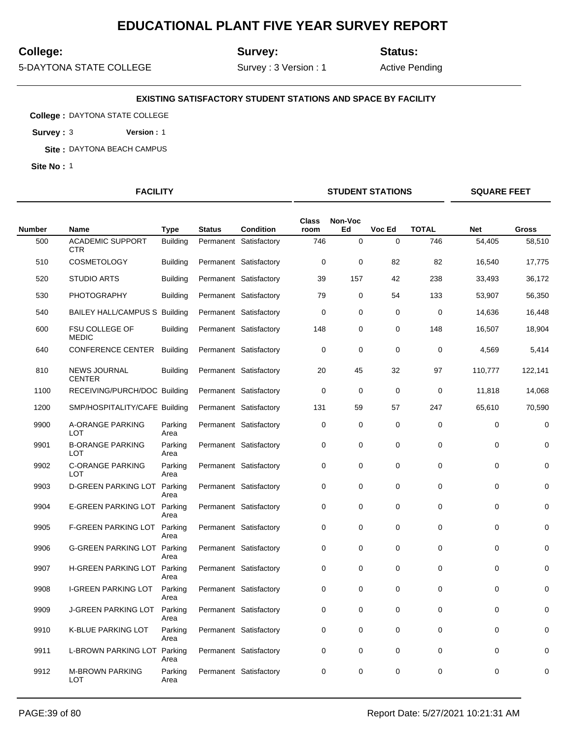## **College:**

**Site No :** 1

**Survey:**

**Status:**

5-DAYTONA STATE COLLEGE

**College :** DAYTONA STATE COLLEGE **Survey :** 3 **Version :** 1 **Site :** DAYTONA BEACH CAMPUS

Survey : 3 Version : 1

**EXISTING SATISFACTORY STUDENT STATIONS AND SPACE BY FACILITY**

Active Pending

**FACILITY STUDENT STATIONS SQUARE FEET**

| <b>Number</b> | <b>Name</b>                           | <b>Type</b>     | <b>Status</b> | <b>Condition</b>       | <b>Class</b><br>room | Non-Voc<br>Ed | Voc Ed      | <b>TOTAL</b> | <b>Net</b>  | <b>Gross</b> |
|---------------|---------------------------------------|-----------------|---------------|------------------------|----------------------|---------------|-------------|--------------|-------------|--------------|
| 500           | <b>ACADEMIC SUPPORT</b><br><b>CTR</b> | <b>Building</b> |               | Permanent Satisfactory | 746                  | $\mathbf 0$   | $\Omega$    | 746          | 54,405      | 58,510       |
| 510           | <b>COSMETOLOGY</b>                    | <b>Building</b> |               | Permanent Satisfactory | 0                    | $\mathbf 0$   | 82          | 82           | 16,540      | 17,775       |
| 520           | <b>STUDIO ARTS</b>                    | <b>Building</b> |               | Permanent Satisfactory | 39                   | 157           | 42          | 238          | 33,493      | 36,172       |
| 530           | <b>PHOTOGRAPHY</b>                    | <b>Building</b> |               | Permanent Satisfactory | 79                   | 0             | 54          | 133          | 53,907      | 56,350       |
| 540           | BAILEY HALL/CAMPUS S Building         |                 |               | Permanent Satisfactory | 0                    | 0             | 0           | 0            | 14,636      | 16,448       |
| 600           | <b>FSU COLLEGE OF</b><br><b>MEDIC</b> | <b>Building</b> |               | Permanent Satisfactory | 148                  | 0             | $\mathbf 0$ | 148          | 16,507      | 18,904       |
| 640           | <b>CONFERENCE CENTER</b>              | <b>Building</b> |               | Permanent Satisfactory | $\mathbf 0$          | 0             | $\mathbf 0$ | $\mathbf 0$  | 4,569       | 5,414        |
| 810           | <b>NEWS JOURNAL</b><br><b>CENTER</b>  | <b>Building</b> |               | Permanent Satisfactory | 20                   | 45            | 32          | 97           | 110,777     | 122,141      |
| 1100          | RECEIVING/PURCH/DOC Building          |                 |               | Permanent Satisfactory | $\mathbf 0$          | 0             | $\mathbf 0$ | $\mathbf 0$  | 11,818      | 14,068       |
| 1200          | SMP/HOSPITALITY/CAFE Building         |                 |               | Permanent Satisfactory | 131                  | 59            | 57          | 247          | 65,610      | 70,590       |
| 9900          | A-ORANGE PARKING<br><b>LOT</b>        | Parking<br>Area |               | Permanent Satisfactory | $\mathbf 0$          | $\mathbf 0$   | $\mathbf 0$ | 0            | $\mathbf 0$ | $\mathbf 0$  |
| 9901          | <b>B-ORANGE PARKING</b><br>LOT        | Parking<br>Area |               | Permanent Satisfactory | 0                    | 0             | $\mathbf 0$ | $\pmb{0}$    | $\mathbf 0$ | 0            |
| 9902          | <b>C-ORANGE PARKING</b><br><b>LOT</b> | Parking<br>Area |               | Permanent Satisfactory | $\mathbf 0$          | 0             | $\mathbf 0$ | 0            | $\mathbf 0$ | $\mathbf 0$  |
| 9903          | <b>D-GREEN PARKING LOT</b>            | Parking<br>Area |               | Permanent Satisfactory | 0                    | $\mathbf 0$   | $\mathbf 0$ | 0            | $\mathbf 0$ | $\Omega$     |
| 9904          | E-GREEN PARKING LOT Parking           | Area            |               | Permanent Satisfactory | 0                    | 0             | $\mathbf 0$ | 0            | $\mathbf 0$ | 0            |
| 9905          | <b>F-GREEN PARKING LOT</b>            | Parking<br>Area |               | Permanent Satisfactory | $\mathbf 0$          | 0             | $\mathbf 0$ | $\mathbf 0$  | 0           | $\mathbf 0$  |
| 9906          | G-GREEN PARKING LOT Parking           | Area            |               | Permanent Satisfactory | 0                    | 0             | $\mathbf 0$ | $\pmb{0}$    | $\mathbf 0$ | $\Omega$     |
| 9907          | H-GREEN PARKING LOT Parking           | Area            |               | Permanent Satisfactory | 0                    | 0             | $\mathbf 0$ | 0            | $\mathbf 0$ | 0            |
| 9908          | <b>I-GREEN PARKING LOT</b>            | Parking<br>Area |               | Permanent Satisfactory | $\mathbf 0$          | $\mathbf 0$   | $\Omega$    | $\mathbf 0$  | $\Omega$    | $\Omega$     |
| 9909          | <b>J-GREEN PARKING LOT</b>            | Parking<br>Area |               | Permanent Satisfactory | 0                    | 0             | $\mathbf 0$ | 0            | $\mathbf 0$ | $\mathbf 0$  |
| 9910          | K-BLUE PARKING LOT                    | Parking<br>Area |               | Permanent Satisfactory | $\mathbf 0$          | 0             | $\mathbf 0$ | $\mathbf 0$  | 0           | $\mathbf 0$  |
| 9911          | L-BROWN PARKING LOT                   | Parking<br>Area |               | Permanent Satisfactory | 0                    | 0             | 0           | 0            | $\mathbf 0$ | 0            |
| 9912          | <b>M-BROWN PARKING</b><br><b>LOT</b>  | Parking<br>Area |               | Permanent Satisfactory | 0                    | 0             | $\mathbf 0$ | 0            | 0           | $\mathbf 0$  |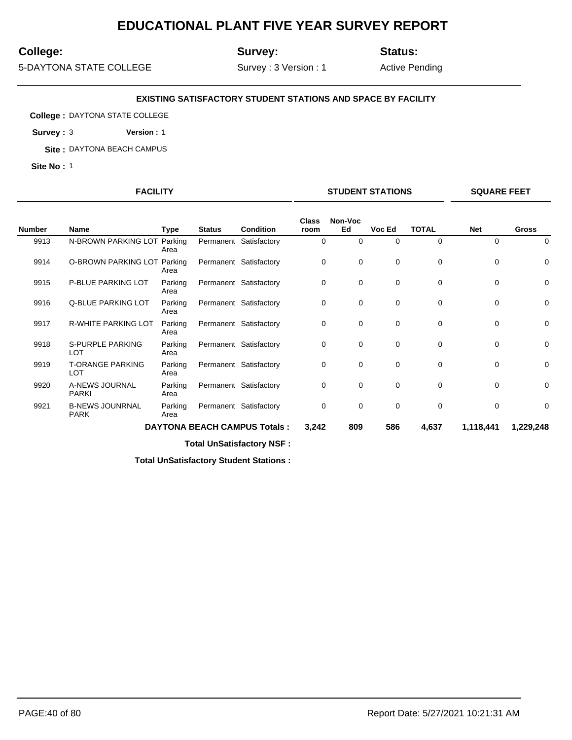## **College:**

**Site No :** 1

**Survey:**

**Status:**

5-DAYTONA STATE COLLEGE

**College :** DAYTONA STATE COLLEGE **Survey :** 3 **Version :** 1 **Site :** DAYTONA BEACH CAMPUS

Survey : 3 Version : 1

**EXISTING SATISFACTORY STUDENT STATIONS AND SPACE BY FACILITY**

Active Pending

**FACILITY STUDENT STATIONS SQUARE FEET**

| <b>Number</b> | <b>Name</b>                           | Type            | <b>Status</b> | <b>Condition</b>                    | <b>Class</b><br>room | Non-Voc<br>Ed | Voc Ed      | <b>TOTAL</b> | <b>Net</b>  | <b>Gross</b> |
|---------------|---------------------------------------|-----------------|---------------|-------------------------------------|----------------------|---------------|-------------|--------------|-------------|--------------|
| 9913          | N-BROWN PARKING LOT                   | Parking<br>Area |               | Permanent Satisfactory              | 0                    | 0             | 0           | 0            | $\mathbf 0$ | 0            |
| 9914          | O-BROWN PARKING LOT Parking           | Area            |               | Permanent Satisfactory              | 0                    | 0             | 0           | 0            | 0           | $\mathbf 0$  |
| 9915          | P-BLUE PARKING LOT                    | Parking<br>Area |               | Permanent Satisfactory              | 0                    | 0             | 0           | 0            | $\mathbf 0$ | 0            |
| 9916          | Q-BLUE PARKING LOT                    | Parking<br>Area |               | Permanent Satisfactory              | 0                    | 0             | 0           | 0            | $\mathbf 0$ | 0            |
| 9917          | R-WHITE PARKING LOT                   | Parking<br>Area |               | Permanent Satisfactory              | 0                    | 0             | 0           | $\mathbf 0$  | $\mathbf 0$ | $\mathbf 0$  |
| 9918          | S-PURPLE PARKING<br><b>LOT</b>        | Parking<br>Area |               | Permanent Satisfactory              | $\mathbf 0$          | 0             | $\mathbf 0$ | $\mathbf 0$  | $\mathbf 0$ | 0            |
| 9919          | <b>T-ORANGE PARKING</b><br>LOT        | Parking<br>Area |               | Permanent Satisfactory              | 0                    | 0             | 0           | 0            | $\mathbf 0$ | 0            |
| 9920          | A-NEWS JOURNAL<br><b>PARKI</b>        | Parking<br>Area |               | Permanent Satisfactory              | 0                    | 0             | $\mathbf 0$ | $\mathbf 0$  | $\mathbf 0$ | 0            |
| 9921          | <b>B-NEWS JOUNRNAL</b><br><b>PARK</b> | Parking<br>Area |               | Permanent Satisfactory              | $\mathbf 0$          | 0             | $\mathbf 0$ | $\mathbf 0$  | $\mathbf 0$ | 0            |
|               |                                       |                 |               | <b>DAYTONA BEACH CAMPUS Totals:</b> | 3,242                | 809           | 586         | 4,637        | 1,118,441   | 1,229,248    |

**Total UnSatisfactory NSF :**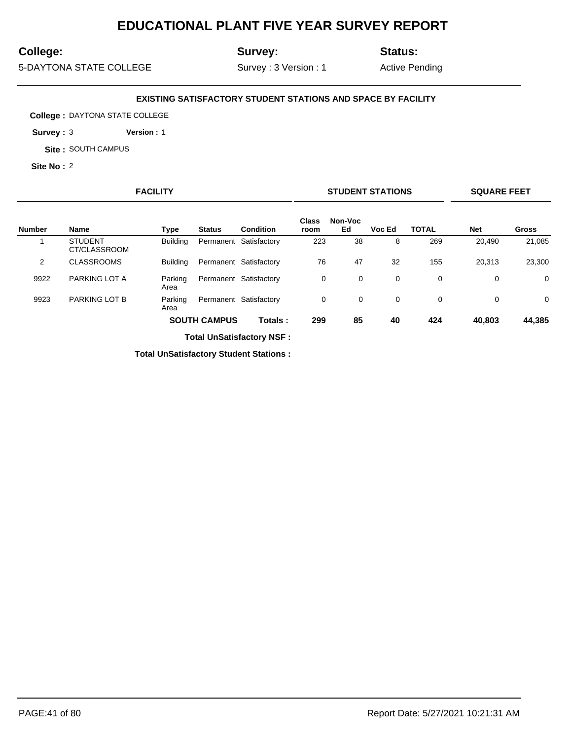## **College:**

**Site No :** 2

**Survey:**

**Status:**

5-DAYTONA STATE COLLEGE

**Site :** SOUTH CAMPUS

**College :** DAYTONA STATE COLLEGE **Survey :** 3 **Version :** 1

Survey : 3 Version : 1

**EXISTING SATISFACTORY STUDENT STATIONS AND SPACE BY FACILITY**

Active Pending

## **FACILITY STUDENT STATIONS SQUARE FEET**

|                |                                |                 |                     |                        | <b>Class</b> | Non-Voc |        |              |            |              |
|----------------|--------------------------------|-----------------|---------------------|------------------------|--------------|---------|--------|--------------|------------|--------------|
| <b>Number</b>  | Name                           | Type            | <b>Status</b>       | Condition              | room         | Ed      | Voc Ed | <b>TOTAL</b> | <b>Net</b> | <b>Gross</b> |
|                | <b>STUDENT</b><br>CT/CLASSROOM | <b>Building</b> |                     | Permanent Satisfactory | 223          | 38      | 8      | 269          | 20,490     | 21,085       |
| $\overline{2}$ | <b>CLASSROOMS</b>              | <b>Building</b> |                     | Permanent Satisfactory | 76           | 47      | 32     | 155          | 20,313     | 23,300       |
| 9922           | PARKING LOT A                  | Parking<br>Area |                     | Permanent Satisfactory | 0            | 0       | 0      | 0            | 0          | $\mathbf 0$  |
| 9923           | <b>PARKING LOT B</b>           | Parking<br>Area |                     | Permanent Satisfactory | 0            | 0       | 0      | 0            | 0          | $\mathbf 0$  |
|                |                                |                 | <b>SOUTH CAMPUS</b> | Totals:                | 299          | 85      | 40     | 424          | 40,803     | 44,385       |

**Total UnSatisfactory NSF :**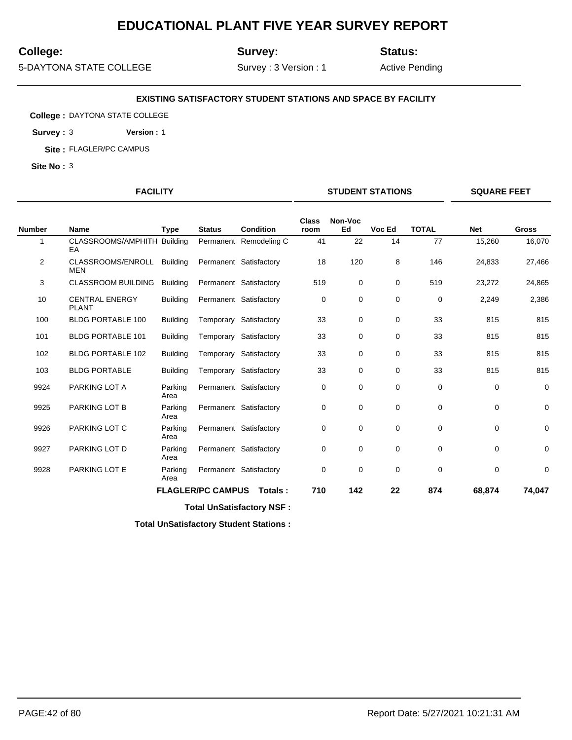## **College:**

**Site No :** 3

**Survey:**

**Status:**

5-DAYTONA STATE COLLEGE

**College :** DAYTONA STATE COLLEGE **Survey :** 3 **Version :** 1 **Site :** FLAGLER/PC CAMPUS

Survey : 3 Version : 1

**EXISTING SATISFACTORY STUDENT STATIONS AND SPACE BY FACILITY**

Active Pending

#### **FACILITY STUDENT STATIONS SQUARE FEET**

|                |                                       |                 |                          |                        | <b>Class</b> | Non-Voc |             |              |             |              |
|----------------|---------------------------------------|-----------------|--------------------------|------------------------|--------------|---------|-------------|--------------|-------------|--------------|
| <b>Number</b>  | <b>Name</b>                           | <b>Type</b>     | <b>Status</b>            | <b>Condition</b>       | room         | Ed      | Voc Ed      | <b>TOTAL</b> | <b>Net</b>  | <b>Gross</b> |
|                | CLASSROOMS/AMPHITH Building<br>EA     |                 |                          | Permanent Remodeling C | 41           | 22      | 14          | 77           | 15,260      | 16,070       |
| $\overline{2}$ | CLASSROOMS/ENROLL<br><b>MEN</b>       | Buildina        |                          | Permanent Satisfactory | 18           | 120     | 8           | 146          | 24,833      | 27,466       |
| 3              | <b>CLASSROOM BUILDING</b>             | <b>Building</b> |                          | Permanent Satisfactory | 519          | 0       | 0           | 519          | 23,272      | 24,865       |
| 10             | <b>CENTRAL ENERGY</b><br><b>PLANT</b> | <b>Building</b> |                          | Permanent Satisfactory | 0            | 0       | $\mathbf 0$ | $\mathbf 0$  | 2,249       | 2,386        |
| 100            | <b>BLDG PORTABLE 100</b>              | <b>Building</b> |                          | Temporary Satisfactory | 33           | 0       | 0           | 33           | 815         | 815          |
| 101            | <b>BLDG PORTABLE 101</b>              | <b>Building</b> |                          | Temporary Satisfactory | 33           | 0       | 0           | 33           | 815         | 815          |
| 102            | <b>BLDG PORTABLE 102</b>              | <b>Building</b> |                          | Temporary Satisfactory | 33           | 0       | 0           | 33           | 815         | 815          |
| 103            | <b>BLDG PORTABLE</b>                  | <b>Building</b> |                          | Temporary Satisfactory | 33           | 0       | 0           | 33           | 815         | 815          |
| 9924           | PARKING LOT A                         | Parking<br>Area |                          | Permanent Satisfactory | 0            | 0       | 0           | 0            | 0           | 0            |
| 9925           | PARKING LOT B                         | Parking<br>Area |                          | Permanent Satisfactory | 0            | 0       | $\mathbf 0$ | $\mathbf 0$  | $\mathbf 0$ | 0            |
| 9926           | PARKING LOT C                         | Parking<br>Area |                          | Permanent Satisfactory | 0            | 0       | $\mathbf 0$ | $\mathbf 0$  | $\mathbf 0$ | $\mathbf 0$  |
| 9927           | PARKING LOT D                         | Parking<br>Area |                          | Permanent Satisfactory | $\mathbf 0$  | 0       | $\mathbf 0$ | $\mathbf 0$  | $\mathbf 0$ | 0            |
| 9928           | PARKING LOT E                         | Parking<br>Area |                          | Permanent Satisfactory | 0            | 0       | $\mathbf 0$ | 0            | 0           | $\mathbf 0$  |
|                |                                       |                 | <b>FLAGLER/PC CAMPUS</b> | Totals:                | 710          | 142     | 22          | 874          | 68,874      | 74,047       |
|                |                                       |                 |                          |                        |              |         |             |              |             |              |

**Total UnSatisfactory NSF :**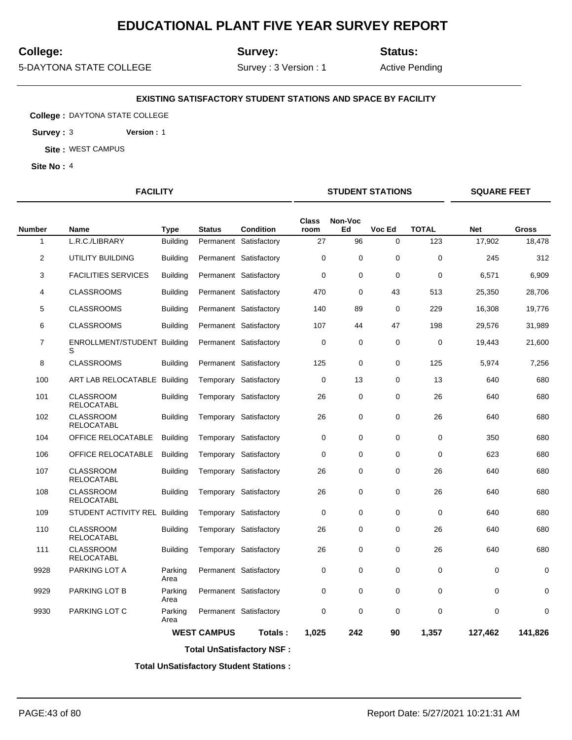## **College:**

**Site No :** 4

**Survey:**

**Status:**

5-DAYTONA STATE COLLEGE

**Site :** WEST CAMPUS

**College :** DAYTONA STATE COLLEGE **Survey :** 3 **Version :** 1

Survey : 3 Version : 1

**EXISTING SATISFACTORY STUDENT STATIONS AND SPACE BY FACILITY**

Active Pending

**FACILITY STUDENT STATIONS SQUARE FEET**

| <b>Number</b>  | Name                                    | Type            | <b>Status</b>      | <b>Condition</b>       | <b>Class</b><br>room | Non-Voc<br>Ed | Voc Ed      | <b>TOTAL</b> | <b>Net</b> | <b>Gross</b> |
|----------------|-----------------------------------------|-----------------|--------------------|------------------------|----------------------|---------------|-------------|--------------|------------|--------------|
| 1              | L.R.C./LIBRARY                          | <b>Building</b> |                    | Permanent Satisfactory | 27                   | 96            | $\mathbf 0$ | 123          | 17,902     | 18,478       |
| $\overline{2}$ | UTILITY BUILDING                        | <b>Building</b> |                    | Permanent Satisfactory | 0                    | 0             | $\mathbf 0$ | $\mathbf 0$  | 245        | 312          |
| 3              | <b>FACILITIES SERVICES</b>              | <b>Building</b> |                    | Permanent Satisfactory | $\mathbf 0$          | $\mathbf 0$   | $\mathbf 0$ | $\mathbf 0$  | 6,571      | 6,909        |
| 4              | <b>CLASSROOMS</b>                       | <b>Building</b> |                    | Permanent Satisfactory | 470                  | 0             | 43          | 513          | 25,350     | 28,706       |
| 5              | <b>CLASSROOMS</b>                       | <b>Building</b> |                    | Permanent Satisfactory | 140                  | 89            | $\mathbf 0$ | 229          | 16,308     | 19,776       |
| 6              | <b>CLASSROOMS</b>                       | <b>Building</b> |                    | Permanent Satisfactory | 107                  | 44            | 47          | 198          | 29,576     | 31,989       |
| $\overline{7}$ | <b>ENROLLMENT/STUDENT Building</b><br>S |                 |                    | Permanent Satisfactory | 0                    | 0             | 0           | $\mathbf 0$  | 19,443     | 21,600       |
| 8              | <b>CLASSROOMS</b>                       | <b>Building</b> |                    | Permanent Satisfactory | 125                  | 0             | $\mathbf 0$ | 125          | 5,974      | 7,256        |
| 100            | ART LAB RELOCATABLE Building            |                 |                    | Temporary Satisfactory | 0                    | 13            | 0           | 13           | 640        | 680          |
| 101            | <b>CLASSROOM</b><br><b>RELOCATABL</b>   | <b>Building</b> |                    | Temporary Satisfactory | 26                   | 0             | $\mathbf 0$ | 26           | 640        | 680          |
| 102            | <b>CLASSROOM</b><br><b>RELOCATABL</b>   | <b>Building</b> |                    | Temporary Satisfactory | 26                   | 0             | $\mathbf 0$ | 26           | 640        | 680          |
| 104            | OFFICE RELOCATABLE                      | <b>Building</b> |                    | Temporary Satisfactory | $\mathbf 0$          | $\mathbf 0$   | $\mathbf 0$ | $\mathbf 0$  | 350        | 680          |
| 106            | OFFICE RELOCATABLE                      | <b>Building</b> |                    | Temporary Satisfactory | 0                    | 0             | $\mathbf 0$ | $\mathbf 0$  | 623        | 680          |
| 107            | <b>CLASSROOM</b><br><b>RELOCATABL</b>   | <b>Building</b> |                    | Temporary Satisfactory | 26                   | 0             | $\mathbf 0$ | 26           | 640        | 680          |
| 108            | <b>CLASSROOM</b><br>RELOCATABL          | <b>Building</b> |                    | Temporary Satisfactory | 26                   | 0             | $\mathbf 0$ | 26           | 640        | 680          |
| 109            | STUDENT ACTIVITY REL Building           |                 |                    | Temporary Satisfactory | 0                    | 0             | $\mathbf 0$ | $\Omega$     | 640        | 680          |
| 110            | <b>CLASSROOM</b><br><b>RELOCATABL</b>   | <b>Building</b> |                    | Temporary Satisfactory | 26                   | 0             | $\mathbf 0$ | 26           | 640        | 680          |
| 111            | <b>CLASSROOM</b><br><b>RELOCATABL</b>   | <b>Building</b> |                    | Temporary Satisfactory | 26                   | 0             | $\mathbf 0$ | 26           | 640        | 680          |
| 9928           | PARKING LOT A                           | Parking<br>Area |                    | Permanent Satisfactory | 0                    | 0             | 0           | 0            | 0          | 0            |
| 9929           | PARKING LOT B                           | Parking<br>Area |                    | Permanent Satisfactory | $\mathbf 0$          | $\mathbf 0$   | $\mathbf 0$ | $\mathbf 0$  | 0          | $\mathbf 0$  |
| 9930           | PARKING LOT C                           | Parking<br>Area |                    | Permanent Satisfactory | 0                    | 0             | $\mathbf 0$ | $\mathbf 0$  | 0          | $\mathbf 0$  |
|                |                                         |                 | <b>WEST CAMPUS</b> | Totals:                | 1.025                | 242           | 90          | 1,357        | 127,462    | 141,826      |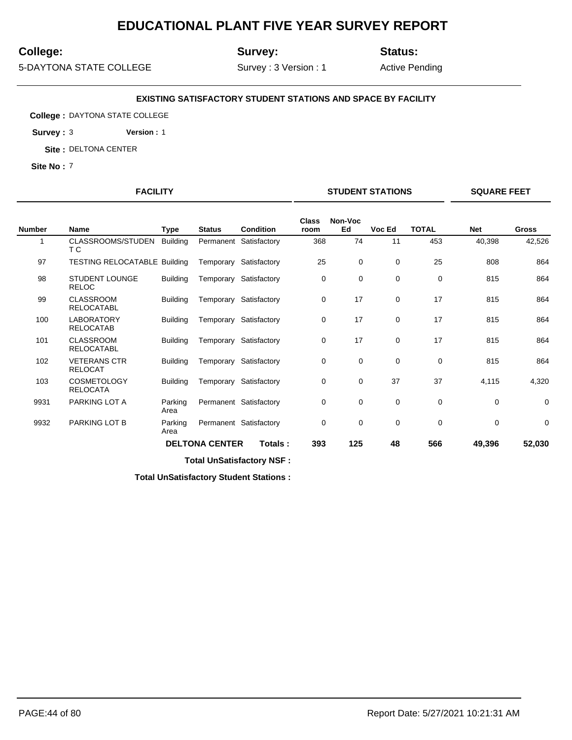## **College:**

**Site No :** 7

**Survey:**

**Status:**

5-DAYTONA STATE COLLEGE

**College :** DAYTONA STATE COLLEGE **Survey :** 3 **Version :** 1 **Site :** DELTONA CENTER

Survey : 3 Version : 1

**EXISTING SATISFACTORY STUDENT STATIONS AND SPACE BY FACILITY**

Active Pending

**FACILITY STUDENT STATIONS SQUARE FEET**

| <b>Number</b> | <b>Name</b>                           | Type            | <b>Status</b>         | <b>Condition</b>       | <b>Class</b><br>room | Non-Voc<br>Ed | Voc Ed      | <b>TOTAL</b> | <b>Net</b>  | <b>Gross</b> |
|---------------|---------------------------------------|-----------------|-----------------------|------------------------|----------------------|---------------|-------------|--------------|-------------|--------------|
|               | CLASSROOMS/STUDEN<br>ТC               | <b>Building</b> |                       | Permanent Satisfactory | 368                  | 74            | 11          | 453          | 40,398      | 42,526       |
| 97            | <b>TESTING RELOCATABLE Building</b>   |                 |                       | Temporary Satisfactory | 25                   | 0             | 0           | 25           | 808         | 864          |
| 98            | <b>STUDENT LOUNGE</b><br><b>RELOC</b> | <b>Building</b> |                       | Temporary Satisfactory | 0                    | 0             | $\mathbf 0$ | 0            | 815         | 864          |
| 99            | <b>CLASSROOM</b><br><b>RELOCATABL</b> | <b>Building</b> | Temporary             | Satisfactory           | 0                    | 17            | 0           | 17           | 815         | 864          |
| 100           | <b>LABORATORY</b><br><b>RELOCATAB</b> | <b>Building</b> |                       | Temporary Satisfactory | 0                    | 17            | 0           | 17           | 815         | 864          |
| 101           | <b>CLASSROOM</b><br><b>RELOCATABL</b> | <b>Building</b> | Temporary             | Satisfactory           | 0                    | 17            | $\mathbf 0$ | 17           | 815         | 864          |
| 102           | <b>VETERANS CTR</b><br><b>RELOCAT</b> | <b>Building</b> |                       | Temporary Satisfactory | 0                    | 0             | 0           | $\mathbf 0$  | 815         | 864          |
| 103           | <b>COSMETOLOGY</b><br><b>RELOCATA</b> | <b>Building</b> | Temporary             | Satisfactory           | 0                    | 0             | 37          | 37           | 4,115       | 4,320        |
| 9931          | PARKING LOT A                         | Parking<br>Area |                       | Permanent Satisfactory | $\mathbf 0$          | 0             | $\mathbf 0$ | 0            | $\mathbf 0$ | 0            |
| 9932          | PARKING LOT B                         | Parking<br>Area |                       | Permanent Satisfactory | 0                    | 0             | 0           | 0            | $\mathbf 0$ | $\mathbf 0$  |
|               |                                       |                 | <b>DELTONA CENTER</b> | Totals:                | 393                  | 125           | 48          | 566          | 49,396      | 52,030       |

**Total UnSatisfactory NSF :**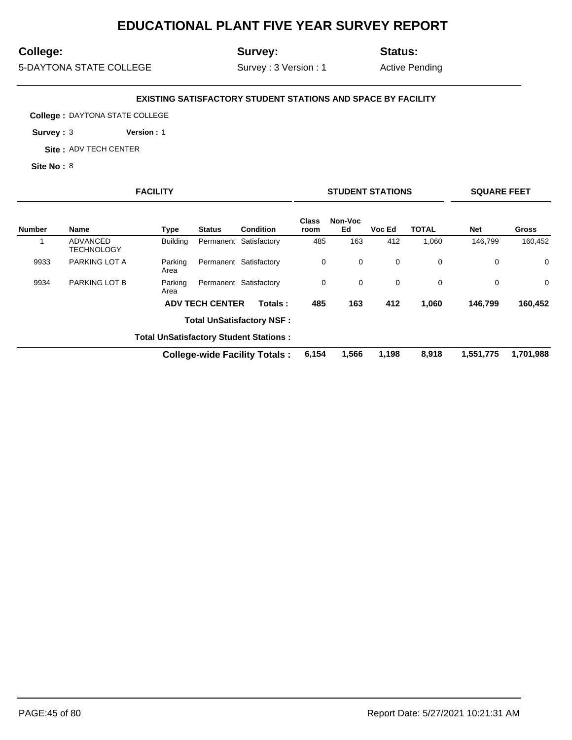## **College:**

**Site No :** 8

**Survey:**

**Status:**

5-DAYTONA STATE COLLEGE

**College :** DAYTONA STATE COLLEGE **Survey :** 3 **Version :** 1 **Site :** ADV TECH CENTER

Survey : 3 Version : 1

**EXISTING SATISFACTORY STUDENT STATIONS AND SPACE BY FACILITY**

Active Pending

# **FACILITY STUDENT STATIONS SQUARE FEET**

| <b>Number</b> | <b>Name</b>            | Type            | <b>Status</b>          | Condition                                     | <b>Class</b><br>room | Non-Voc<br>Ed | Voc Ed      | <b>TOTAL</b> | <b>Net</b> | <b>Gross</b> |
|---------------|------------------------|-----------------|------------------------|-----------------------------------------------|----------------------|---------------|-------------|--------------|------------|--------------|
|               | ADVANCED<br>TECHNOLOGY | <b>Building</b> |                        | Permanent Satisfactory                        | 485                  | 163           | 412         | 1,060        | 146.799    | 160,452      |
| 9933          | PARKING LOT A          | Parking<br>Area |                        | Permanent Satisfactory                        | 0                    | 0             | $\mathbf 0$ | 0            | 0          | $\mathbf 0$  |
| 9934          | PARKING LOT B          | Parking<br>Area |                        | Permanent Satisfactory                        | 0                    | 0             | $\mathbf 0$ | 0            | 0          | $\mathbf 0$  |
|               |                        |                 | <b>ADV TECH CENTER</b> | Totals:                                       | 485                  | 163           | 412         | 1,060        | 146.799    | 160,452      |
|               |                        |                 |                        | <b>Total UnSatisfactory NSF:</b>              |                      |               |             |              |            |              |
|               |                        |                 |                        | <b>Total UnSatisfactory Student Stations:</b> |                      |               |             |              |            |              |
|               |                        |                 |                        | <b>College-wide Facility Totals:</b>          | 6,154                | 1,566         | 1,198       | 8.918        | 1,551,775  | 1,701,988    |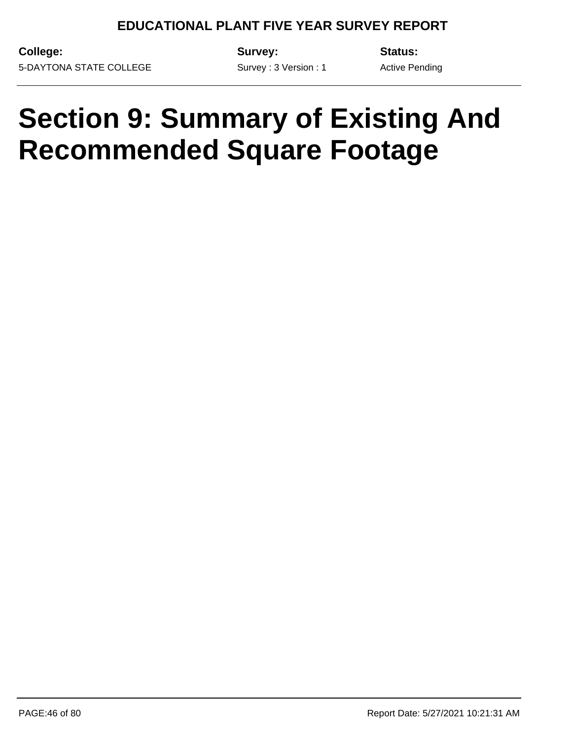Survey : 3 Version : 1

**College:** 5-DAYTONA STATE COLLEGE **Survey:**

**Status:**

Active Pending

## **Section 9: Summary of Existing And Recommended Square Footage**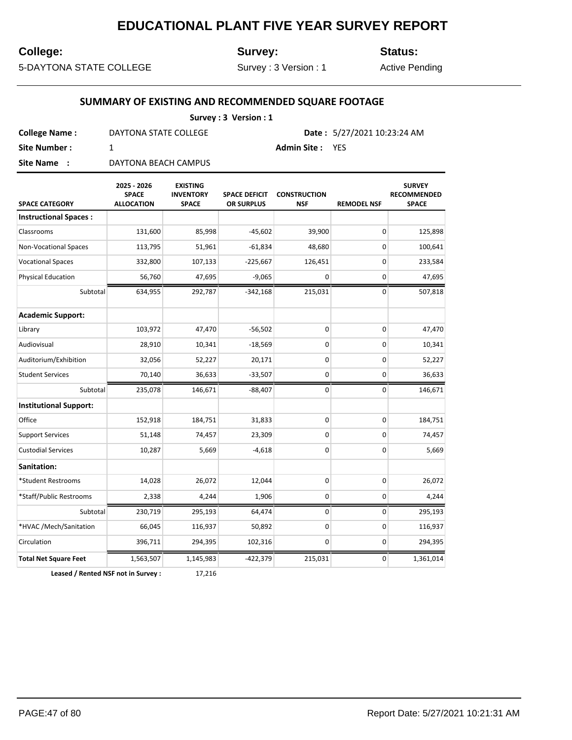#### **College:**

**Survey:**

**Status:**

5-DAYTONA STATE COLLEGE

Survey : 3 Version : 1

Active Pending

#### **SUMMARY OF EXISTING AND RECOMMENDED SQUARE FOOTAGE**

| Survey: 3 Version: 1 |                       |                                      |  |  |  |  |
|----------------------|-----------------------|--------------------------------------|--|--|--|--|
| <b>College Name:</b> | DAYTONA STATE COLLEGE | <b>Date:</b> $5/27/2021$ 10:23:24 AM |  |  |  |  |
| Site Number :        |                       | <b>Admin Site: YES</b>               |  |  |  |  |
| Site Name:           | DAYTONA BEACH CAMPUS  |                                      |  |  |  |  |

**SPACE CATEGORY 2025 - 2026 SPACE ALLOCATION EXISTING INVENTORY SPACE SPACE DEFICIT OR SURPLUS CONSTRUCTION NSF REMODEL NSF SURVEY RECOMMENDED SPACE Instructional Spaces :** Classrooms 131,600 85,998 -45,602 39,900 0 125,898 Non-Vocational Spaces 113,795 51,961 -61,834 48,680 0 100,641 Vocational Spaces 332,800 107,133 -225,667 126,451 0 233,584 Physical Education  $56,760$   $47,695$   $-9,065$  0 0 0 47,695 Subtotal 634,955 292,787 -342,168 215,031 0 507,818 **Academic Support:** Library 103,972 47,470 -56,502 0 0 47,470 Audiovisual 28,910 10,341 -18,569 0 0 10,341 Auditorium/Exhibition | 32,056 52,227 20,171 0 0 52,227 Student Services 70,140 36,633 -33,507 0 0 36,633 Subtotal 235,078 146,671 -88,407 0 0 146,671 **Institutional Support:** Office 152,918 184,751 31,833 0 0 184,751 Support Services **51,148** 74,457 23,309 0 0 74,457 Custodial Services 10,287 5,669 -4,618 0 0 5,669 **Sanitation:** \*Student Restrooms 14,028 26,072 12,044 0 0 26,072 \*Staff/Public Restrooms 2,338 4,244 1,906 0 0 4,244 Subtotal 230,719 295,193 64,474 0 0 295,193 \*HVAC /Mech/Sanitation 66,045 116,937 50,892 0 0 116,937 Circulation 396,711 294,395 102,316 0 0 294,395 **Total Net Square Feet** 1,563,507 1,145,983 -422,379 215,031 0 1,361,014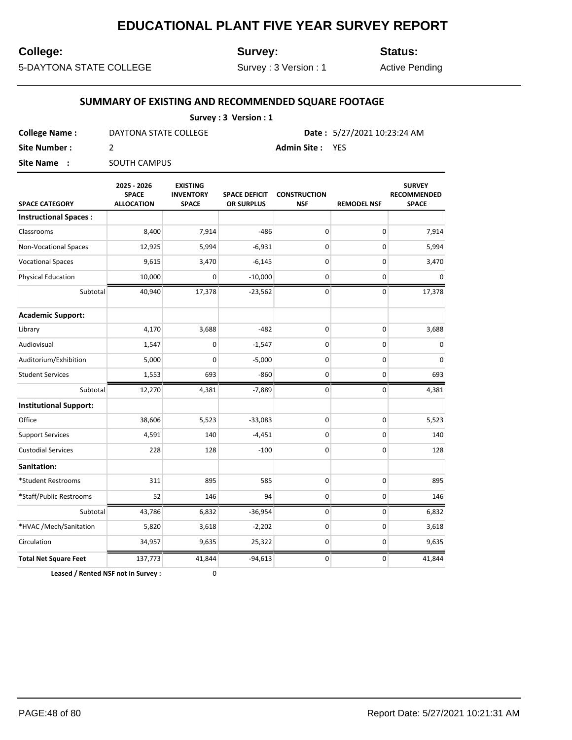## **College:**

**Survey:**

**Status:**

5-DAYTONA STATE COLLEGE

Survey : 3 Version : 1

Active Pending

#### **SUMMARY OF EXISTING AND RECOMMENDED SQUARE FOOTAGE**

|                      | Survey: 3 Version: 1  |                        |                             |
|----------------------|-----------------------|------------------------|-----------------------------|
| <b>College Name:</b> | DAYTONA STATE COLLEGE |                        | Date: 5/27/2021 10:23:24 AM |
| Site Number :        |                       | <b>Admin Site: YES</b> |                             |
| Site Name:           | <b>SOUTH CAMPUS</b>   |                        |                             |

| <b>SPACE CATEGORY</b>         | 2025 - 2026<br><b>SPACE</b><br><b>ALLOCATION</b> | <b>EXISTING</b><br><b>INVENTORY</b><br><b>SPACE</b> | <b>SPACE DEFICIT</b><br>OR SURPLUS | <b>CONSTRUCTION</b><br><b>NSF</b> | <b>REMODEL NSF</b> | <b>SURVEY</b><br><b>RECOMMENDED</b><br><b>SPACE</b> |
|-------------------------------|--------------------------------------------------|-----------------------------------------------------|------------------------------------|-----------------------------------|--------------------|-----------------------------------------------------|
| <b>Instructional Spaces:</b>  |                                                  |                                                     |                                    |                                   |                    |                                                     |
| Classrooms                    | 8,400                                            | 7,914                                               | $-486$                             | 0                                 | 0                  | 7,914                                               |
| Non-Vocational Spaces         | 12,925                                           | 5,994                                               | $-6,931$                           | 0                                 | 0                  | 5,994                                               |
| <b>Vocational Spaces</b>      | 9,615                                            | 3,470                                               | $-6,145$                           | 0                                 | 0                  | 3,470                                               |
| <b>Physical Education</b>     | 10,000                                           | 0                                                   | $-10,000$                          | 0                                 | 0                  | $\mathbf 0$                                         |
| Subtotal                      | 40,940                                           | 17,378                                              | $-23,562$                          | 0                                 | 0                  | 17,378                                              |
| <b>Academic Support:</b>      |                                                  |                                                     |                                    |                                   |                    |                                                     |
| Library                       | 4,170                                            | 3,688                                               | $-482$                             | 0                                 | 0                  | 3,688                                               |
| Audiovisual                   | 1,547                                            | 0                                                   | $-1,547$                           | 0                                 | 0                  | $\mathbf 0$                                         |
| Auditorium/Exhibition         | 5,000                                            | 0                                                   | $-5,000$                           | 0                                 | 0                  | $\mathbf 0$                                         |
| <b>Student Services</b>       | 1,553                                            | 693                                                 | $-860$                             | 0                                 | 0                  | 693                                                 |
| Subtotal                      | 12,270                                           | 4,381                                               | $-7,889$                           | 0                                 | 0                  | 4,381                                               |
| <b>Institutional Support:</b> |                                                  |                                                     |                                    |                                   |                    |                                                     |
| Office                        | 38,606                                           | 5,523                                               | $-33,083$                          | 0                                 | 0                  | 5,523                                               |
| <b>Support Services</b>       | 4,591                                            | 140                                                 | $-4,451$                           | 0                                 | 0                  | 140                                                 |
| <b>Custodial Services</b>     | 228                                              | 128                                                 | $-100$                             | 0                                 | 0                  | 128                                                 |
| Sanitation:                   |                                                  |                                                     |                                    |                                   |                    |                                                     |
| *Student Restrooms            | 311                                              | 895                                                 | 585                                | 0                                 | 0                  | 895                                                 |
| *Staff/Public Restrooms       | 52                                               | 146                                                 | 94                                 | 0                                 | 0                  | 146                                                 |
| Subtotal                      | 43,786                                           | 6,832                                               | $-36,954$                          | 0                                 | 0                  | 6,832                                               |
| *HVAC /Mech/Sanitation        | 5,820                                            | 3,618                                               | $-2,202$                           | 0                                 | 0                  | 3,618                                               |
| Circulation                   | 34,957                                           | 9,635                                               | 25,322                             | 0                                 | 0                  | 9,635                                               |
| <b>Total Net Square Feet</b>  | 137,773                                          | 41,844                                              | $-94,613$                          | 0                                 | 0                  | 41,844                                              |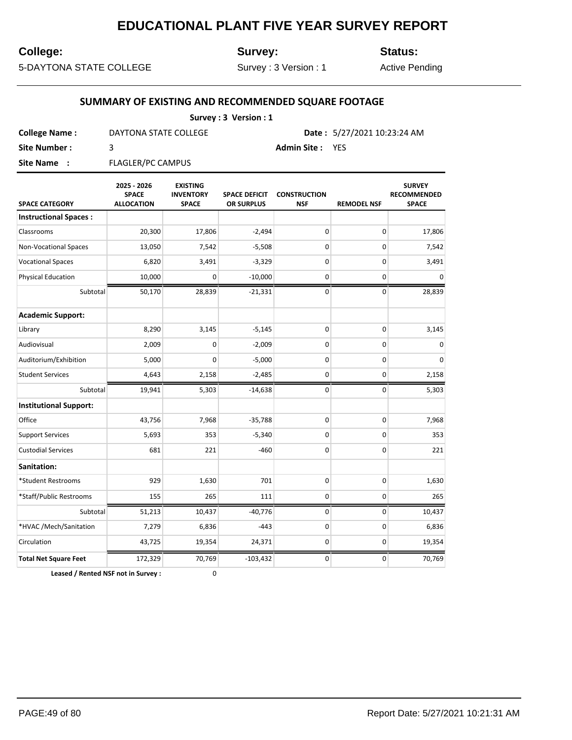#### **College:**

**Survey:**

**Status:**

5-DAYTONA STATE COLLEGE

Survey : 3 Version : 1

Active Pending

#### **SUMMARY OF EXISTING AND RECOMMENDED SQUARE FOOTAGE**

| Survey: 3 Version: 1 |                          |                                      |  |  |  |  |
|----------------------|--------------------------|--------------------------------------|--|--|--|--|
| <b>College Name:</b> | DAYTONA STATE COLLEGE    | <b>Date:</b> $5/27/2021$ 10:23:24 AM |  |  |  |  |
| Site Number :        |                          | <b>Admin Site: YES</b>               |  |  |  |  |
| Site Name:           | <b>FLAGLER/PC CAMPUS</b> |                                      |  |  |  |  |

**SPACE CATEGORY 2025 - 2026 SPACE ALLOCATION EXISTING INVENTORY SPACE SPACE DEFICIT OR SURPLUS CONSTRUCTION NSF REMODEL NSF SURVEY RECOMMENDED SPACE Instructional Spaces :** Classrooms 20,300 17,806 -2,494 0 0 17,806 Non-Vocational Spaces 13,050 7,542 -5,508 0 0 7,542 Vocational Spaces  $6,820$   $3,491$   $-3,329$   $0$   $0$   $3,491$ Physical Education 10,000 0 -10,000 0 0 0 Subtotal 50,170 28,839 -21,331 0 0 0 28,839 **Academic Support:** Library 8,290 3,145 -5,145 0 0 3,145 Audiovisual 2,009 0 -2,009 0 0 0 Auditorium/Exhibition | 5,000 0 -5,000 0 0 0 0 0 0 Student Services (  $\begin{array}{|c|c|c|c|c|c|}\n\hline\n& 4,643 & 2,158 & -2,485 & 0 & 0 & 2,158 \\
\hline\n\end{array}$ Subtotal 19,941 5,303 -14,638 0 0 5,303 **Institutional Support:** Office 19, 1990 19,968 43,756 7,968 5,788 0 0 0 7,968 0 7,968 Support Services **5,693** 353 -5,340 0 0 353  $\text{Custodial Services} \quad | \quad 681 \quad 221 \quad -460 \quad 0 \quad 0 \quad 221$ **Sanitation:** \*Student Restrooms 929 1,630 701 0 0 1,630 \*Staff/Public Restrooms 155 265 111 0 0 265 Subtotal 51,213 10,437 -40,776 0 0 10,437 \*HVAC /Mech/Sanitation 7,279 6,836 -443 0 0 6,836 Circulation 19,354 24,371 0 0 19,354 24,371 0 0 19,354 **Total Net Square Feet**  $\begin{array}{|c|c|c|c|c|c|c|c|c|} \hline \end{array}$  172,329 70,769 -103,432 0 0 0 70,769 70,769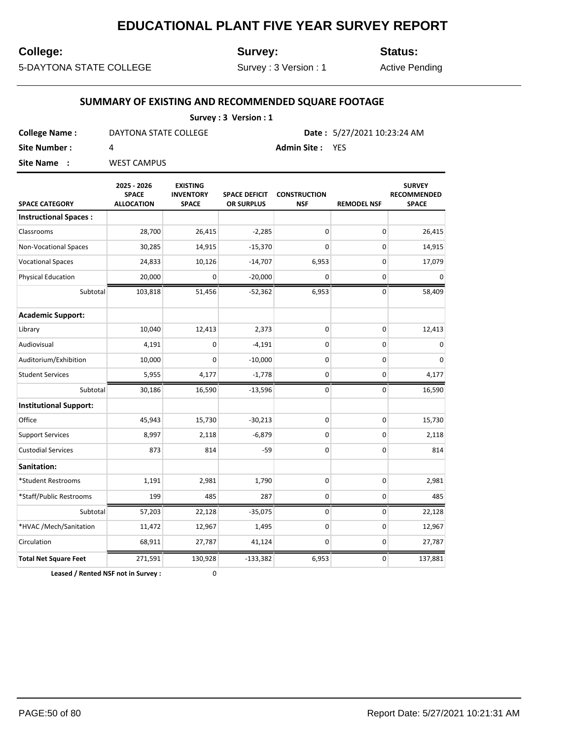## **College:**

**Survey:**

**Status:**

5-DAYTONA STATE COLLEGE

Survey : 3 Version : 1

Active Pending

#### **SUMMARY OF EXISTING AND RECOMMENDED SQUARE FOOTAGE**

| Survey: 3 Version: 1 |                       |                             |  |  |  |  |
|----------------------|-----------------------|-----------------------------|--|--|--|--|
| <b>College Name:</b> | DAYTONA STATE COLLEGE | Date: 5/27/2021 10:23:24 AM |  |  |  |  |
| Site Number :        |                       | <b>Admin Site: YES</b>      |  |  |  |  |
| Site Name:           | <b>WEST CAMPUS</b>    |                             |  |  |  |  |

| <b>SPACE CATEGORY</b>         | 2025 - 2026<br><b>SPACE</b><br><b>ALLOCATION</b> | <b>EXISTING</b><br><b>INVENTORY</b><br><b>SPACE</b> | <b>SPACE DEFICIT</b><br>OR SURPLUS | <b>CONSTRUCTION</b><br><b>NSF</b> | <b>REMODEL NSF</b> | <b>SURVEY</b><br><b>RECOMMENDED</b><br><b>SPACE</b> |
|-------------------------------|--------------------------------------------------|-----------------------------------------------------|------------------------------------|-----------------------------------|--------------------|-----------------------------------------------------|
| <b>Instructional Spaces:</b>  |                                                  |                                                     |                                    |                                   |                    |                                                     |
| Classrooms                    | 28,700                                           | 26,415                                              | $-2,285$                           | 0                                 | 0                  | 26,415                                              |
| <b>Non-Vocational Spaces</b>  | 30,285                                           | 14,915                                              | $-15,370$                          | 0                                 | 0                  | 14,915                                              |
| <b>Vocational Spaces</b>      | 24,833                                           | 10,126                                              | $-14,707$                          | 6,953                             | 0                  | 17,079                                              |
| <b>Physical Education</b>     | 20,000                                           | 0                                                   | $-20,000$                          | 0                                 | 0                  | $\mathbf 0$                                         |
| Subtotal                      | 103,818                                          | 51,456                                              | $-52,362$                          | 6,953                             | $\mathbf 0$        | 58,409                                              |
| <b>Academic Support:</b>      |                                                  |                                                     |                                    |                                   |                    |                                                     |
| Library                       | 10,040                                           | 12,413                                              | 2,373                              | 0                                 | 0                  | 12,413                                              |
| Audiovisual                   | 4,191                                            | 0                                                   | $-4,191$                           | 0                                 | 0                  | 0                                                   |
| Auditorium/Exhibition         | 10,000                                           | 0                                                   | $-10,000$                          | 0                                 | 0                  | 0                                                   |
| <b>Student Services</b>       | 5,955                                            | 4,177                                               | $-1,778$                           | 0                                 | 0                  | 4,177                                               |
| Subtotal                      | 30,186                                           | 16,590                                              | $-13,596$                          | 0                                 | 0                  | 16,590                                              |
| <b>Institutional Support:</b> |                                                  |                                                     |                                    |                                   |                    |                                                     |
| Office                        | 45,943                                           | 15,730                                              | $-30,213$                          | 0                                 | $\mathbf 0$        | 15,730                                              |
| <b>Support Services</b>       | 8,997                                            | 2,118                                               | $-6,879$                           | 0                                 | $\pmb{0}$          | 2,118                                               |
| <b>Custodial Services</b>     | 873                                              | 814                                                 | $-59$                              | 0                                 | 0                  | 814                                                 |
| Sanitation:                   |                                                  |                                                     |                                    |                                   |                    |                                                     |
| *Student Restrooms            | 1,191                                            | 2,981                                               | 1,790                              | 0                                 | $\pmb{0}$          | 2,981                                               |
| *Staff/Public Restrooms       | 199                                              | 485                                                 | 287                                | 0                                 | 0                  | 485                                                 |
| Subtotal                      | 57,203                                           | 22,128                                              | $-35,075$                          | 0                                 | 0                  | 22,128                                              |
| *HVAC /Mech/Sanitation        | 11,472                                           | 12,967                                              | 1,495                              | 0                                 | 0                  | 12,967                                              |
| Circulation                   | 68,911                                           | 27,787                                              | 41,124                             | 0                                 | 0                  | 27,787                                              |
| <b>Total Net Square Feet</b>  | 271,591                                          | 130,928                                             | $-133,382$                         | 6,953                             | 0                  | 137,881                                             |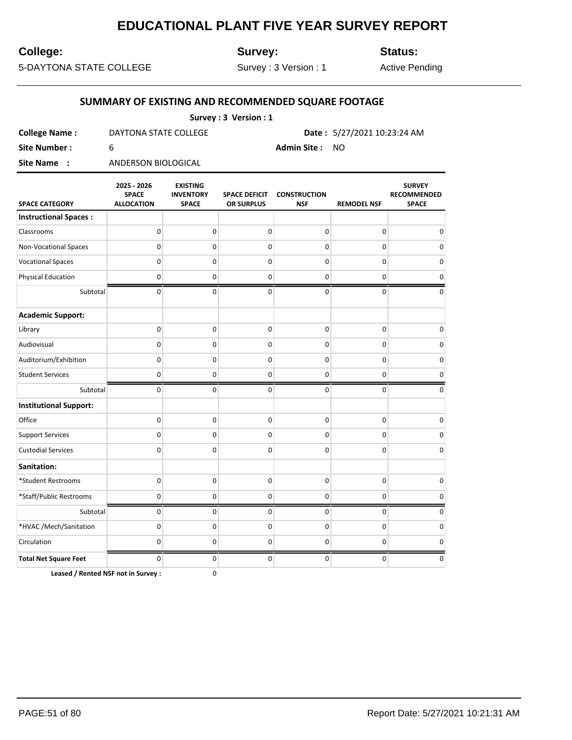## **College:**

**Survey:**

**Status:**

5-DAYTONA STATE COLLEGE

Survey : 3 Version : 1

Active Pending

#### **SUMMARY OF EXISTING AND RECOMMENDED SQUARE FOOTAGE**

| Survey: 3 Version: 1 |                       |                |                                      |  |  |  |
|----------------------|-----------------------|----------------|--------------------------------------|--|--|--|
| <b>College Name:</b> | DAYTONA STATE COLLEGE |                | <b>Date:</b> $5/27/2021$ 10:23:24 AM |  |  |  |
| Site Number : I      |                       | Admin Site: NO |                                      |  |  |  |
| <b>Site Name : :</b> | ANDERSON BIOLOGICAL   |                |                                      |  |  |  |

| <b>SPACE CATEGORY</b>         | 2025 - 2026<br><b>SPACE</b><br><b>ALLOCATION</b> | <b>EXISTING</b><br><b>INVENTORY</b><br><b>SPACE</b> | <b>SPACE DEFICIT</b><br>OR SURPLUS | <b>CONSTRUCTION</b><br><b>NSF</b> | <b>REMODEL NSF</b> | <b>SURVEY</b><br><b>RECOMMENDED</b><br><b>SPACE</b> |
|-------------------------------|--------------------------------------------------|-----------------------------------------------------|------------------------------------|-----------------------------------|--------------------|-----------------------------------------------------|
| <b>Instructional Spaces:</b>  |                                                  |                                                     |                                    |                                   |                    |                                                     |
| Classrooms                    | $\mathbf 0$                                      | 0                                                   | $\mathsf 0$                        | 0                                 | 0                  | 0                                                   |
| <b>Non-Vocational Spaces</b>  | $\mathbf 0$                                      | $\mathbf{0}$                                        | 0                                  | $\mathbf 0$                       | $\mathbf 0$        | 0                                                   |
| <b>Vocational Spaces</b>      | $\mathbf 0$                                      | $\mathbf 0$                                         | $\mathbf 0$                        | $\mathbf 0$                       | 0                  | 0                                                   |
| <b>Physical Education</b>     | $\mathbf 0$                                      | 0                                                   | 0                                  | 0                                 | 0                  | 0                                                   |
| Subtotal                      | 0                                                | $\mathbf 0$                                         | 0                                  | $\pmb{0}$                         | $\pmb{0}$          | $\mathbf 0$                                         |
| <b>Academic Support:</b>      |                                                  |                                                     |                                    |                                   |                    |                                                     |
| Library                       | $\mathbf 0$                                      | $\pmb{0}$                                           | 0                                  | 0                                 | 0                  | 0                                                   |
| Audiovisual                   | $\mathbf 0$                                      | 0                                                   | 0                                  | 0                                 | 0                  | $\mathbf 0$                                         |
| Auditorium/Exhibition         | $\mathbf 0$                                      | 0                                                   | 0                                  | 0                                 | 0                  | $\mathbf 0$                                         |
| <b>Student Services</b>       | $\pmb{0}$                                        | 0                                                   | 0                                  | 0                                 | 0                  | 0                                                   |
| Subtotal                      | $\mathbf 0$                                      | 0                                                   | 0                                  | $\mathbf 0$                       | $\mathbf 0$        | $\mathbf 0$                                         |
| <b>Institutional Support:</b> |                                                  |                                                     |                                    |                                   |                    |                                                     |
| Office                        | $\mathbf 0$                                      | $\mathbf 0$                                         | $\mathbf 0$                        | $\mathbf 0$                       | $\mathbf 0$        | $\mathbf 0$                                         |
| <b>Support Services</b>       | $\mathbf 0$                                      | 0                                                   | $\pmb{0}$                          | 0                                 | 0                  | $\mathbf 0$                                         |
| <b>Custodial Services</b>     | $\mathbf 0$                                      | $\mathbf 0$                                         | $\mathbf 0$                        | $\mathbf 0$                       | $\mathbf 0$        | $\mathbf 0$                                         |
| Sanitation:                   |                                                  |                                                     |                                    |                                   |                    |                                                     |
| *Student Restrooms            | $\mathbf 0$                                      | $\mathbf 0$                                         | $\mathsf 0$                        | $\pmb{0}$                         | $\pmb{0}$          | $\mathbf 0$                                         |
| *Staff/Public Restrooms       | $\mathbf 0$                                      | 0                                                   | $\pmb{0}$                          | 0                                 | 0                  | $\pmb{0}$                                           |
| Subtotal                      | $\mathbf 0$                                      | 0                                                   | 0                                  | 0                                 | 0                  | 0                                                   |
| *HVAC /Mech/Sanitation        | $\mathbf 0$                                      | 0                                                   | 0                                  | 0                                 | 0                  | 0                                                   |
| Circulation                   | 0                                                | $\mathbf 0$                                         | $\mathbf 0$                        | 0                                 | 0                  | 0                                                   |
| <b>Total Net Square Feet</b>  | 0                                                | 0                                                   | 0                                  | $\pmb{0}$                         | $\pmb{0}$          | $\mathbf 0$                                         |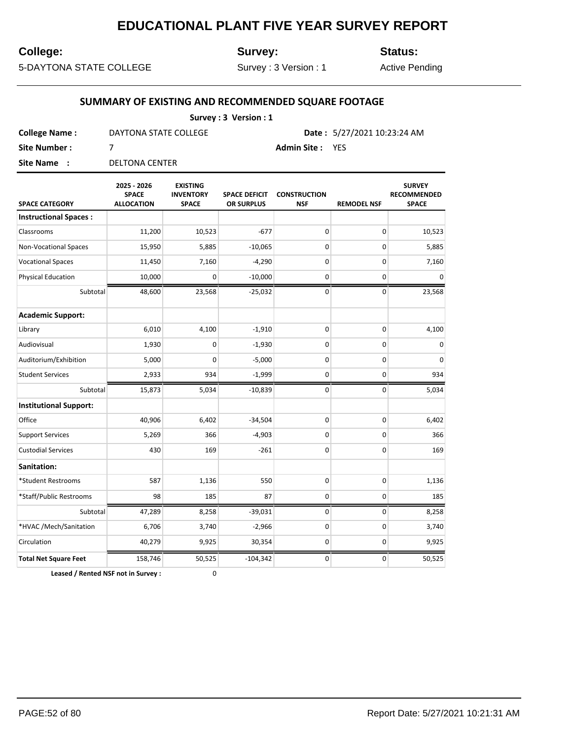## **College:**

**Survey:**

**Status:**

5-DAYTONA STATE COLLEGE

Survey : 3 Version : 1

Active Pending

#### **SUMMARY OF EXISTING AND RECOMMENDED SQUARE FOOTAGE**

| Survey: 3 Version: 1 |                       |                         |                                      |  |  |  |
|----------------------|-----------------------|-------------------------|--------------------------------------|--|--|--|
| <b>College Name:</b> | DAYTONA STATE COLLEGE |                         | <b>Date:</b> $5/27/2021$ 10:23:24 AM |  |  |  |
| Site Number :        |                       | <b>Admin Site : YES</b> |                                      |  |  |  |
| Site Name:           | DELTONA CENTER        |                         |                                      |  |  |  |

| <b>SPACE CATEGORY</b>         | 2025 - 2026<br><b>SPACE</b><br><b>ALLOCATION</b> | <b>EXISTING</b><br><b>INVENTORY</b><br><b>SPACE</b> | <b>SPACE DEFICIT</b><br>OR SURPLUS | <b>CONSTRUCTION</b><br><b>NSF</b> | <b>REMODEL NSF</b> | <b>SURVEY</b><br>RECOMMENDED<br><b>SPACE</b> |
|-------------------------------|--------------------------------------------------|-----------------------------------------------------|------------------------------------|-----------------------------------|--------------------|----------------------------------------------|
| <b>Instructional Spaces:</b>  |                                                  |                                                     |                                    |                                   |                    |                                              |
| Classrooms                    | 11,200                                           | 10,523                                              | $-677$                             | 0                                 | 0                  | 10,523                                       |
| <b>Non-Vocational Spaces</b>  | 15,950                                           | 5,885                                               | $-10,065$                          | 0                                 | 0                  | 5,885                                        |
| <b>Vocational Spaces</b>      | 11,450                                           | 7,160                                               | $-4,290$                           | 0                                 | $\pmb{0}$          | 7,160                                        |
| <b>Physical Education</b>     | 10,000                                           | 0                                                   | $-10,000$                          | 0                                 | 0                  | $\mathsf 0$                                  |
| Subtotal                      | 48,600                                           | 23,568                                              | $-25,032$                          | 0                                 | 0                  | 23,568                                       |
| <b>Academic Support:</b>      |                                                  |                                                     |                                    |                                   |                    |                                              |
| Library                       | 6,010                                            | 4,100                                               | $-1,910$                           | 0                                 | 0                  | 4,100                                        |
| Audiovisual                   | 1,930                                            | 0                                                   | $-1,930$                           | 0                                 | 0                  | $\mathsf 0$                                  |
| Auditorium/Exhibition         | 5,000                                            | 0                                                   | $-5,000$                           | 0                                 | 0                  | $\pmb{0}$                                    |
| <b>Student Services</b>       | 2,933                                            | 934                                                 | $-1,999$                           | 0                                 | 0                  | 934                                          |
| Subtotal                      | 15,873                                           | 5,034                                               | $-10,839$                          | 0                                 | 0                  | 5,034                                        |
| <b>Institutional Support:</b> |                                                  |                                                     |                                    |                                   |                    |                                              |
| Office                        | 40,906                                           | 6,402                                               | $-34,504$                          | 0                                 | 0                  | 6,402                                        |
| <b>Support Services</b>       | 5,269                                            | 366                                                 | $-4,903$                           | 0                                 | 0                  | 366                                          |
| <b>Custodial Services</b>     | 430                                              | 169                                                 | $-261$                             | 0                                 | 0                  | 169                                          |
| Sanitation:                   |                                                  |                                                     |                                    |                                   |                    |                                              |
| *Student Restrooms            | 587                                              | 1,136                                               | 550                                | 0                                 | 0                  | 1,136                                        |
| *Staff/Public Restrooms       | 98                                               | 185                                                 | 87                                 | 0                                 | 0                  | 185                                          |
| Subtotal                      | 47,289                                           | 8,258                                               | $-39,031$                          | 0                                 | 0                  | 8,258                                        |
| *HVAC /Mech/Sanitation        | 6,706                                            | 3,740                                               | $-2,966$                           | 0                                 | 0                  | 3,740                                        |
| Circulation                   | 40,279                                           | 9,925                                               | 30,354                             | 0                                 | 0                  | 9,925                                        |
| <b>Total Net Square Feet</b>  | 158,746                                          | 50,525                                              | $-104,342$                         | 0                                 | 0                  | 50,525                                       |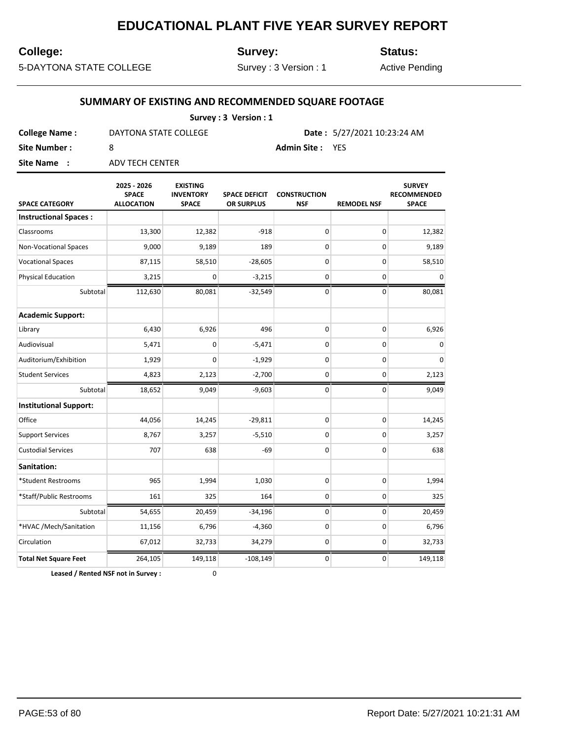#### **College:**

**Survey:**

**Status:**

5-DAYTONA STATE COLLEGE

Survey : 3 Version : 1

Active Pending

#### **SUMMARY OF EXISTING AND RECOMMENDED SQUARE FOOTAGE**

| Survey: 3 Version: 1 |                       |                        |                                      |  |  |  |
|----------------------|-----------------------|------------------------|--------------------------------------|--|--|--|
| <b>College Name:</b> | DAYTONA STATE COLLEGE |                        | <b>Date:</b> $5/27/2021$ 10:23:24 AM |  |  |  |
| Site Number :        |                       | <b>Admin Site: YES</b> |                                      |  |  |  |
| Site Name:           | ADV TECH CENTER       |                        |                                      |  |  |  |

**SPACE CATEGORY 2025 - 2026 SPACE ALLOCATION EXISTING INVENTORY SPACE SPACE DEFICIT OR SURPLUS CONSTRUCTION NSF REMODEL NSF SURVEY RECOMMENDED SPACE Instructional Spaces :** Classrooms 13,300 12,382 -918 0 0 12,382 Non-Vocational Spaces 19,000 9,189 189 0 0 9,189 Vocational Spaces 87,115 58,510 -28,605 0 0 58,510 Physical Education 3,215 0 -3,215 0 0 0 Subtotal 112,630 80,081 -32,549 0 0 80,081 **Academic Support:** Library 6,430 6,926 496 0 0 6,926 Audiovisual 5,471 0 -5,471 0 0 0 Auditorium/Exhibition | 1,929 0 -1,929 0 0 0 0 0 0 Student Services 4,823 | 2,123 | -2,700 | 0 | 0 | 2,123 Subtotal 18,652 9,049 -9,603 0 0 9,049 **Institutional Support:** Office 14,056 14,245 -29,811 0 0 0 14,245 Support Services  $8,767$   $3,257$   $-5,510$   $0$   $0$   $3,257$ Custodial Services 707 638 -69 0 0 638 **Sanitation:** \*Student Restrooms 965 1,994 1,030 0 0 1,994  $*$ Staff/Public Restrooms  $\begin{array}{|c|c|c|c|c|c|}\n \end{array}$  161 325 164 0 0 0 325 Subtotal 54,655 20,459 -34,196 0 0 0 20,459 \*HVAC /Mech/Sanitation 11,156 6,796 -4,360 0 0 6,796 Circulation 67,012 32,733 34,279 0 0 32,733 **Total Net Square Feet**  $264,105$  149,118  $-108,149$  0 0 149,118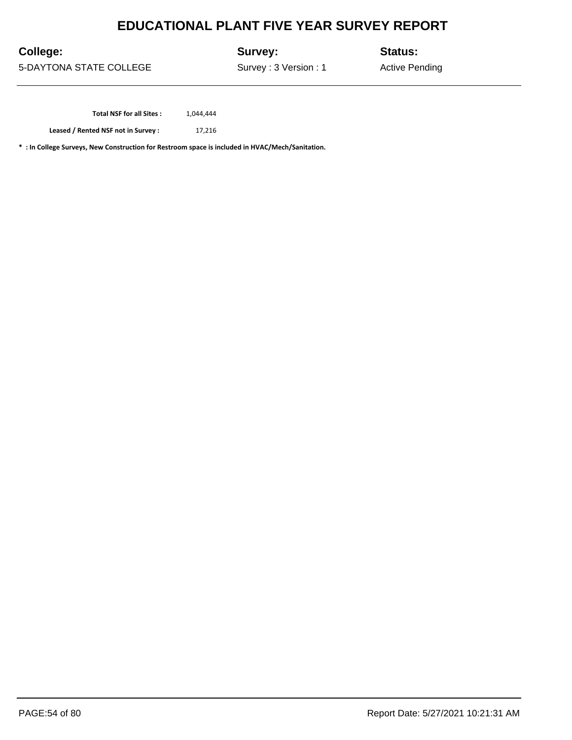**College:**

**Survey:**

**Status:**

5-DAYTONA STATE COLLEGE

Survey : 3 Version : 1

Active Pending

Total NSF for all Sites :  $1,044,444$ 

**Leased / Rented NSF not in Survey :** 17,216

**\* : In College Surveys, New Construction for Restroom space is included in HVAC/Mech/Sanitation.**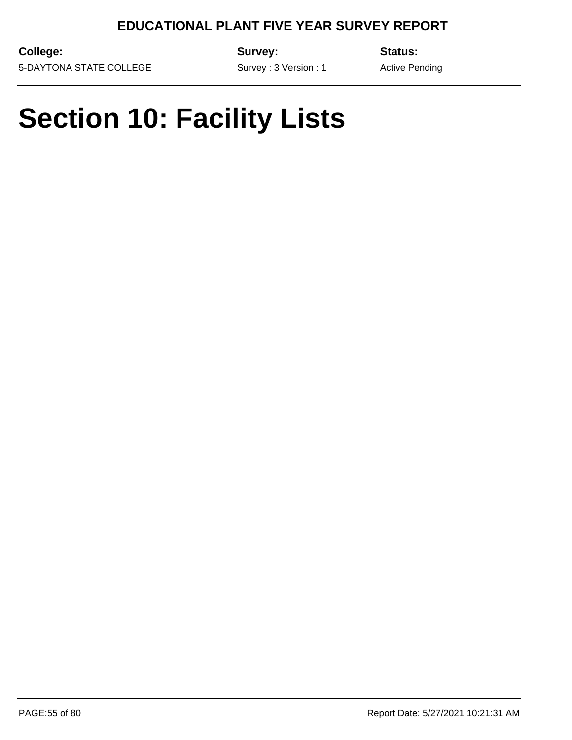**College:** 5-DAYTONA STATE COLLEGE **Survey:**

**Status:**

Active Pending

Survey : 3 Version : 1

## **Section 10: Facility Lists**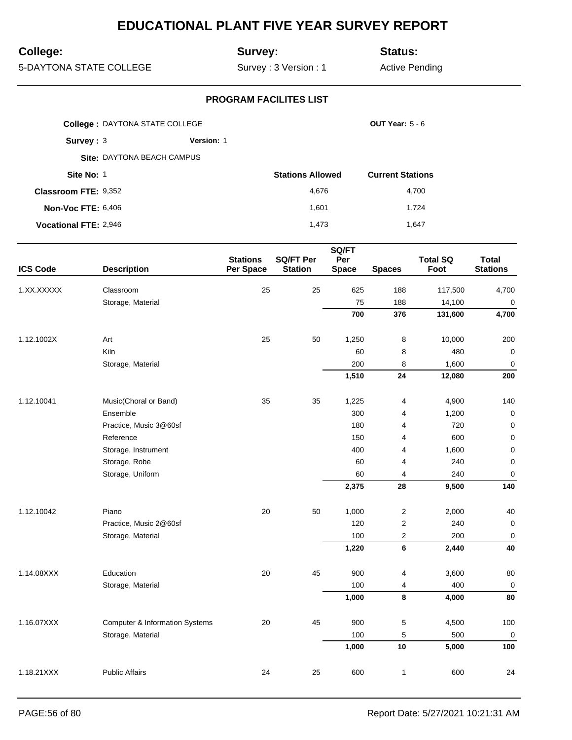## **College:**

## **Survey:**

**Status:**

5-DAYTONA STATE COLLEGE

Survey : 3 Version : 1

Active Pending

|                              | <b>College: DAYTONA STATE COLLEGE</b> |                         | <b>OUT Year: 5 - 6</b>  |
|------------------------------|---------------------------------------|-------------------------|-------------------------|
| Survey: $3$                  | Version: 1                            |                         |                         |
|                              | Site: DAYTONA BEACH CAMPUS            |                         |                         |
| Site No: 1                   |                                       | <b>Stations Allowed</b> | <b>Current Stations</b> |
| <b>Classroom FTE: 9,352</b>  |                                       | 4,676                   | 4,700                   |
| <b>Non-Voc FTE: 6,406</b>    |                                       | 1,601                   | 1,724                   |
| <b>Vocational FTE: 2,946</b> |                                       | 1.473                   | 1.647                   |

|                 |                                           |                              |                                    | SQ/FT               |                         |                         |                                 |
|-----------------|-------------------------------------------|------------------------------|------------------------------------|---------------------|-------------------------|-------------------------|---------------------------------|
| <b>ICS Code</b> | <b>Description</b>                        | <b>Stations</b><br>Per Space | <b>SQ/FT Per</b><br><b>Station</b> | Per<br><b>Space</b> | <b>Spaces</b>           | <b>Total SQ</b><br>Foot | <b>Total</b><br><b>Stations</b> |
| 1.XX.XXXXX      | Classroom                                 | 25                           | 25                                 | 625                 | 188                     | 117,500                 | 4,700                           |
|                 | Storage, Material                         |                              |                                    | 75                  | 188                     | 14,100                  | $\pmb{0}$                       |
|                 |                                           |                              |                                    | 700                 | 376                     | 131,600                 | 4,700                           |
| 1.12.1002X      | Art                                       | 25                           | 50                                 | 1,250               | 8                       | 10,000                  | 200                             |
|                 | Kiln                                      |                              |                                    | 60                  | 8                       | 480                     | $\pmb{0}$                       |
|                 | Storage, Material                         |                              |                                    | 200                 | 8                       | 1,600                   | $\mathbf 0$                     |
|                 |                                           |                              |                                    | 1,510               | 24                      | 12,080                  | 200                             |
| 1.12.10041      | Music(Choral or Band)                     | 35                           | 35                                 | 1,225               | 4                       | 4,900                   | 140                             |
|                 | Ensemble                                  |                              |                                    | 300                 | $\overline{4}$          | 1,200                   | $\mathbf 0$                     |
|                 | Practice, Music 3@60sf                    |                              |                                    | 180                 | $\overline{4}$          | 720                     | $\mathbf 0$                     |
|                 | Reference                                 |                              |                                    | 150                 | 4                       | 600                     | $\mathbf 0$                     |
|                 | Storage, Instrument                       |                              |                                    | 400                 | $\overline{4}$          | 1,600                   | $\mathbf 0$                     |
|                 | Storage, Robe                             |                              |                                    | 60                  | $\overline{4}$          | 240                     | $\pmb{0}$                       |
|                 | Storage, Uniform                          |                              |                                    | 60                  | 4                       | 240                     | 0                               |
|                 |                                           |                              |                                    | 2,375               | 28                      | 9,500                   | 140                             |
| 1.12.10042      | Piano                                     | 20                           | 50                                 | 1,000               | $\boldsymbol{2}$        | 2,000                   | 40                              |
|                 | Practice, Music 2@60sf                    |                              |                                    | 120                 | $\boldsymbol{2}$        | 240                     | $\pmb{0}$                       |
|                 | Storage, Material                         |                              |                                    | 100                 | $\overline{\mathbf{c}}$ | 200                     | $\mathbf 0$                     |
|                 |                                           |                              |                                    | 1,220               | $6\phantom{a}$          | 2,440                   | 40                              |
| 1.14.08XXX      | Education                                 | 20                           | 45                                 | 900                 | 4                       | 3,600                   | 80                              |
|                 | Storage, Material                         |                              |                                    | 100                 | 4                       | 400                     | $\mathbf 0$                     |
|                 |                                           |                              |                                    | 1,000               | 8                       | 4,000                   | 80                              |
| 1.16.07XXX      | <b>Computer &amp; Information Systems</b> | 20                           | 45                                 | 900                 | $\mathbf 5$             | 4,500                   | 100                             |
|                 | Storage, Material                         |                              |                                    | 100                 | $\mathbf 5$             | 500                     | $\boldsymbol{0}$                |
|                 |                                           |                              |                                    | 1,000               | 10                      | 5,000                   | 100                             |
| 1.18.21XXX      | <b>Public Affairs</b>                     | 24                           | 25                                 | 600                 | $\mathbf{1}$            | 600                     | 24                              |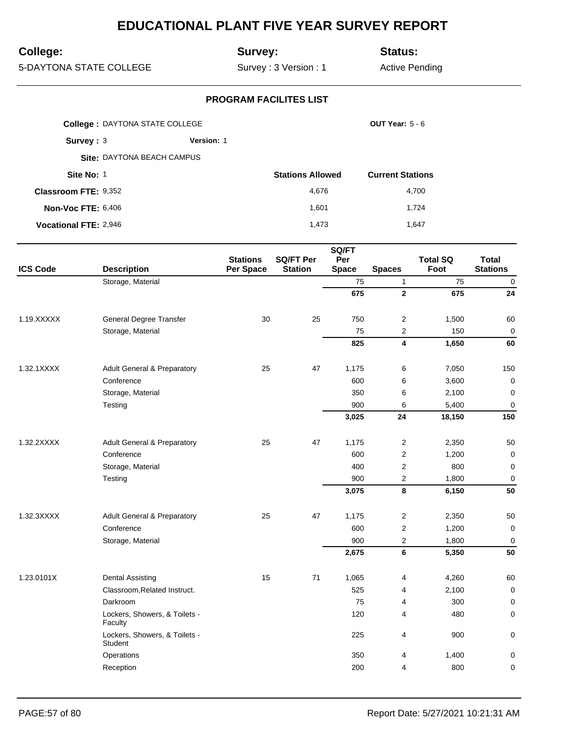## **College:**

## **Survey:**

**Status:**

5-DAYTONA STATE COLLEGE

Survey : 3 Version : 1

Active Pending

|                              | <b>College: DAYTONA STATE COLLEGE</b> |                   |                         | OUT Year: $5 - 6$       |
|------------------------------|---------------------------------------|-------------------|-------------------------|-------------------------|
| Survey: 3                    |                                       | <b>Version: 1</b> |                         |                         |
|                              | Site: DAYTONA BEACH CAMPUS            |                   |                         |                         |
| Site No: 1                   |                                       |                   | <b>Stations Allowed</b> | <b>Current Stations</b> |
| <b>Classroom FTE: 9,352</b>  |                                       |                   | 4,676                   | 4,700                   |
| <b>Non-Voc FTE: 6,406</b>    |                                       |                   | 1.601                   | 1.724                   |
| <b>Vocational FTE: 2,946</b> |                                       |                   | 1.473                   | 1.647                   |

|                 |                                          |                              |                                    | SQ/FT               |                         |                         |                                 |
|-----------------|------------------------------------------|------------------------------|------------------------------------|---------------------|-------------------------|-------------------------|---------------------------------|
| <b>ICS Code</b> | <b>Description</b>                       | <b>Stations</b><br>Per Space | <b>SQ/FT Per</b><br><b>Station</b> | Per<br><b>Space</b> | <b>Spaces</b>           | <b>Total SQ</b><br>Foot | <b>Total</b><br><b>Stations</b> |
|                 | Storage, Material                        |                              |                                    | 75                  | $\mathbf{1}$            | 75                      | $\pmb{0}$                       |
|                 |                                          |                              |                                    | 675                 | $\mathbf{2}$            | 675                     | 24                              |
| 1.19.XXXXX      | General Degree Transfer                  | 30                           | 25                                 | 750                 | $\boldsymbol{2}$        | 1,500                   | 60                              |
|                 | Storage, Material                        |                              |                                    | 75                  | 2                       | 150                     | $\mathbf 0$                     |
|                 |                                          |                              |                                    | 825                 | $\overline{\mathbf{4}}$ | 1,650                   | 60                              |
| 1.32.1XXXX      | <b>Adult General &amp; Preparatory</b>   | 25                           | 47                                 | 1,175               | 6                       | 7,050                   | 150                             |
|                 | Conference                               |                              |                                    | 600                 | 6                       | 3,600                   | $\mathbf 0$                     |
|                 | Storage, Material                        |                              |                                    | 350                 | 6                       | 2,100                   | $\mathbf 0$                     |
|                 | Testing                                  |                              |                                    | 900                 | 6                       | 5,400                   | $\mathbf 0$                     |
|                 |                                          |                              |                                    | 3,025               | 24                      | 18,150                  | 150                             |
| 1.32.2XXXX      | <b>Adult General &amp; Preparatory</b>   | 25                           | 47                                 | 1,175               | $\overline{2}$          | 2,350                   | 50                              |
|                 | Conference                               |                              |                                    | 600                 | $\overline{2}$          | 1,200                   | $\mathbf 0$                     |
|                 | Storage, Material                        |                              |                                    | 400                 | $\boldsymbol{2}$        | 800                     | $\mathbf 0$                     |
|                 | Testing                                  |                              |                                    | 900                 | $\mathbf 2$             | 1,800                   | $\mathbf 0$                     |
|                 |                                          |                              |                                    | 3,075               | 8                       | 6,150                   | 50                              |
| 1.32.3XXXX      | <b>Adult General &amp; Preparatory</b>   | 25                           | 47                                 | 1,175               | $\overline{c}$          | 2,350                   | 50                              |
|                 | Conference                               |                              |                                    | 600                 | $\overline{c}$          | 1,200                   | $\mathbf 0$                     |
|                 | Storage, Material                        |                              |                                    | 900                 | $\overline{2}$          | 1,800                   | $\overline{0}$                  |
|                 |                                          |                              |                                    | 2,675               | 6                       | 5,350                   | 50                              |
| 1.23.0101X      | <b>Dental Assisting</b>                  | 15                           | 71                                 | 1,065               | 4                       | 4,260                   | 60                              |
|                 | Classroom, Related Instruct.             |                              |                                    | 525                 | 4                       | 2,100                   | $\mathbf 0$                     |
|                 | Darkroom                                 |                              |                                    | 75                  | 4                       | 300                     | $\mathbf 0$                     |
|                 | Lockers, Showers, & Toilets -<br>Faculty |                              |                                    | 120                 | 4                       | 480                     | 0                               |
|                 | Lockers, Showers, & Toilets -<br>Student |                              |                                    | 225                 | 4                       | 900                     | $\pmb{0}$                       |
|                 | Operations                               |                              |                                    | 350                 | 4                       | 1,400                   | 0                               |
|                 | Reception                                |                              |                                    | 200                 | $\overline{4}$          | 800                     | 0                               |
|                 |                                          |                              |                                    |                     |                         |                         |                                 |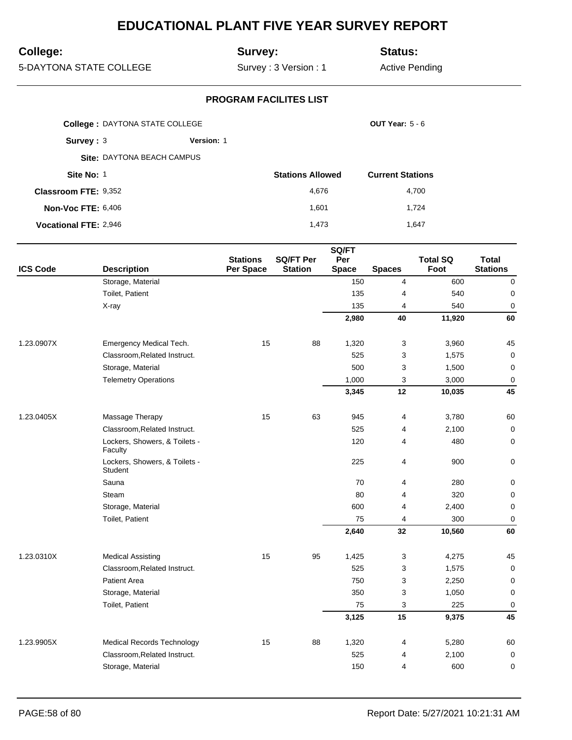## **College:**

## **Survey:**

**Status:**

5-DAYTONA STATE COLLEGE

Survey : 3 Version : 1

Active Pending

|                              | <b>College: DAYTONA STATE COLLEGE</b> |            |                         | <b>OUT Year: 5 - 6</b>  |
|------------------------------|---------------------------------------|------------|-------------------------|-------------------------|
| Survey: $3$                  |                                       | Version: 1 |                         |                         |
|                              | Site: DAYTONA BEACH CAMPUS            |            |                         |                         |
| Site No: 1                   |                                       |            | <b>Stations Allowed</b> | <b>Current Stations</b> |
| Classroom FTE: 9,352         |                                       |            | 4,676                   | 4,700                   |
| <b>Non-Voc FTE: 6,406</b>    |                                       |            | 1,601                   | 1.724                   |
| <b>Vocational FTE: 2,946</b> |                                       |            | 1.473                   | 1.647                   |

|                 |                                          |                              |                                    | SQ/FT               |                |                         |                                 |
|-----------------|------------------------------------------|------------------------------|------------------------------------|---------------------|----------------|-------------------------|---------------------------------|
| <b>ICS Code</b> | <b>Description</b>                       | <b>Stations</b><br>Per Space | <b>SQ/FT Per</b><br><b>Station</b> | Per<br><b>Space</b> | <b>Spaces</b>  | <b>Total SQ</b><br>Foot | <b>Total</b><br><b>Stations</b> |
|                 | Storage, Material                        |                              |                                    | 150                 | $\overline{4}$ | 600                     | 0                               |
|                 | Toilet, Patient                          |                              |                                    | 135                 | 4              | 540                     | $\mathbf 0$                     |
|                 | X-ray                                    |                              |                                    | 135                 | $\overline{4}$ | 540                     | $\mathbf 0$                     |
|                 |                                          |                              |                                    | 2,980               | 40             | 11,920                  | 60                              |
| 1.23.0907X      | Emergency Medical Tech.                  | 15                           | 88                                 | 1,320               | $\mathbf{3}$   | 3,960                   | 45                              |
|                 | Classroom, Related Instruct.             |                              |                                    | 525                 | 3              | 1,575                   | $\mathbf 0$                     |
|                 | Storage, Material                        |                              |                                    | 500                 | 3              | 1,500                   | $\pmb{0}$                       |
|                 | <b>Telemetry Operations</b>              |                              |                                    | 1,000               | 3              | 3,000                   | $\mathbf 0$                     |
|                 |                                          |                              |                                    | 3,345               | 12             | 10,035                  | 45                              |
| 1.23.0405X      | Massage Therapy                          | 15                           | 63                                 | 945                 | 4              | 3,780                   | 60                              |
|                 | Classroom, Related Instruct.             |                              |                                    | 525                 | 4              | 2,100                   | $\mathbf 0$                     |
|                 | Lockers, Showers, & Toilets -<br>Faculty |                              |                                    | 120                 | 4              | 480                     | $\mathbf 0$                     |
|                 | Lockers, Showers, & Toilets -<br>Student |                              |                                    | 225                 | 4              | 900                     | 0                               |
|                 | Sauna                                    |                              |                                    | 70                  | 4              | 280                     | 0                               |
|                 | Steam                                    |                              |                                    | 80                  | 4              | 320                     | 0                               |
|                 | Storage, Material                        |                              |                                    | 600                 | $\overline{4}$ | 2,400                   | $\mathbf 0$                     |
|                 | Toilet, Patient                          |                              |                                    | 75                  | 4              | 300                     | $\mathbf 0$                     |
|                 |                                          |                              |                                    | 2,640               | 32             | 10,560                  | 60                              |
| 1.23.0310X      | <b>Medical Assisting</b>                 | 15                           | 95                                 | 1,425               | 3              | 4,275                   | 45                              |
|                 | Classroom, Related Instruct.             |                              |                                    | 525                 | 3              | 1,575                   | $\mathbf 0$                     |
|                 | <b>Patient Area</b>                      |                              |                                    | 750                 | 3              | 2,250                   | 0                               |
|                 | Storage, Material                        |                              |                                    | 350                 | 3              | 1,050                   | $\mathbf 0$                     |
|                 | Toilet, Patient                          |                              |                                    | 75                  | 3              | 225                     | $\overline{0}$                  |
|                 |                                          |                              |                                    | 3,125               | 15             | 9,375                   | 45                              |
| 1.23.9905X      | <b>Medical Records Technology</b>        | 15                           | 88                                 | 1,320               | 4              | 5,280                   | 60                              |
|                 | Classroom, Related Instruct.             |                              |                                    | 525                 | $\overline{4}$ | 2,100                   | $\mathbf 0$                     |
|                 | Storage, Material                        |                              |                                    | 150                 | $\overline{4}$ | 600                     | $\mathbf 0$                     |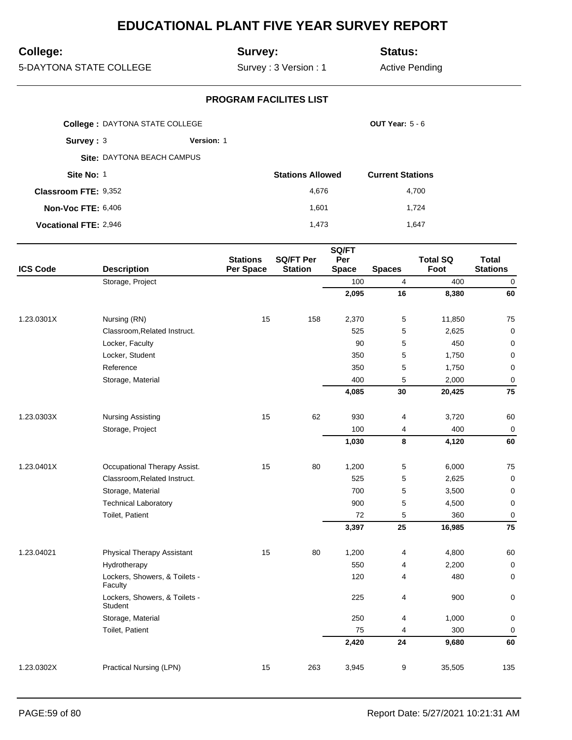## **College:**

## **Survey:**

**Status:**

5-DAYTONA STATE COLLEGE

Survey : 3 Version : 1

Active Pending

|                              | <b>College: DAYTONA STATE COLLEGE</b> |                   |                         | <b>OUT Year: 5 - 6</b>  |
|------------------------------|---------------------------------------|-------------------|-------------------------|-------------------------|
| Survev: 3                    |                                       | <b>Version: 1</b> |                         |                         |
|                              | Site: DAYTONA BEACH CAMPUS            |                   |                         |                         |
| Site No: 1                   |                                       |                   | <b>Stations Allowed</b> | <b>Current Stations</b> |
| <b>Classroom FTE: 9,352</b>  |                                       |                   | 4,676                   | 4,700                   |
| <b>Non-Voc FTE: 6,406</b>    |                                       |                   | 1.601                   | 1.724                   |
| <b>Vocational FTE: 2,946</b> |                                       |                   | 1.473                   | 1,647                   |

|                 |                                          |                              |                                    | SQ/FT               |                |                         |                                 |
|-----------------|------------------------------------------|------------------------------|------------------------------------|---------------------|----------------|-------------------------|---------------------------------|
| <b>ICS Code</b> | <b>Description</b>                       | <b>Stations</b><br>Per Space | <b>SQ/FT Per</b><br><b>Station</b> | Per<br><b>Space</b> | <b>Spaces</b>  | <b>Total SQ</b><br>Foot | <b>Total</b><br><b>Stations</b> |
|                 | Storage, Project                         |                              |                                    | 100                 | $\overline{4}$ | 400                     | $\pmb{0}$                       |
|                 |                                          |                              |                                    | 2,095               | 16             | 8,380                   | 60                              |
| 1.23.0301X      | Nursing (RN)                             | 15                           | 158                                | 2,370               | $\mathbf 5$    | 11,850                  | 75                              |
|                 | Classroom, Related Instruct.             |                              |                                    | 525                 | 5              | 2,625                   | $\mathbf 0$                     |
|                 | Locker, Faculty                          |                              |                                    | 90                  | 5              | 450                     | $\mathbf 0$                     |
|                 | Locker, Student                          |                              |                                    | 350                 | 5              | 1,750                   | $\mathbf 0$                     |
|                 | Reference                                |                              |                                    | 350                 | 5              | 1,750                   | $\pmb{0}$                       |
|                 | Storage, Material                        |                              |                                    | 400                 | 5              | 2,000                   | $\mathbf 0$                     |
|                 |                                          |                              |                                    | 4,085               | 30             | 20,425                  | 75                              |
| 1.23.0303X      | <b>Nursing Assisting</b>                 | 15                           | 62                                 | 930                 | $\overline{4}$ | 3,720                   | 60                              |
|                 | Storage, Project                         |                              |                                    | 100                 | 4              | 400                     | $\pmb{0}$                       |
|                 |                                          |                              |                                    | 1,030               | 8              | 4,120                   | 60                              |
| 1.23.0401X      | Occupational Therapy Assist.             | 15                           | 80                                 | 1,200               | 5              | 6,000                   | 75                              |
|                 | Classroom, Related Instruct.             |                              |                                    | 525                 | 5              | 2,625                   | $\pmb{0}$                       |
|                 | Storage, Material                        |                              |                                    | 700                 | 5              | 3,500                   | $\pmb{0}$                       |
|                 | <b>Technical Laboratory</b>              |                              |                                    | 900                 | 5              | 4,500                   | $\pmb{0}$                       |
|                 | Toilet, Patient                          |                              |                                    | 72                  | 5              | 360                     | $\pmb{0}$                       |
|                 |                                          |                              |                                    | 3,397               | 25             | 16,985                  | 75                              |
| 1.23.04021      | <b>Physical Therapy Assistant</b>        | 15                           | 80                                 | 1,200               | 4              | 4,800                   | 60                              |
|                 | Hydrotherapy                             |                              |                                    | 550                 | 4              | 2,200                   | $\mathbf 0$                     |
|                 | Lockers, Showers, & Toilets -<br>Faculty |                              |                                    | 120                 | 4              | 480                     | 0                               |
|                 | Lockers, Showers, & Toilets -<br>Student |                              |                                    | 225                 | 4              | 900                     | 0                               |
|                 | Storage, Material                        |                              |                                    | 250                 | 4              | 1,000                   | 0                               |
|                 | Toilet, Patient                          |                              |                                    | 75                  | 4              | 300                     | $\mathbf 0$                     |
|                 |                                          |                              |                                    | 2,420               | 24             | 9,680                   | 60                              |
| 1.23.0302X      | Practical Nursing (LPN)                  | 15                           | 263                                | 3,945               | 9              | 35,505                  | 135                             |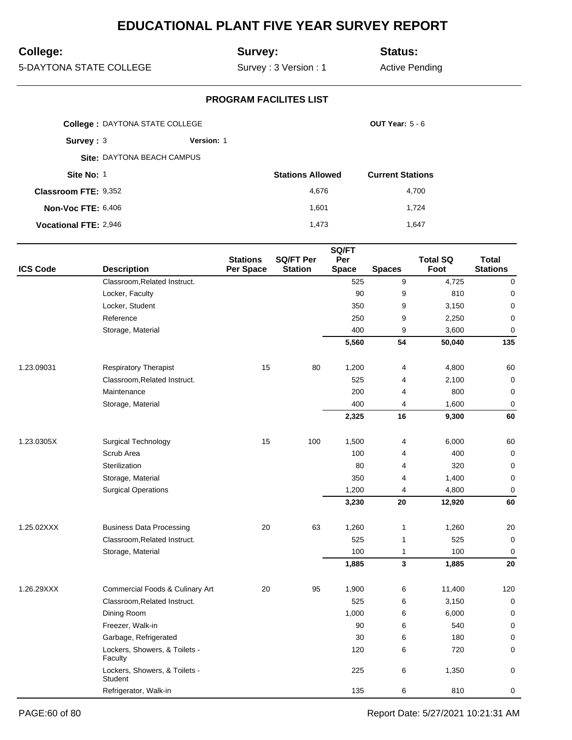## **College:**

## **Survey:**

**Status:**

5-DAYTONA STATE COLLEGE

Survey : 3 Version : 1

Active Pending

|                              | <b>College: DAYTONA STATE COLLEGE</b> |            |                         | <b>OUT Year: 5 - 6</b>  |
|------------------------------|---------------------------------------|------------|-------------------------|-------------------------|
| Survey: $3$                  |                                       | Version: 1 |                         |                         |
|                              | Site: DAYTONA BEACH CAMPUS            |            |                         |                         |
| Site No: 1                   |                                       |            | <b>Stations Allowed</b> | <b>Current Stations</b> |
| <b>Classroom FTE: 9,352</b>  |                                       |            | 4,676                   | 4,700                   |
| <b>Non-Voc FTE: 6,406</b>    |                                       |            | 1,601                   | 1,724                   |
| <b>Vocational FTE: 2,946</b> |                                       |            | 1.473                   | 1,647                   |

| <b>ICS Code</b> | <b>Description</b>                       | <b>Stations</b><br>Per Space | <b>SQ/FT Per</b><br><b>Station</b> | SQ/FT<br>Per<br><b>Space</b> | <b>Spaces</b>  | <b>Total SQ</b><br>Foot | <b>Total</b><br><b>Stations</b> |
|-----------------|------------------------------------------|------------------------------|------------------------------------|------------------------------|----------------|-------------------------|---------------------------------|
|                 | Classroom, Related Instruct.             |                              |                                    | 525                          | 9              | 4,725                   | 0                               |
|                 | Locker, Faculty                          |                              |                                    | 90                           | 9              | 810                     | 0                               |
|                 | Locker, Student                          |                              |                                    | 350                          | 9              | 3,150                   | $\pmb{0}$                       |
|                 | Reference                                |                              |                                    | 250                          | 9              | 2,250                   | 0                               |
|                 | Storage, Material                        |                              |                                    | 400                          | 9              | 3,600                   | $\mathbf 0$                     |
|                 |                                          |                              |                                    | 5,560                        | 54             | 50,040                  | 135                             |
| 1.23.09031      | <b>Respiratory Therapist</b>             | 15                           | 80                                 | 1,200                        | 4              | 4,800                   | 60                              |
|                 | Classroom, Related Instruct.             |                              |                                    | 525                          | 4              | 2,100                   | $\pmb{0}$                       |
|                 | Maintenance                              |                              |                                    | 200                          | 4              | 800                     | 0                               |
|                 | Storage, Material                        |                              |                                    | 400                          | $\overline{4}$ | 1,600                   | 0                               |
|                 |                                          |                              |                                    | 2,325                        | 16             | 9,300                   | 60                              |
| 1.23.0305X      | Surgical Technology                      | 15                           | 100                                | 1,500                        | 4              | 6,000                   | 60                              |
|                 | Scrub Area                               |                              |                                    | 100                          | 4              | 400                     | $\mathbf 0$                     |
|                 | Sterilization                            |                              |                                    | 80                           | 4              | 320                     | $\mathbf 0$                     |
|                 | Storage, Material                        |                              |                                    | 350                          | $\overline{4}$ | 1,400                   | $\mathbf 0$                     |
|                 | <b>Surgical Operations</b>               |                              |                                    | 1,200                        | 4              | 4,800                   | 0                               |
|                 |                                          |                              |                                    | 3,230                        | 20             | 12,920                  | 60                              |
| 1.25.02XXX      | <b>Business Data Processing</b>          | 20                           | 63                                 | 1,260                        | 1              | 1,260                   | 20                              |
|                 | Classroom, Related Instruct.             |                              |                                    | 525                          | $\mathbf{1}$   | 525                     | $\mathbf 0$                     |
|                 | Storage, Material                        |                              |                                    | 100                          | 1              | 100                     | $\mathbf 0$                     |
|                 |                                          |                              |                                    | 1,885                        | 3              | 1,885                   | 20                              |
| 1.26.29XXX      | Commercial Foods & Culinary Art          | 20                           | 95                                 | 1,900                        | 6              | 11,400                  | 120                             |
|                 | Classroom, Related Instruct.             |                              |                                    | 525                          | 6              | 3,150                   | 0                               |
|                 | Dining Room                              |                              |                                    | 1,000                        | 6              | 6,000                   | $\pmb{0}$                       |
|                 | Freezer, Walk-in                         |                              |                                    | 90                           | 6              | 540                     | 0                               |
|                 | Garbage, Refrigerated                    |                              |                                    | 30                           | 6              | 180                     | 0                               |
|                 | Lockers, Showers, & Toilets -<br>Faculty |                              |                                    | 120                          | 6              | 720                     | 0                               |
|                 | Lockers, Showers, & Toilets -<br>Student |                              |                                    | 225                          | 6              | 1,350                   | 0                               |
|                 | Refrigerator, Walk-in                    |                              |                                    | 135                          | 6              | 810                     | 0                               |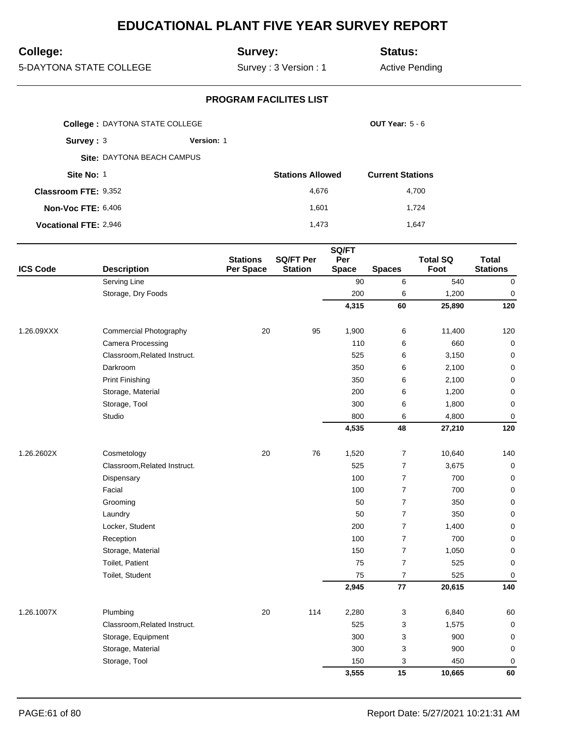## **College:**

## **Survey:**

**Status:**

5-DAYTONA STATE COLLEGE

Survey : 3 Version : 1

Active Pending

|                              | <b>College: DAYTONA STATE COLLEGE</b> |            |                         | <b>OUT Year: 5 - 6</b>  |
|------------------------------|---------------------------------------|------------|-------------------------|-------------------------|
| Survey: $3$                  |                                       | Version: 1 |                         |                         |
|                              | Site: DAYTONA BEACH CAMPUS            |            |                         |                         |
| Site No: 1                   |                                       |            | <b>Stations Allowed</b> | <b>Current Stations</b> |
| <b>Classroom FTE: 9,352</b>  |                                       |            | 4,676                   | 4,700                   |
| <b>Non-Voc FTE: 6,406</b>    |                                       |            | 1.601                   | 1.724                   |
| <b>Vocational FTE: 2,946</b> |                                       |            | 1.473                   | 1.647                   |

|                 |                              |                              |                                    | SQ/FT               |                |                         |                                 |
|-----------------|------------------------------|------------------------------|------------------------------------|---------------------|----------------|-------------------------|---------------------------------|
| <b>ICS Code</b> | <b>Description</b>           | <b>Stations</b><br>Per Space | <b>SQ/FT Per</b><br><b>Station</b> | Per<br><b>Space</b> | <b>Spaces</b>  | <b>Total SQ</b><br>Foot | <b>Total</b><br><b>Stations</b> |
|                 | Serving Line                 |                              |                                    | 90                  | 6              | 540                     | $\pmb{0}$                       |
|                 | Storage, Dry Foods           |                              |                                    | 200                 | 6              | 1,200                   | $\pmb{0}$                       |
|                 |                              |                              |                                    | 4,315               | 60             | 25,890                  | 120                             |
| 1.26.09XXX      | Commercial Photography       | 20                           | 95                                 | 1,900               | 6              | 11,400                  | 120                             |
|                 | Camera Processing            |                              |                                    | 110                 | 6              | 660                     | $\mathbf 0$                     |
|                 | Classroom, Related Instruct. |                              |                                    | 525                 | 6              | 3,150                   | $\mathbf 0$                     |
|                 | Darkroom                     |                              |                                    | 350                 | 6              | 2,100                   | $\mathbf 0$                     |
|                 | <b>Print Finishing</b>       |                              |                                    | 350                 | 6              | 2,100                   | $\pmb{0}$                       |
|                 | Storage, Material            |                              |                                    | 200                 | 6              | 1,200                   | $\mathbf 0$                     |
|                 | Storage, Tool                |                              |                                    | 300                 | 6              | 1,800                   | 0                               |
|                 | Studio                       |                              |                                    | 800                 | 6              | 4,800                   | 0                               |
|                 |                              |                              |                                    | 4,535               | 48             | 27,210                  | 120                             |
| 1.26.2602X      | Cosmetology                  | 20                           | 76                                 | 1,520               | $\overline{7}$ | 10,640                  | 140                             |
|                 | Classroom, Related Instruct. |                              |                                    | 525                 | $\overline{7}$ | 3,675                   | $\mathbf 0$                     |
|                 | Dispensary                   |                              |                                    | 100                 | $\overline{7}$ | 700                     | 0                               |
|                 | Facial                       |                              |                                    | 100                 | $\overline{7}$ | 700                     | $\mathbf 0$                     |
|                 | Grooming                     |                              |                                    | 50                  | $\overline{7}$ | 350                     | $\mathbf 0$                     |
|                 | Laundry                      |                              |                                    | 50                  | $\overline{7}$ | 350                     | 0                               |
|                 | Locker, Student              |                              |                                    | 200                 | $\overline{7}$ | 1,400                   | $\pmb{0}$                       |
|                 | Reception                    |                              |                                    | 100                 | $\overline{7}$ | 700                     | $\pmb{0}$                       |
|                 | Storage, Material            |                              |                                    | 150                 | $\overline{7}$ | 1,050                   | $\mathbf 0$                     |
|                 | Toilet, Patient              |                              |                                    | 75                  | $\overline{7}$ | 525                     | 0                               |
|                 | Toilet, Student              |                              |                                    | 75                  | $\overline{7}$ | 525                     | 0                               |
|                 |                              |                              |                                    | 2,945               | ${\bf 77}$     | 20,615                  | 140                             |
| 1.26.1007X      | Plumbing                     | 20                           | 114                                | 2,280               | 3              | 6,840                   | 60                              |
|                 | Classroom, Related Instruct. |                              |                                    | 525                 | 3              | 1,575                   | $\mathbf 0$                     |
|                 | Storage, Equipment           |                              |                                    | 300                 | 3              | 900                     | $\pmb{0}$                       |
|                 | Storage, Material            |                              |                                    | 300                 | 3              | 900                     | 0                               |
|                 | Storage, Tool                |                              |                                    | 150                 | 3              | 450                     | $\mathbf 0$                     |
|                 |                              |                              |                                    | 3,555               | 15             | 10,665                  | 60                              |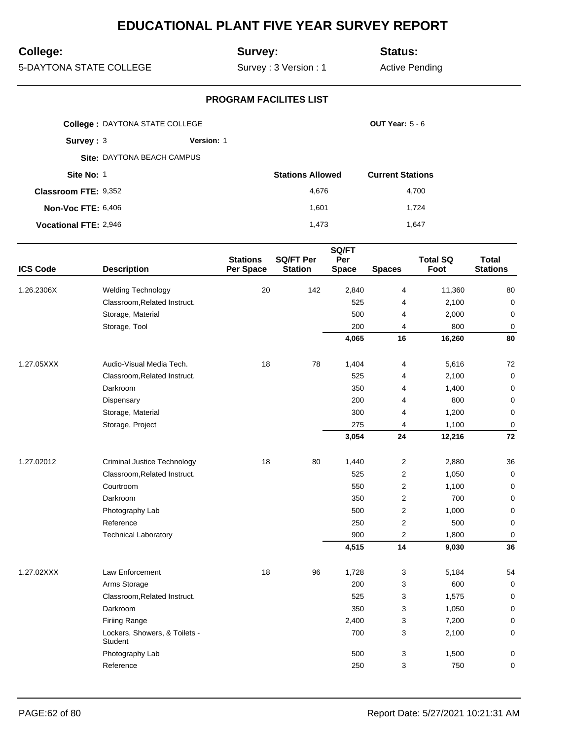## **College:**

## **Survey:**

**Status:**

5-DAYTONA STATE COLLEGE

Survey : 3 Version : 1

Active Pending

|                              | <b>College: DAYTONA STATE COLLEGE</b> |                   |                         | <b>OUT Year: 5 - 6</b>  |
|------------------------------|---------------------------------------|-------------------|-------------------------|-------------------------|
| Survey: 3                    |                                       | <b>Version: 1</b> |                         |                         |
|                              | Site: DAYTONA BEACH CAMPUS            |                   |                         |                         |
| Site No: 1                   |                                       |                   | <b>Stations Allowed</b> | <b>Current Stations</b> |
| <b>Classroom FTE: 9,352</b>  |                                       |                   | 4.676                   | 4.700                   |
| <b>Non-Voc FTE: 6,406</b>    |                                       |                   | 1.601                   | 1.724                   |
| <b>Vocational FTE: 2,946</b> |                                       |                   | 1.473                   | 1.647                   |

| <b>ICS Code</b> | <b>Description</b>                       | <b>Stations</b><br>Per Space | <b>SQ/FT Per</b><br><b>Station</b> | SQ/FT<br>Per<br><b>Space</b> | <b>Spaces</b>           | <b>Total SQ</b><br>Foot | <b>Total</b><br><b>Stations</b> |
|-----------------|------------------------------------------|------------------------------|------------------------------------|------------------------------|-------------------------|-------------------------|---------------------------------|
| 1.26.2306X      | <b>Welding Technology</b>                | 20                           | 142                                | 2,840                        | $\overline{4}$          | 11,360                  | 80                              |
|                 | Classroom, Related Instruct.             |                              |                                    | 525                          | $\overline{4}$          | 2,100                   | $\mathbf 0$                     |
|                 | Storage, Material                        |                              |                                    | 500                          | $\overline{4}$          | 2,000                   | $\mathbf 0$                     |
|                 | Storage, Tool                            |                              |                                    | 200                          | 4                       | 800                     | $\mathbf 0$                     |
|                 |                                          |                              |                                    | 4,065                        | 16                      | 16,260                  | 80                              |
| 1.27.05XXX      | Audio-Visual Media Tech.                 | 18                           | 78                                 | 1,404                        | 4                       | 5,616                   | 72                              |
|                 | Classroom, Related Instruct.             |                              |                                    | 525                          | 4                       | 2,100                   | $\mathbf 0$                     |
|                 | Darkroom                                 |                              |                                    | 350                          | 4                       | 1,400                   | 0                               |
|                 | Dispensary                               |                              |                                    | 200                          | 4                       | 800                     | $\mathbf 0$                     |
|                 | Storage, Material                        |                              |                                    | 300                          | 4                       | 1,200                   | $\mathbf 0$                     |
|                 | Storage, Project                         |                              |                                    | 275                          | 4                       | 1,100                   | $\mathbf 0$                     |
|                 |                                          |                              |                                    | 3,054                        | 24                      | 12,216                  | 72                              |
| 1.27.02012      | Criminal Justice Technology              | 18                           | 80                                 | 1,440                        | $\overline{c}$          | 2,880                   | 36                              |
|                 | Classroom, Related Instruct.             |                              |                                    | 525                          | $\overline{2}$          | 1,050                   | $\mathbf 0$                     |
|                 | Courtroom                                |                              |                                    | 550                          | $\overline{2}$          | 1,100                   | 0                               |
|                 | Darkroom                                 |                              |                                    | 350                          | 2                       | 700                     | $\mathbf 0$                     |
|                 | Photography Lab                          |                              |                                    | 500                          | 2                       | 1,000                   | $\mathbf 0$                     |
|                 | Reference                                |                              |                                    | 250                          | 2                       | 500                     | 0                               |
|                 | <b>Technical Laboratory</b>              |                              |                                    | 900                          | $\overline{\mathbf{c}}$ | 1,800                   | $\mathbf 0$                     |
|                 |                                          |                              |                                    | 4,515                        | 14                      | 9,030                   | 36                              |
| 1.27.02XXX      | Law Enforcement                          | 18                           | 96                                 | 1,728                        | 3                       | 5,184                   | 54                              |
|                 | Arms Storage                             |                              |                                    | 200                          | 3                       | 600                     | $\mathbf 0$                     |
|                 | Classroom, Related Instruct.             |                              |                                    | 525                          | 3                       | 1,575                   | $\mathbf 0$                     |
|                 | Darkroom                                 |                              |                                    | 350                          | 3                       | 1,050                   | 0                               |
|                 | <b>Firiing Range</b>                     |                              |                                    | 2,400                        | 3                       | 7,200                   | 0                               |
|                 | Lockers, Showers, & Toilets -<br>Student |                              |                                    | 700                          | 3                       | 2,100                   | 0                               |
|                 | Photography Lab                          |                              |                                    | 500                          | 3                       | 1,500                   | 0                               |
|                 | Reference                                |                              |                                    | 250                          | 3                       | 750                     | 0                               |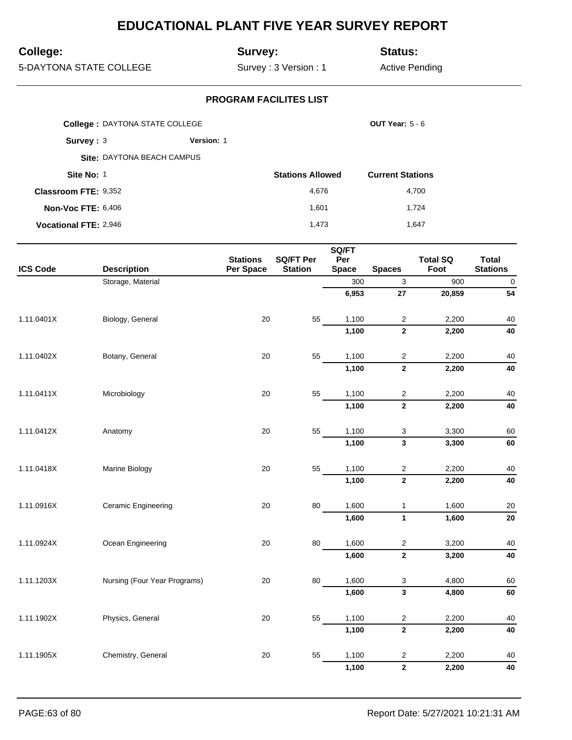## **College:**

## **Survey:**

**Status:**

5-DAYTONA STATE COLLEGE

Survey : 3 Version : 1

Active Pending

|                              | <b>College: DAYTONA STATE COLLEGE</b> |                   |                         | <b>OUT Year: 5 - 6</b>  |
|------------------------------|---------------------------------------|-------------------|-------------------------|-------------------------|
| Survey : $3$                 |                                       | <b>Version: 1</b> |                         |                         |
|                              | Site: DAYTONA BEACH CAMPUS            |                   |                         |                         |
| Site No: 1                   |                                       |                   | <b>Stations Allowed</b> | <b>Current Stations</b> |
| <b>Classroom FTE: 9,352</b>  |                                       |                   | 4,676                   | 4,700                   |
| <b>Non-Voc FTE: 6,406</b>    |                                       |                   | 1.601                   | 1.724                   |
| <b>Vocational FTE: 2,946</b> |                                       |                   | 1.473                   | 1.647                   |

|                 | SQ/FT                        |                              |                                    |                     |                         |                         |                                 |
|-----------------|------------------------------|------------------------------|------------------------------------|---------------------|-------------------------|-------------------------|---------------------------------|
| <b>ICS Code</b> | <b>Description</b>           | <b>Stations</b><br>Per Space | <b>SQ/FT Per</b><br><b>Station</b> | Per<br><b>Space</b> | <b>Spaces</b>           | <b>Total SQ</b><br>Foot | <b>Total</b><br><b>Stations</b> |
|                 | Storage, Material            |                              |                                    | 300                 | 3                       | 900                     | $\mathbf 0$                     |
|                 |                              |                              |                                    | 6,953               | 27                      | 20,859                  | 54                              |
| 1.11.0401X      | Biology, General             | 20                           | 55                                 | 1,100               | $\mathbf 2$             | 2,200                   | 40                              |
|                 |                              |                              |                                    | 1,100               | $\overline{\mathbf{2}}$ | 2,200                   | 40                              |
| 1.11.0402X      | Botany, General              | 20                           | 55                                 | 1,100               | $\sqrt{2}$              | 2,200                   | 40                              |
|                 |                              |                              |                                    | 1,100               | $\overline{\mathbf{2}}$ | 2,200                   | 40                              |
| 1.11.0411X      | Microbiology                 | 20                           | 55                                 | 1,100               | $\mathbf 2$             | 2,200                   | 40                              |
|                 |                              |                              |                                    | 1,100               | $\mathbf 2$             | 2,200                   | 40                              |
| 1.11.0412X      | Anatomy                      | 20                           | 55                                 | 1,100               | 3                       | 3,300                   | 60                              |
|                 |                              |                              |                                    | 1,100               | $\mathbf{3}$            | 3,300                   | 60                              |
| 1.11.0418X      | Marine Biology               | 20                           | 55                                 | 1,100               | $\overline{c}$          | 2,200                   | 40                              |
|                 |                              |                              |                                    | 1,100               | $\mathbf{2}$            | 2,200                   | 40                              |
| 1.11.0916X      | <b>Ceramic Engineering</b>   | 20                           | 80                                 | 1,600               | $\mathbf{1}$            | 1,600                   | 20                              |
|                 |                              |                              |                                    | 1,600               | 1                       | 1,600                   | 20                              |
| 1.11.0924X      | Ocean Engineering            | 20                           | 80                                 | 1,600               | $\mathbf 2$             | 3,200                   | 40                              |
|                 |                              |                              |                                    | 1,600               | $\bf 2$                 | 3,200                   | 40                              |
| 1.11.1203X      | Nursing (Four Year Programs) | 20                           | 80                                 | 1,600               | 3                       | 4,800                   | 60                              |
|                 |                              |                              |                                    | 1,600               | $\mathbf{3}$            | 4,800                   | 60                              |
| 1.11.1902X      | Physics, General             | 20                           | 55                                 | 1,100               | $\overline{c}$          | 2,200                   | 40                              |
|                 |                              |                              |                                    | 1,100               | $\mathbf{2}$            | 2,200                   | 40                              |
| 1.11.1905X      | Chemistry, General           | 20                           | 55                                 | 1,100               | $\overline{2}$          | 2,200                   | 40                              |
|                 |                              |                              |                                    | 1,100               | $\mathbf{2}$            | 2,200                   | 40                              |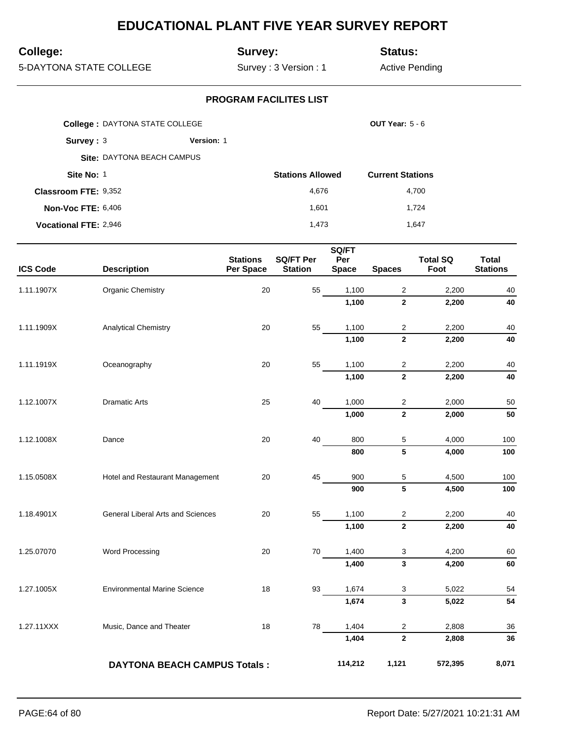## **College:**

## **Survey:**

**Status:**

5-DAYTONA STATE COLLEGE

Survey : 3 Version : 1

Active Pending

|                              | <b>College: DAYTONA STATE COLLEGE</b> |                   |                         | <b>OUT Year: 5 - 6</b>  |
|------------------------------|---------------------------------------|-------------------|-------------------------|-------------------------|
| Survey: $3$                  |                                       | <b>Version: 1</b> |                         |                         |
|                              | Site: DAYTONA BEACH CAMPUS            |                   |                         |                         |
| Site No: 1                   |                                       |                   | <b>Stations Allowed</b> | <b>Current Stations</b> |
| <b>Classroom FTE: 9,352</b>  |                                       |                   | 4,676                   | 4,700                   |
| <b>Non-Voc FTE: 6,406</b>    |                                       |                   | 1.601                   | 1,724                   |
| <b>Vocational FTE: 2,946</b> |                                       |                   | 1.473                   | 1.647                   |

| <b>ICS Code</b> | <b>Description</b>                  | <b>Stations</b><br>Per Space | <b>SQ/FT Per</b><br><b>Station</b> | SQ/FT<br>Per<br><b>Space</b> | <b>Spaces</b>             | <b>Total SQ</b><br>Foot | <b>Total</b><br><b>Stations</b> |
|-----------------|-------------------------------------|------------------------------|------------------------------------|------------------------------|---------------------------|-------------------------|---------------------------------|
| 1.11.1907X      | <b>Organic Chemistry</b>            | 20                           | 55                                 | 1,100                        | $\sqrt{2}$                | 2,200                   | 40                              |
|                 |                                     |                              |                                    | 1,100                        | $\mathbf{2}$              | 2,200                   | 40                              |
| 1.11.1909X      | <b>Analytical Chemistry</b>         | 20                           | 55                                 | 1,100                        | $\sqrt{2}$                | 2,200                   | 40                              |
|                 |                                     |                              |                                    | 1,100                        | $\overline{2}$            | 2,200                   | 40                              |
| 1.11.1919X      | Oceanography                        | 20                           | 55                                 | 1,100                        | $\overline{c}$            | 2,200                   | 40                              |
|                 |                                     |                              |                                    | 1,100                        | $\overline{2}$            | 2,200                   | 40                              |
| 1.12.1007X      | <b>Dramatic Arts</b>                | 25                           | 40                                 | 1,000                        | $\sqrt{2}$                | 2,000                   | 50                              |
|                 |                                     |                              |                                    | 1,000                        | $\bf 2$                   | 2,000                   | 50                              |
| 1.12.1008X      | Dance                               | 20                           | 40                                 | 800                          | 5                         | 4,000                   | 100                             |
|                 |                                     |                              |                                    | 800                          | 5                         | 4,000                   | 100                             |
| 1.15.0508X      | Hotel and Restaurant Management     | 20                           | 45                                 | 900                          | 5                         | 4,500                   | 100                             |
|                 |                                     |                              |                                    | 900                          | 5                         | 4,500                   | 100                             |
| 1.18.4901X      | General Liberal Arts and Sciences   | 20                           | 55                                 | 1,100                        | $\overline{\mathbf{c}}$   | 2,200                   | 40                              |
|                 |                                     |                              |                                    | 1,100                        | $\mathbf 2$               | 2,200                   | 40                              |
| 1.25.07070      | Word Processing                     | 20                           | 70                                 | 1,400                        | 3                         | 4,200                   | 60                              |
|                 |                                     |                              |                                    | 1,400                        | $\overline{\mathbf{3}}$   | 4,200                   | 60                              |
| 1.27.1005X      | <b>Environmental Marine Science</b> | 18                           | 93                                 | 1,674                        | $\ensuremath{\mathsf{3}}$ | 5,022                   | 54                              |
|                 |                                     |                              |                                    | 1,674                        | $\mathbf{3}$              | 5,022                   | 54                              |
| 1.27.11XXX      | Music, Dance and Theater            | 18                           | 78                                 | 1,404                        | $\overline{c}$            | 2,808                   | 36                              |
|                 |                                     |                              |                                    | 1,404                        | $\overline{\mathbf{2}}$   | 2,808                   | 36                              |
|                 | <b>DAYTONA BEACH CAMPUS Totals:</b> |                              |                                    | 114,212                      | 1,121                     | 572,395                 | 8,071                           |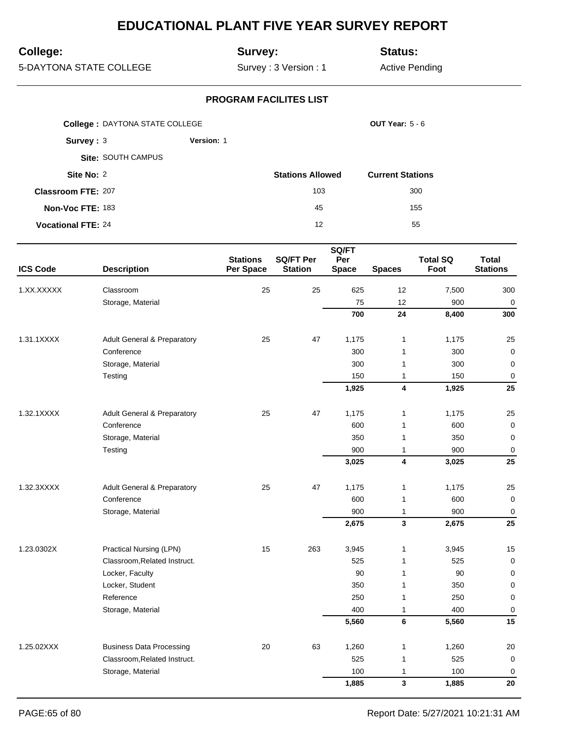## **College:**

## **Survey:**

**Status:**

5-DAYTONA STATE COLLEGE

Survey : 3 Version : 1

Active Pending

|                           | <b>College: DAYTONA STATE COLLEGE</b> |                   |                         |                         |
|---------------------------|---------------------------------------|-------------------|-------------------------|-------------------------|
| Survey: $3$               |                                       | <b>Version: 1</b> |                         |                         |
|                           | <b>Site: SOUTH CAMPUS</b>             |                   |                         |                         |
| Site No: 2                |                                       |                   | <b>Stations Allowed</b> | <b>Current Stations</b> |
| <b>Classroom FTE: 207</b> |                                       |                   | 103                     | 300                     |
| Non-Voc FTE: 183          |                                       |                   | 45                      | 155                     |
| <b>Vocational FTE: 24</b> |                                       |                   | 12                      | 55                      |

|                 |                                        |                              |                                    | SQ/FT               |               |                         |                                 |
|-----------------|----------------------------------------|------------------------------|------------------------------------|---------------------|---------------|-------------------------|---------------------------------|
| <b>ICS Code</b> | <b>Description</b>                     | <b>Stations</b><br>Per Space | <b>SQ/FT Per</b><br><b>Station</b> | Per<br><b>Space</b> | <b>Spaces</b> | <b>Total SQ</b><br>Foot | <b>Total</b><br><b>Stations</b> |
| 1.XX.XXXXX      | Classroom                              | 25                           | 25                                 | 625                 | 12            | 7,500                   | 300                             |
|                 | Storage, Material                      |                              |                                    | 75                  | 12            | 900                     | $\pmb{0}$                       |
|                 |                                        |                              |                                    | 700                 | 24            | 8,400                   | 300                             |
| 1.31.1XXXX      | <b>Adult General &amp; Preparatory</b> | 25                           | 47                                 | 1,175               | $\mathbf{1}$  | 1,175                   | 25                              |
|                 | Conference                             |                              |                                    | 300                 | 1             | 300                     | $\pmb{0}$                       |
|                 | Storage, Material                      |                              |                                    | 300                 | 1             | 300                     | $\mathbf 0$                     |
|                 | Testing                                |                              |                                    | 150                 | $\mathbf{1}$  | 150                     | 0                               |
|                 |                                        |                              |                                    | 1,925               | 4             | 1,925                   | 25                              |
| 1.32.1XXXX      | <b>Adult General &amp; Preparatory</b> | 25                           | 47                                 | 1,175               | 1             | 1,175                   | 25                              |
|                 | Conference                             |                              |                                    | 600                 | 1             | 600                     | $\mathbf 0$                     |
|                 | Storage, Material                      |                              |                                    | 350                 | $\mathbf{1}$  | 350                     | $\mathbf 0$                     |
|                 | Testing                                |                              |                                    | 900                 | 1             | 900                     | $\mathbf 0$                     |
|                 |                                        |                              |                                    | 3,025               | 4             | 3,025                   | 25                              |
| 1.32.3XXXX      | <b>Adult General &amp; Preparatory</b> | 25                           | 47                                 | 1,175               | 1             | 1,175                   | 25                              |
|                 | Conference                             |                              |                                    | 600                 | $\mathbf{1}$  | 600                     | $\mathbf 0$                     |
|                 | Storage, Material                      |                              |                                    | 900                 | 1             | 900                     | $\mathbf 0$                     |
|                 |                                        |                              |                                    | 2,675               | 3             | 2,675                   | 25                              |
| 1.23.0302X      | Practical Nursing (LPN)                | 15                           | 263                                | 3,945               | $\mathbf{1}$  | 3,945                   | 15                              |
|                 | Classroom, Related Instruct.           |                              |                                    | 525                 | $\mathbf{1}$  | 525                     | $\mathbf 0$                     |
|                 | Locker, Faculty                        |                              |                                    | 90                  | $\mathbf{1}$  | 90                      | 0                               |
|                 | Locker, Student                        |                              |                                    | 350                 | 1             | 350                     | 0                               |
|                 | Reference                              |                              |                                    | 250                 | 1             | 250                     | $\mathbf 0$                     |
|                 | Storage, Material                      |                              |                                    | 400                 | $\mathbf{1}$  | 400                     | 0                               |
|                 |                                        |                              |                                    | 5,560               | 6             | 5,560                   | 15                              |
| 1.25.02XXX      | <b>Business Data Processing</b>        | 20                           | 63                                 | 1,260               | 1             | 1,260                   | 20                              |
|                 | Classroom, Related Instruct.           |                              |                                    | 525                 | 1             | 525                     | $\mathbf 0$                     |
|                 | Storage, Material                      |                              |                                    | 100                 | 1             | 100                     | $\mathbf 0$                     |
|                 |                                        |                              |                                    | 1,885               | 3             | 1,885                   | 20                              |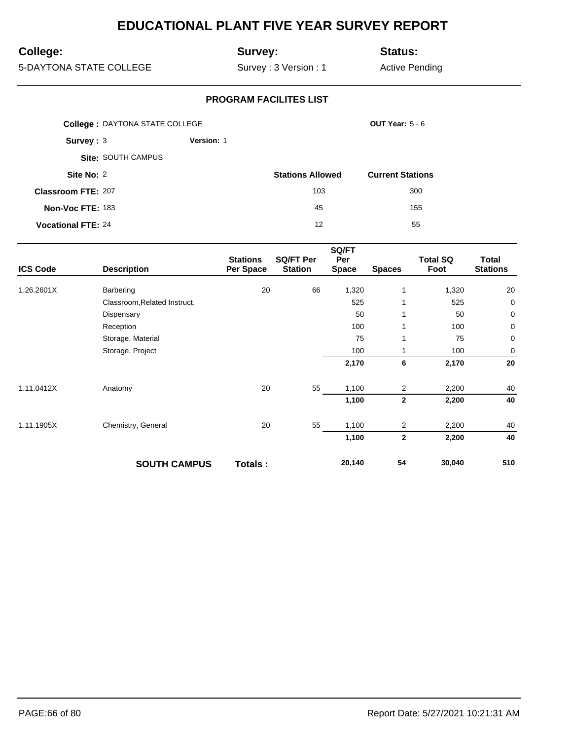## **College:**

## **Survey:**

**Status:**

5-DAYTONA STATE COLLEGE

Survey : 3 Version : 1

Active Pending

|                           | <b>College: DAYTONA STATE COLLEGE</b> |            |                         | OUT Year: $5 - 6$       |
|---------------------------|---------------------------------------|------------|-------------------------|-------------------------|
| Survey: 3                 |                                       | Version: 1 |                         |                         |
|                           | <b>Site: SOUTH CAMPUS</b>             |            |                         |                         |
| Site No: 2                |                                       |            | <b>Stations Allowed</b> | <b>Current Stations</b> |
| <b>Classroom FTE: 207</b> |                                       |            | 103                     | 300                     |
| Non-Voc FTE: 183          |                                       |            | 45                      | 155                     |
| <b>Vocational FTE: 24</b> |                                       |            | 12                      | 55                      |

|                 |                              |                              |                             | SQ/FT               |                |                         |                          |
|-----------------|------------------------------|------------------------------|-----------------------------|---------------------|----------------|-------------------------|--------------------------|
| <b>ICS Code</b> | <b>Description</b>           | <b>Stations</b><br>Per Space | SQ/FT Per<br><b>Station</b> | Per<br><b>Space</b> | <b>Spaces</b>  | <b>Total SQ</b><br>Foot | Total<br><b>Stations</b> |
| 1.26.2601X      | Barbering                    | 20                           | 66                          | 1,320               | $\mathbf{1}$   | 1,320                   | 20                       |
|                 | Classroom, Related Instruct. |                              |                             | 525                 | 1              | 525                     | 0                        |
|                 | Dispensary                   |                              |                             | 50                  | 1              | 50                      | 0                        |
|                 | Reception                    |                              |                             | 100                 | 1              | 100                     | 0                        |
|                 | Storage, Material            |                              |                             | 75                  | 1              | 75                      | 0                        |
|                 | Storage, Project             |                              |                             | 100                 |                | 100                     | 0                        |
|                 |                              |                              |                             | 2,170               | 6              | 2,170                   | 20                       |
| 1.11.0412X      | Anatomy                      | 20                           | 55                          | 1,100               | $\overline{2}$ | 2,200                   | 40                       |
|                 |                              |                              |                             | 1,100               | $\mathbf 2$    | 2,200                   | 40                       |
| 1.11.1905X      | Chemistry, General           | 20                           | 55                          | 1,100               | $\overline{2}$ | 2,200                   | 40                       |
|                 |                              |                              |                             | 1,100               | $\mathbf{2}$   | 2,200                   | 40                       |
|                 | <b>SOUTH CAMPUS</b>          | Totals:                      |                             | 20,140              | 54             | 30,040                  | 510                      |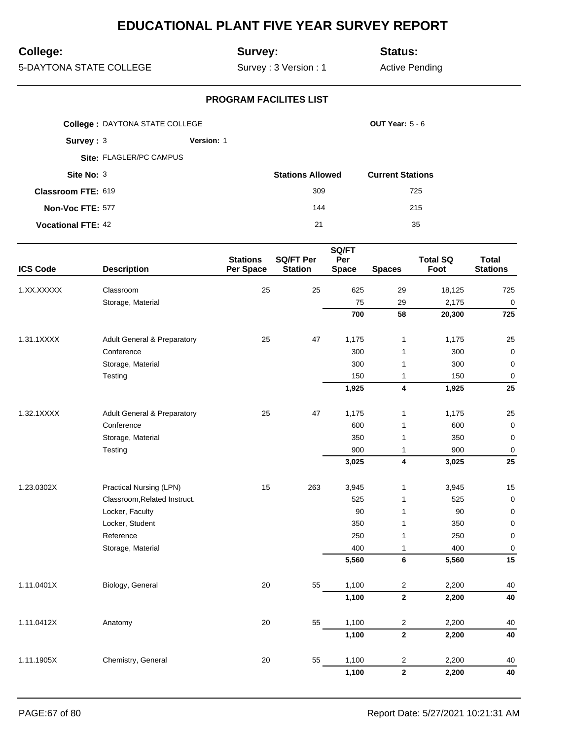## **College:**

## **Survey:**

**Status:**

5-DAYTONA STATE COLLEGE

Survey : 3 Version : 1

Active Pending

|                           | <b>College: DAYTONA STATE COLLEGE</b> |                   |                         | OUT Year: $5 - 6$       |
|---------------------------|---------------------------------------|-------------------|-------------------------|-------------------------|
| Survey: 3                 |                                       | <b>Version: 1</b> |                         |                         |
|                           | Site: FLAGLER/PC CAMPUS               |                   |                         |                         |
| Site No: 3                |                                       |                   | <b>Stations Allowed</b> | <b>Current Stations</b> |
| <b>Classroom FTE: 619</b> |                                       |                   | 309                     | 725                     |
| Non-Voc FTE: 577          |                                       |                   | 144                     | 215                     |
| <b>Vocational FTE: 42</b> |                                       |                   | 21                      | 35                      |

| <b>ICS Code</b> | <b>Description</b>                     | <b>Stations</b><br>Per Space | <b>SQ/FT Per</b><br><b>Station</b> | SQ/FT<br>Per<br><b>Space</b> | <b>Spaces</b>           | <b>Total SQ</b><br>Foot | <b>Total</b><br><b>Stations</b> |
|-----------------|----------------------------------------|------------------------------|------------------------------------|------------------------------|-------------------------|-------------------------|---------------------------------|
| 1.XX.XXXXX      | Classroom                              | 25                           | 25                                 | 625                          | 29                      | 18,125                  | 725                             |
|                 | Storage, Material                      |                              |                                    | 75                           | 29                      | 2,175                   | $\mathbf 0$                     |
|                 |                                        |                              |                                    | 700                          | 58                      | 20,300                  | 725                             |
|                 |                                        |                              |                                    |                              |                         |                         |                                 |
| 1.31.1XXXX      | <b>Adult General &amp; Preparatory</b> | 25                           | 47                                 | 1,175                        | $\mathbf{1}$            | 1,175                   | 25                              |
|                 | Conference                             |                              |                                    | 300                          | $\mathbf{1}$            | 300                     | $\mathbf 0$                     |
|                 | Storage, Material                      |                              |                                    | 300                          | $\mathbf{1}$            | 300                     | $\mathbf 0$                     |
|                 | Testing                                |                              |                                    | 150                          | $\mathbf{1}$            | 150                     | 0                               |
|                 |                                        |                              |                                    | 1,925                        | 4                       | 1,925                   | 25                              |
| 1.32.1XXXX      | <b>Adult General &amp; Preparatory</b> | 25                           | 47                                 | 1,175                        | $\mathbf{1}$            | 1,175                   | 25                              |
|                 | Conference                             |                              |                                    | 600                          | $\mathbf{1}$            | 600                     | $\mathbf 0$                     |
|                 | Storage, Material                      |                              |                                    | 350                          | $\mathbf{1}$            | 350                     | $\mathbf 0$                     |
|                 | Testing                                |                              |                                    | 900                          | $\mathbf{1}$            | 900                     | $\pmb{0}$                       |
|                 |                                        |                              |                                    | 3,025                        | $\overline{\mathbf{4}}$ | 3,025                   | 25                              |
| 1.23.0302X      | Practical Nursing (LPN)                | 15                           | 263                                | 3,945                        | $\mathbf{1}$            | 3,945                   | 15                              |
|                 | Classroom, Related Instruct.           |                              |                                    | 525                          | $\mathbf{1}$            | 525                     | 0                               |
|                 | Locker, Faculty                        |                              |                                    | 90                           | $\mathbf{1}$            | 90                      | $\mathbf 0$                     |
|                 | Locker, Student                        |                              |                                    | 350                          | $\mathbf{1}$            | 350                     | 0                               |
|                 | Reference                              |                              |                                    | 250                          | $\mathbf{1}$            | 250                     | 0                               |
|                 | Storage, Material                      |                              |                                    | 400                          | $\mathbf{1}$            | 400                     | $\mathbf 0$                     |
|                 |                                        |                              |                                    | 5,560                        | 6                       | 5,560                   | 15                              |
| 1.11.0401X      | Biology, General                       | 20                           | 55                                 | 1,100                        | $\overline{\mathbf{c}}$ | 2,200                   | 40                              |
|                 |                                        |                              |                                    | 1,100                        | $\overline{\mathbf{2}}$ | 2,200                   | 40                              |
| 1.11.0412X      | Anatomy                                | 20                           | 55                                 | 1,100                        | $\overline{c}$          | 2,200                   | 40                              |
|                 |                                        |                              |                                    | 1,100                        | $\overline{\mathbf{2}}$ | 2,200                   | 40                              |
| 1.11.1905X      | Chemistry, General                     | 20                           | 55                                 | 1,100                        | $\overline{c}$          | 2,200                   | 40                              |
|                 |                                        |                              |                                    | 1,100                        | $\mathbf{2}$            | 2,200                   | 40                              |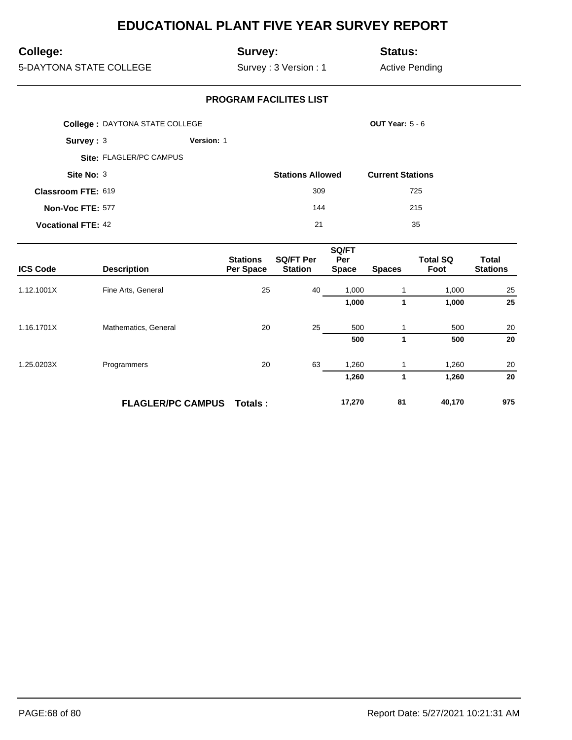## **College:**

## **Survey:**

**Status:**

5-DAYTONA STATE COLLEGE

Survey : 3 Version : 1

Active Pending

|                           | <b>College: DAYTONA STATE COLLEGE</b> |                   |                         | <b>OUT Year: 5 - 6</b>  |  |
|---------------------------|---------------------------------------|-------------------|-------------------------|-------------------------|--|
| Survey: 3                 |                                       | <b>Version: 1</b> |                         |                         |  |
|                           | Site: FLAGLER/PC CAMPUS               |                   |                         |                         |  |
| Site No: 3                |                                       |                   | <b>Stations Allowed</b> | <b>Current Stations</b> |  |
| <b>Classroom FTE: 619</b> |                                       |                   | 309                     | 725                     |  |
| Non-Voc FTE: 577          |                                       |                   | 144                     | 215                     |  |
| <b>Vocational FTE: 42</b> |                                       |                   | 21                      | 35                      |  |

| <b>ICS Code</b> | <b>Description</b>       | <b>Stations</b><br>Per Space | <b>SQ/FT Per</b><br><b>Station</b> | SQ/FT<br>Per<br><b>Space</b> | <b>Spaces</b> | <b>Total SQ</b><br>Foot | <b>Total</b><br><b>Stations</b> |
|-----------------|--------------------------|------------------------------|------------------------------------|------------------------------|---------------|-------------------------|---------------------------------|
| 1.12.1001X      | Fine Arts, General       | 25                           | 40                                 | 1,000                        |               | 1,000                   | 25                              |
|                 |                          |                              |                                    | 1,000                        |               | 1,000                   | 25                              |
| 1.16.1701X      | Mathematics, General     | 20                           | 25                                 | 500                          |               | 500                     | 20                              |
|                 |                          |                              |                                    | 500                          | 1             | 500                     | 20                              |
| 1.25.0203X      | Programmers              | 20                           | 63                                 | 1,260                        |               | 1,260                   | 20                              |
|                 |                          |                              |                                    | 1,260                        |               | 1,260                   | 20                              |
|                 | <b>FLAGLER/PC CAMPUS</b> | Totals :                     |                                    | 17,270                       | 81            | 40,170                  | 975                             |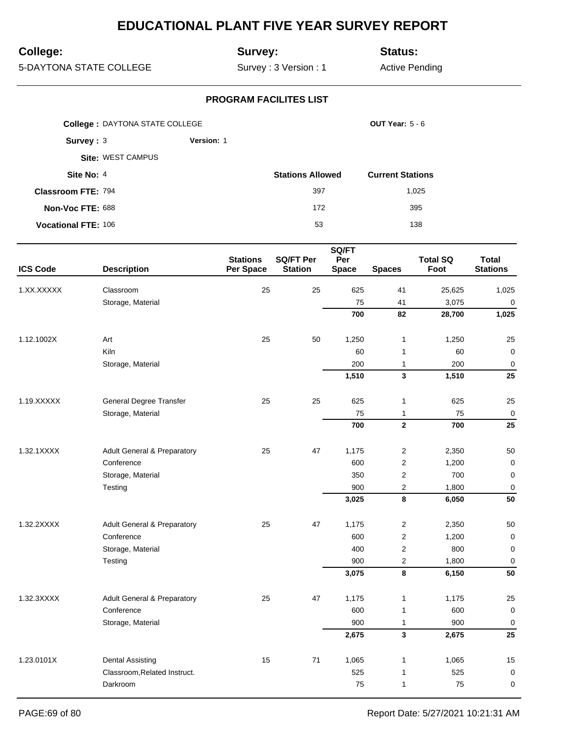## **College:**

## **Survey:**

**Status:**

5-DAYTONA STATE COLLEGE

Survey : 3 Version : 1

Active Pending

|                            | <b>College: DAYTONA STATE COLLEGE</b><br><b>OUT Year: 5 - 6</b> |                   |                         |                         |
|----------------------------|-----------------------------------------------------------------|-------------------|-------------------------|-------------------------|
| Survey: $3$                |                                                                 | <b>Version: 1</b> |                         |                         |
|                            | <b>Site: WEST CAMPUS</b>                                        |                   |                         |                         |
| Site No: 4                 |                                                                 |                   | <b>Stations Allowed</b> | <b>Current Stations</b> |
| <b>Classroom FTE: 794</b>  |                                                                 |                   | 397                     | 1,025                   |
| Non-Voc FTE: 688           |                                                                 |                   | 172                     | 395                     |
| <b>Vocational FTE: 106</b> |                                                                 |                   | 53                      | 138                     |

|                 |                                        | <b>Stations</b> | <b>SQ/FT Per</b> | SQ/FT<br>Per |                         | <b>Total SQ</b> | <b>Total</b>    |
|-----------------|----------------------------------------|-----------------|------------------|--------------|-------------------------|-----------------|-----------------|
| <b>ICS Code</b> | <b>Description</b>                     | Per Space       | <b>Station</b>   | <b>Space</b> | <b>Spaces</b>           | Foot            | <b>Stations</b> |
| 1.XX.XXXXX      | Classroom                              | 25              | 25               | 625          | 41                      | 25,625          | 1,025           |
|                 | Storage, Material                      |                 |                  | 75           | 41                      | 3,075           | $\mathbf 0$     |
|                 |                                        |                 |                  | 700          | 82                      | 28,700          | 1,025           |
| 1.12.1002X      | Art                                    | 25              | 50               | 1,250        | $\mathbf{1}$            | 1,250           | 25              |
|                 | Kiln                                   |                 |                  | 60           | $\mathbf{1}$            | 60              | $\mathbf 0$     |
|                 | Storage, Material                      |                 |                  | 200          | $\mathbf{1}$            | 200             | $\mathbf 0$     |
|                 |                                        |                 |                  | 1,510        | $\overline{\mathbf{3}}$ | 1,510           | 25              |
| 1.19.XXXXX      | General Degree Transfer                | 25              | 25               | 625          | $\mathbf{1}$            | 625             | 25              |
|                 | Storage, Material                      |                 |                  | 75           | $\mathbf{1}$            | 75              | $\mathbf 0$     |
|                 |                                        |                 |                  | 700          | $\mathbf{2}$            | 700             | 25              |
| 1.32.1XXXX      | <b>Adult General &amp; Preparatory</b> | 25              | 47               | 1,175        | 2                       | 2,350           | 50              |
|                 | Conference                             |                 |                  | 600          | 2                       | 1,200           | $\mathbf 0$     |
|                 | Storage, Material                      |                 |                  | 350          | $\overline{2}$          | 700             | $\mathbf 0$     |
|                 | Testing                                |                 |                  | 900          | $\mathbf 2$             | 1,800           | $\mathbf 0$     |
|                 |                                        |                 |                  | 3,025        | 8                       | 6,050           | 50              |
| 1.32.2XXXX      | <b>Adult General &amp; Preparatory</b> | 25              | 47               | 1,175        | $\overline{c}$          | 2,350           | 50              |
|                 | Conference                             |                 |                  | 600          | $\overline{2}$          | 1,200           | $\mathbf 0$     |
|                 | Storage, Material                      |                 |                  | 400          | $\boldsymbol{2}$        | 800             | $\mathbf 0$     |
|                 | Testing                                |                 |                  | 900          | $\overline{c}$          | 1,800           | $\mathbf 0$     |
|                 |                                        |                 |                  | 3,075        | 8                       | 6,150           | 50              |
| 1.32.3XXXX      | <b>Adult General &amp; Preparatory</b> | 25              | 47               | 1,175        | $\mathbf{1}$            | 1,175           | 25              |
|                 | Conference                             |                 |                  | 600          | $\mathbf{1}$            | 600             | $\mathbf 0$     |
|                 | Storage, Material                      |                 |                  | 900          | $\mathbf{1}$            | 900             | $\mathbf 0$     |
|                 |                                        |                 |                  | 2,675        | 3                       | 2,675           | 25              |
| 1.23.0101X      | <b>Dental Assisting</b>                | 15              | 71               | 1,065        | 1                       | 1,065           | 15              |
|                 | Classroom, Related Instruct.           |                 |                  | 525          | $\mathbf{1}$            | 525             | $\mathbf 0$     |
|                 | Darkroom                               |                 |                  | 75           | $\mathbf{1}$            | 75              | 0               |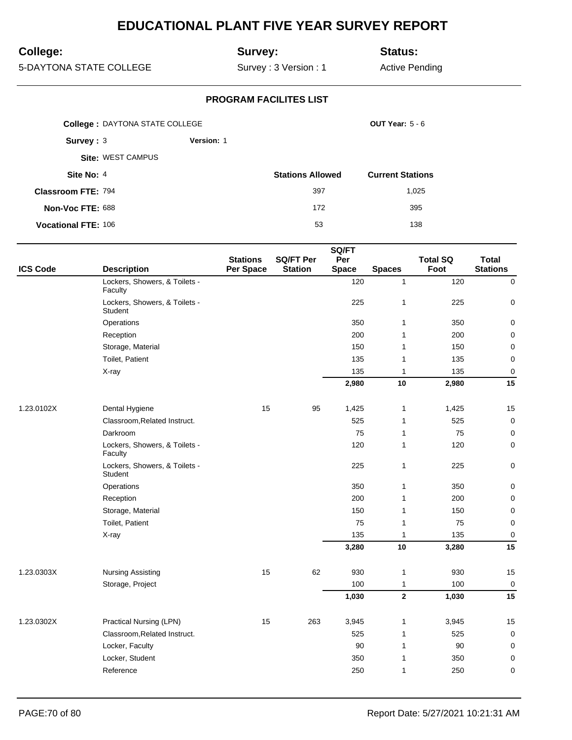## **College:**

## **Survey:**

**Status:**

5-DAYTONA STATE COLLEGE

Survey : 3 Version : 1

Active Pending

|                            | <b>College: DAYTONA STATE COLLEGE</b> |            |                         | <b>OUT Year: 5 - 6</b>  |  |  |
|----------------------------|---------------------------------------|------------|-------------------------|-------------------------|--|--|
| Survey: $3$                |                                       | Version: 1 |                         |                         |  |  |
|                            | <b>Site: WEST CAMPUS</b>              |            |                         |                         |  |  |
| Site No: 4                 |                                       |            | <b>Stations Allowed</b> | <b>Current Stations</b> |  |  |
| <b>Classroom FTE: 794</b>  |                                       |            | 397                     | 1.025                   |  |  |
| Non-Voc FTE: 688           |                                       |            | 172                     | 395                     |  |  |
| <b>Vocational FTE: 106</b> |                                       |            | 53                      | 138                     |  |  |

|                 |                                          |                              |                                    | SQ/FT               |               |                         |                                 |
|-----------------|------------------------------------------|------------------------------|------------------------------------|---------------------|---------------|-------------------------|---------------------------------|
| <b>ICS Code</b> | <b>Description</b>                       | <b>Stations</b><br>Per Space | <b>SQ/FT Per</b><br><b>Station</b> | Per<br><b>Space</b> | <b>Spaces</b> | <b>Total SQ</b><br>Foot | <b>Total</b><br><b>Stations</b> |
|                 | Lockers, Showers, & Toilets -<br>Faculty |                              |                                    | 120                 | $\mathbf{1}$  | 120                     | $\mathsf{O}\xspace$             |
|                 | Lockers, Showers, & Toilets -<br>Student |                              |                                    | 225                 | $\mathbf{1}$  | 225                     | $\mathbf 0$                     |
|                 | Operations                               |                              |                                    | 350                 | 1             | 350                     | $\mathbf 0$                     |
|                 | Reception                                |                              |                                    | 200                 | $\mathbf{1}$  | 200                     | 0                               |
|                 | Storage, Material                        |                              |                                    | 150                 | $\mathbf{1}$  | 150                     | $\pmb{0}$                       |
|                 | Toilet, Patient                          |                              |                                    | 135                 | 1             | 135                     | $\pmb{0}$                       |
|                 | X-ray                                    |                              |                                    | 135                 | 1             | 135                     | $\mathbf 0$                     |
|                 |                                          |                              |                                    | 2,980               | 10            | 2,980                   | 15                              |
| 1.23.0102X      | Dental Hygiene                           | 15                           | 95                                 | 1,425               | $\mathbf{1}$  | 1,425                   | 15                              |
|                 | Classroom, Related Instruct.             |                              |                                    | 525                 | 1             | 525                     | $\mathbf 0$                     |
|                 | Darkroom                                 |                              |                                    | 75                  | 1             | 75                      | 0                               |
|                 | Lockers, Showers, & Toilets -<br>Faculty |                              |                                    | 120                 | 1             | 120                     | $\mathbf 0$                     |
|                 | Lockers, Showers, & Toilets -<br>Student |                              |                                    | 225                 | 1             | 225                     | 0                               |
|                 | Operations                               |                              |                                    | 350                 | 1             | 350                     | 0                               |
|                 | Reception                                |                              |                                    | 200                 | 1             | 200                     | $\pmb{0}$                       |
|                 | Storage, Material                        |                              |                                    | 150                 | 1             | 150                     | $\pmb{0}$                       |
|                 | Toilet, Patient                          |                              |                                    | 75                  | 1             | 75                      | $\mathbf 0$                     |
|                 | X-ray                                    |                              |                                    | 135                 | 1             | 135                     | $\mathbf 0$                     |
|                 |                                          |                              |                                    | 3,280               | $10$          | 3,280                   | 15                              |
| 1.23.0303X      | <b>Nursing Assisting</b>                 | 15                           | 62                                 | 930                 | $\mathbf{1}$  | 930                     | 15                              |
|                 | Storage, Project                         |                              |                                    | 100                 | 1             | 100                     | $\mathbf 0$                     |
|                 |                                          |                              |                                    | 1,030               | $\mathbf{2}$  | 1,030                   | 15                              |
| 1.23.0302X      | Practical Nursing (LPN)                  | 15                           | 263                                | 3,945               | 1             | 3,945                   | 15                              |
|                 | Classroom, Related Instruct.             |                              |                                    | 525                 | $\mathbf{1}$  | 525                     | $\mathbf 0$                     |
|                 | Locker, Faculty                          |                              |                                    | 90                  | 1             | 90                      | 0                               |
|                 | Locker, Student                          |                              |                                    | 350                 | $\mathbf{1}$  | 350                     | $\pmb{0}$                       |
|                 | Reference                                |                              |                                    | 250                 | 1             | 250                     | $\mathbf 0$                     |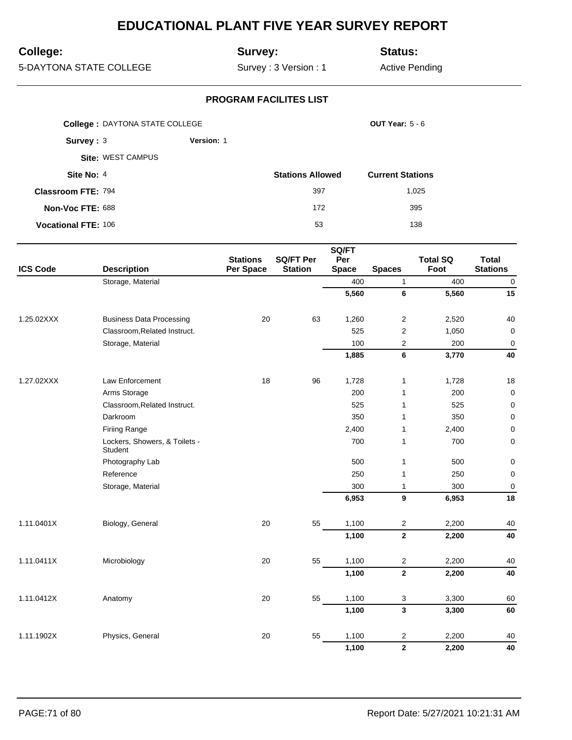## **College:**

## **Survey:**

**Status:**

5-DAYTONA STATE COLLEGE

Survey : 3 Version : 1

Active Pending

|                            | <b>College: DAYTONA STATE COLLEGE</b> |                   |                         | <b>OUT Year: 5 - 6</b>  |
|----------------------------|---------------------------------------|-------------------|-------------------------|-------------------------|
| Survey: $3$                |                                       | <b>Version: 1</b> |                         |                         |
|                            | Site: WEST CAMPUS                     |                   |                         |                         |
| Site No: 4                 |                                       |                   | <b>Stations Allowed</b> | <b>Current Stations</b> |
| <b>Classroom FTE: 794</b>  |                                       |                   | 397                     | 1,025                   |
| Non-Voc FTE: 688           |                                       |                   | 172                     | 395                     |
| <b>Vocational FTE: 106</b> |                                       |                   | 53                      | 138                     |

|                 |                                          |                              |                                    | SQ/FT               |                         |                         |                                 |
|-----------------|------------------------------------------|------------------------------|------------------------------------|---------------------|-------------------------|-------------------------|---------------------------------|
| <b>ICS Code</b> | <b>Description</b>                       | <b>Stations</b><br>Per Space | <b>SQ/FT Per</b><br><b>Station</b> | Per<br><b>Space</b> | <b>Spaces</b>           | <b>Total SQ</b><br>Foot | <b>Total</b><br><b>Stations</b> |
|                 | Storage, Material                        |                              |                                    | 400                 | $\mathbf{1}$            | 400                     | $\mathbf 0$                     |
|                 |                                          |                              |                                    | 5,560               | 6                       | 5,560                   | 15                              |
| 1.25.02XXX      | <b>Business Data Processing</b>          | 20                           | 63                                 | 1,260               | $\overline{2}$          | 2,520                   | 40                              |
|                 | Classroom, Related Instruct.             |                              |                                    | 525                 | $\overline{2}$          | 1,050                   | $\pmb{0}$                       |
|                 | Storage, Material                        |                              |                                    | 100                 | 2                       | 200                     | $\mathbf 0$                     |
|                 |                                          |                              |                                    | 1,885               | 6                       | 3,770                   | 40                              |
| 1.27.02XXX      | Law Enforcement                          | 18                           | 96                                 | 1,728               | 1                       | 1,728                   | 18                              |
|                 | Arms Storage                             |                              |                                    | 200                 | 1                       | 200                     | $\mathbf 0$                     |
|                 | Classroom, Related Instruct.             |                              |                                    | 525                 | $\mathbf{1}$            | 525                     | 0                               |
|                 | Darkroom                                 |                              |                                    | 350                 | 1                       | 350                     | 0                               |
|                 | <b>Firiing Range</b>                     |                              |                                    | 2,400               | 1                       | 2,400                   | 0                               |
|                 | Lockers, Showers, & Toilets -<br>Student |                              |                                    | 700                 | $\mathbf{1}$            | 700                     | 0                               |
|                 | Photography Lab                          |                              |                                    | 500                 | $\mathbf{1}$            | 500                     | 0                               |
|                 | Reference                                |                              |                                    | 250                 | 1                       | 250                     | $\pmb{0}$                       |
|                 | Storage, Material                        |                              |                                    | 300                 | 1                       | 300                     | $\mathbf 0$                     |
|                 |                                          |                              |                                    | 6,953               | 9                       | 6,953                   | 18                              |
| 1.11.0401X      | Biology, General                         | 20                           | 55                                 | 1,100               | $\overline{2}$          | 2,200                   | 40                              |
|                 |                                          |                              |                                    | 1,100               | $\overline{2}$          | 2,200                   | 40                              |
| 1.11.0411X      | Microbiology                             | 20                           | 55                                 | 1,100               | $\boldsymbol{2}$        | 2,200                   | 40                              |
|                 |                                          |                              |                                    | 1,100               | $\mathbf{2}$            | 2,200                   | 40                              |
| 1.11.0412X      | Anatomy                                  | 20                           | 55                                 | 1,100               | 3                       | 3,300                   | 60                              |
|                 |                                          |                              |                                    | 1,100               | $\mathbf{3}$            | 3,300                   | 60                              |
| 1.11.1902X      | Physics, General                         | 20                           | 55                                 | 1,100               | 2                       | 2,200                   | 40                              |
|                 |                                          |                              |                                    | 1,100               | $\overline{\mathbf{2}}$ | 2,200                   | 40                              |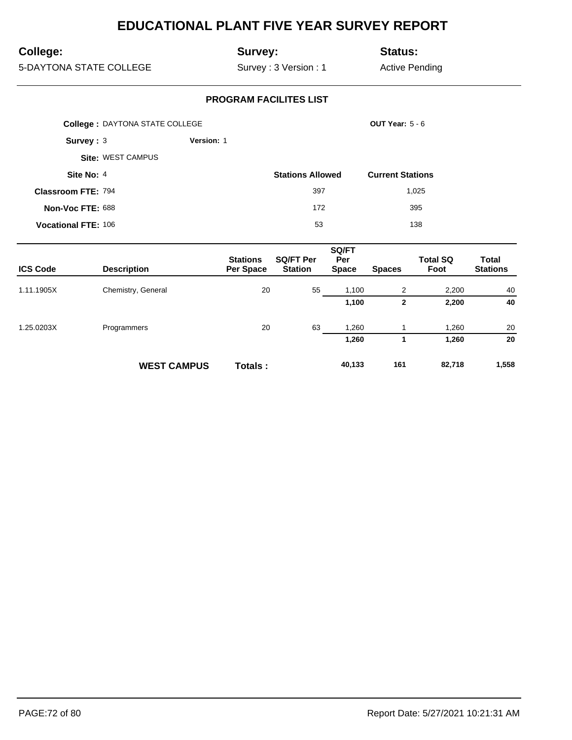## **College:**

## **Survey:**

**Status:**

5-DAYTONA STATE COLLEGE

Survey : 3 Version : 1

Active Pending

|                            | <b>College: DAYTONA STATE COLLEGE</b> |            |                         | <b>OUT Year: 5 - 6</b>  |
|----------------------------|---------------------------------------|------------|-------------------------|-------------------------|
| Survey: 3                  |                                       | Version: 1 |                         |                         |
|                            | <b>Site: WEST CAMPUS</b>              |            |                         |                         |
| Site No: 4                 |                                       |            | <b>Stations Allowed</b> | <b>Current Stations</b> |
| <b>Classroom FTE: 794</b>  |                                       |            | 397                     | 1,025                   |
| Non-Voc FTE: 688           |                                       |            | 172                     | 395                     |
| <b>Vocational FTE: 106</b> |                                       |            | 53                      | 138                     |

| <b>ICS Code</b> | <b>Description</b> | <b>Stations</b><br>Per Space | <b>SQ/FT Per</b><br><b>Station</b> | SQ/FT<br>Per<br><b>Space</b> | <b>Spaces</b> | <b>Total SQ</b><br>Foot | <b>Total</b><br><b>Stations</b> |
|-----------------|--------------------|------------------------------|------------------------------------|------------------------------|---------------|-------------------------|---------------------------------|
| 1.11.1905X      | Chemistry, General | 20                           | 55                                 | 1,100                        | 2             | 2,200                   | 40                              |
|                 |                    |                              |                                    | 1,100                        | $\mathbf{2}$  | 2,200                   | 40                              |
| 1.25.0203X      | Programmers        | 20                           | 63                                 | 1,260                        |               | 1,260                   | 20                              |
|                 |                    |                              |                                    | 1,260                        |               | 1,260                   | 20                              |
|                 | <b>WEST CAMPUS</b> | <b>Totals</b> :              |                                    | 40,133                       | 161           | 82,718                  | 1,558                           |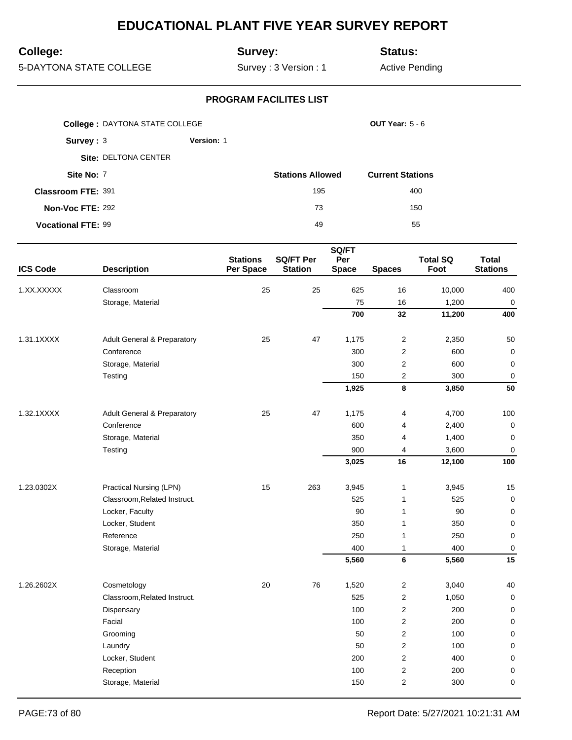# **College:**

## **Survey:**

**Status:**

5-DAYTONA STATE COLLEGE

Survey : 3 Version : 1

Active Pending

|                           | <b>College: DAYTONA STATE COLLEGE</b> |                   |                         | <b>OUT Year: 5 - 6</b>  |
|---------------------------|---------------------------------------|-------------------|-------------------------|-------------------------|
| Survey: $3$               |                                       | <b>Version: 1</b> |                         |                         |
|                           | Site: DELTONA CENTER                  |                   |                         |                         |
| Site No: 7                |                                       |                   | <b>Stations Allowed</b> | <b>Current Stations</b> |
| <b>Classroom FTE: 391</b> |                                       |                   | 195                     | 400                     |
| Non-Voc FTE: 292          |                                       |                   | 73                      | 150                     |
| <b>Vocational FTE: 99</b> |                                       |                   | 49                      | 55                      |

|                 |                                        | SQ/FT                        |                                    |                     |                         |                         |                                 |  |
|-----------------|----------------------------------------|------------------------------|------------------------------------|---------------------|-------------------------|-------------------------|---------------------------------|--|
| <b>ICS Code</b> | <b>Description</b>                     | <b>Stations</b><br>Per Space | <b>SQ/FT Per</b><br><b>Station</b> | Per<br><b>Space</b> | <b>Spaces</b>           | <b>Total SQ</b><br>Foot | <b>Total</b><br><b>Stations</b> |  |
| 1.XX.XXXXX      | Classroom                              | 25                           | 25                                 | 625                 | 16                      | 10,000                  | 400                             |  |
|                 | Storage, Material                      |                              |                                    | 75                  | 16                      | 1,200                   | $\mathbf 0$                     |  |
|                 |                                        |                              |                                    | 700                 | 32                      | 11,200                  | 400                             |  |
| 1.31.1XXXX      | <b>Adult General &amp; Preparatory</b> | 25                           | 47                                 | 1,175               | $\sqrt{2}$              | 2,350                   | 50                              |  |
|                 | Conference                             |                              |                                    | 300                 | $\overline{2}$          | 600                     | 0                               |  |
|                 | Storage, Material                      |                              |                                    | 300                 | $\overline{c}$          | 600                     | $\mathbf 0$                     |  |
|                 | Testing                                |                              |                                    | 150                 | $\overline{\mathbf{c}}$ | 300                     | $\pmb{0}$                       |  |
|                 |                                        |                              |                                    | 1,925               | 8                       | 3,850                   | 50                              |  |
| 1.32.1XXXX      | <b>Adult General &amp; Preparatory</b> | 25                           | 47                                 | 1,175               | 4                       | 4,700                   | 100                             |  |
|                 | Conference                             |                              |                                    | 600                 | 4                       | 2,400                   | $\mathbf 0$                     |  |
|                 | Storage, Material                      |                              |                                    | 350                 | 4                       | 1,400                   | $\mathbf 0$                     |  |
|                 | Testing                                |                              |                                    | 900                 | 4                       | 3,600                   | 0                               |  |
|                 |                                        |                              |                                    | 3,025               | 16                      | 12,100                  | 100                             |  |
| 1.23.0302X      | Practical Nursing (LPN)                | 15                           | 263                                | 3,945               | 1                       | 3,945                   | 15                              |  |
|                 | Classroom, Related Instruct.           |                              |                                    | 525                 | $\mathbf{1}$            | 525                     | $\mathbf 0$                     |  |
|                 | Locker, Faculty                        |                              |                                    | 90                  | 1                       | 90                      | $\mathbf 0$                     |  |
|                 | Locker, Student                        |                              |                                    | 350                 | $\mathbf{1}$            | 350                     | $\mathbf 0$                     |  |
|                 | Reference                              |                              |                                    | 250                 | 1                       | 250                     | $\mathbf 0$                     |  |
|                 | Storage, Material                      |                              |                                    | 400                 | $\mathbf{1}$            | 400                     | $\mathbf 0$                     |  |
|                 |                                        |                              |                                    | 5,560               | $\bf 6$                 | 5,560                   | 15                              |  |
| 1.26.2602X      | Cosmetology                            | 20                           | 76                                 | 1,520               | $\overline{c}$          | 3,040                   | 40                              |  |
|                 | Classroom, Related Instruct.           |                              |                                    | 525                 | $\overline{2}$          | 1,050                   | $\mathbf 0$                     |  |
|                 | Dispensary                             |                              |                                    | 100                 | $\overline{c}$          | 200                     | $\mathbf 0$                     |  |
|                 | Facial                                 |                              |                                    | 100                 | $\overline{2}$          | 200                     | $\mathbf 0$                     |  |
|                 | Grooming                               |                              |                                    | 50                  | $\mathbf{2}$            | 100                     | $\mathbf 0$                     |  |
|                 | Laundry                                |                              |                                    | 50                  | $\overline{2}$          | 100                     | $\mathbf 0$                     |  |
|                 | Locker, Student                        |                              |                                    | 200                 | 2                       | 400                     | $\mathbf 0$                     |  |
|                 | Reception                              |                              |                                    | 100                 | $\boldsymbol{2}$        | 200                     | $\mathbf 0$                     |  |
|                 | Storage, Material                      |                              |                                    | 150                 | $\overline{2}$          | 300                     | $\mathbf 0$                     |  |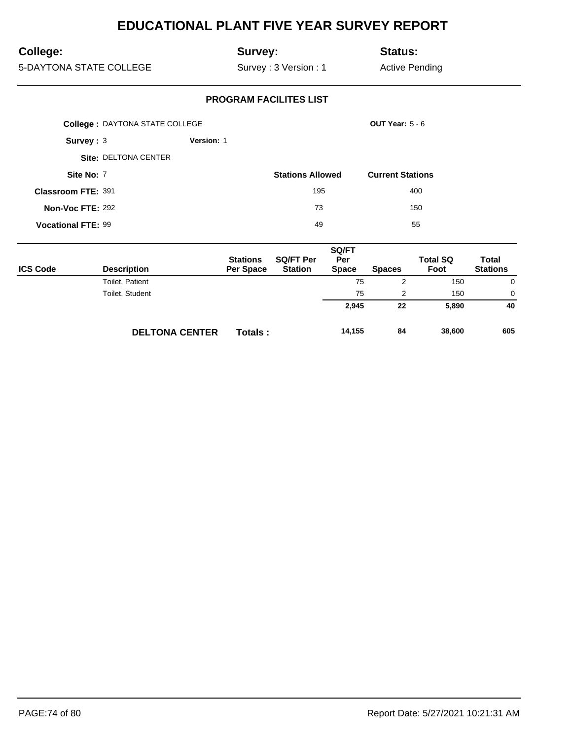# **College:**

## **Survey:**

**Status:**

5-DAYTONA STATE COLLEGE

Survey : 3 Version : 1

Active Pending

|                           | <b>College: DAYTONA STATE COLLEGE</b> |            |                         | <b>OUT Year: 5 - 6</b>  |
|---------------------------|---------------------------------------|------------|-------------------------|-------------------------|
| Survey: $3$               |                                       | Version: 1 |                         |                         |
|                           | Site: DELTONA CENTER                  |            |                         |                         |
| Site No: 7                |                                       |            | <b>Stations Allowed</b> | <b>Current Stations</b> |
| Classroom FTE: 391        |                                       |            | 195                     | 400                     |
| Non-Voc FTE: 292          |                                       |            | 73                      | 150                     |
| <b>Vocational FTE: 99</b> |                                       |            | 49                      | 55                      |

| <b>ICS Code</b> | <b>Description</b>    | <b>Stations</b><br><b>Per Space</b> | <b>SQ/FT Per</b><br><b>Station</b> | SQ/FT<br>Per<br><b>Space</b> | <b>Spaces</b> | <b>Total SQ</b><br>Foot | Total<br><b>Stations</b> |
|-----------------|-----------------------|-------------------------------------|------------------------------------|------------------------------|---------------|-------------------------|--------------------------|
|                 | Toilet, Patient       |                                     |                                    | 75                           | 2             | 150                     | 0                        |
|                 | Toilet, Student       |                                     |                                    | 75                           | 2             | 150                     | $\Omega$                 |
|                 |                       |                                     |                                    | 2,945                        | 22            | 5,890                   | 40                       |
|                 | <b>DELTONA CENTER</b> | <b>Totals:</b>                      |                                    | 14,155                       | 84            | 38,600                  | 605                      |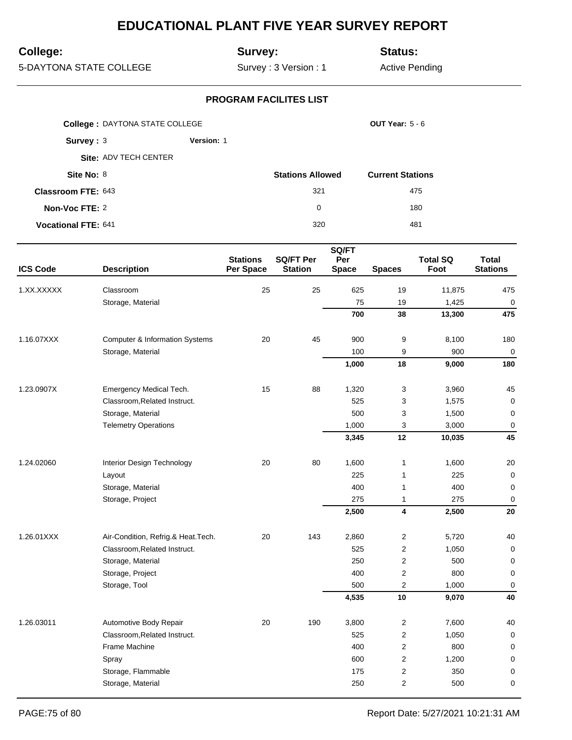# **College:**

## **Survey:**

**Status:**

5-DAYTONA STATE COLLEGE

Survey : 3 Version : 1

Active Pending

|                            | <b>College: DAYTONA STATE COLLEGE</b> |                   |                         | OUT Year: $5 - 6$       |
|----------------------------|---------------------------------------|-------------------|-------------------------|-------------------------|
| Survey: 3                  |                                       | <b>Version: 1</b> |                         |                         |
|                            | Site: ADV TECH CENTER                 |                   |                         |                         |
| Site No: 8                 |                                       |                   | <b>Stations Allowed</b> | <b>Current Stations</b> |
| <b>Classroom FTE: 643</b>  |                                       |                   | 321                     | 475                     |
| Non-Voc FTE: 2             |                                       |                   | $\Omega$                | 180                     |
| <b>Vocational FTE: 641</b> |                                       |                   | 320                     | 481                     |

|                 |                                           |                              |                                    | SQ/FT               |                         |                         |                                 |
|-----------------|-------------------------------------------|------------------------------|------------------------------------|---------------------|-------------------------|-------------------------|---------------------------------|
| <b>ICS Code</b> | <b>Description</b>                        | <b>Stations</b><br>Per Space | <b>SQ/FT Per</b><br><b>Station</b> | Per<br><b>Space</b> | <b>Spaces</b>           | <b>Total SQ</b><br>Foot | <b>Total</b><br><b>Stations</b> |
| 1.XX.XXXXX      | Classroom                                 | 25                           | 25                                 | 625                 | 19                      | 11,875                  | 475                             |
|                 | Storage, Material                         |                              |                                    | 75                  | 19                      | 1,425                   | $\overline{0}$                  |
|                 |                                           |                              |                                    | 700                 | 38                      | 13,300                  | 475                             |
| 1.16.07XXX      | <b>Computer &amp; Information Systems</b> | 20                           | 45                                 | 900                 | 9                       | 8,100                   | 180                             |
|                 | Storage, Material                         |                              |                                    | 100                 | 9                       | 900                     | $\mathbf 0$                     |
|                 |                                           |                              |                                    | 1,000               | 18                      | 9,000                   | 180                             |
| 1.23.0907X      | Emergency Medical Tech.                   | 15                           | 88                                 | 1,320               | 3                       | 3,960                   | 45                              |
|                 | Classroom, Related Instruct.              |                              |                                    | 525                 | 3                       | 1,575                   | $\mathbf 0$                     |
|                 | Storage, Material                         |                              |                                    | 500                 | 3                       | 1,500                   | $\mathbf 0$                     |
|                 | <b>Telemetry Operations</b>               |                              |                                    | 1,000               | 3                       | 3,000                   | $\mathbf 0$                     |
|                 |                                           |                              |                                    | 3,345               | 12                      | 10,035                  | 45                              |
| 1.24.02060      | Interior Design Technology                | 20                           | 80                                 | 1,600               | $\mathbf{1}$            | 1,600                   | 20                              |
|                 | Layout                                    |                              |                                    | 225                 | $\mathbf{1}$            | 225                     | $\mathbf 0$                     |
|                 | Storage, Material                         |                              |                                    | 400                 | $\mathbf{1}$            | 400                     | 0                               |
|                 | Storage, Project                          |                              |                                    | 275                 | $\mathbf{1}$            | 275                     | 0                               |
|                 |                                           |                              |                                    | 2,500               | $\overline{\mathbf{4}}$ | 2,500                   | 20                              |
| 1.26.01XXX      | Air-Condition, Refrig.& Heat.Tech.        | 20                           | 143                                | 2,860               | $\overline{c}$          | 5,720                   | 40                              |
|                 | Classroom, Related Instruct.              |                              |                                    | 525                 | $\overline{2}$          | 1,050                   | $\pmb{0}$                       |
|                 | Storage, Material                         |                              |                                    | 250                 | $\overline{2}$          | 500                     | 0                               |
|                 | Storage, Project                          |                              |                                    | 400                 | $\boldsymbol{2}$        | 800                     | $\pmb{0}$                       |
|                 | Storage, Tool                             |                              |                                    | 500                 | $\overline{2}$          | 1,000                   | $\mathbf 0$                     |
|                 |                                           |                              |                                    | 4,535               | 10                      | 9,070                   | 40                              |
| 1.26.03011      | Automotive Body Repair                    | 20                           | 190                                | 3,800               | $\overline{\mathbf{c}}$ | 7,600                   | 40                              |
|                 | Classroom, Related Instruct.              |                              |                                    | 525                 | $\overline{2}$          | 1,050                   | 0                               |
|                 | Frame Machine                             |                              |                                    | 400                 | $\overline{2}$          | 800                     | 0                               |
|                 | Spray                                     |                              |                                    | 600                 | $\sqrt{2}$              | 1,200                   | 0                               |
|                 | Storage, Flammable                        |                              |                                    | 175                 | $\overline{2}$          | 350                     | $\pmb{0}$                       |
|                 | Storage, Material                         |                              |                                    | 250                 | $\overline{2}$          | 500                     | 0                               |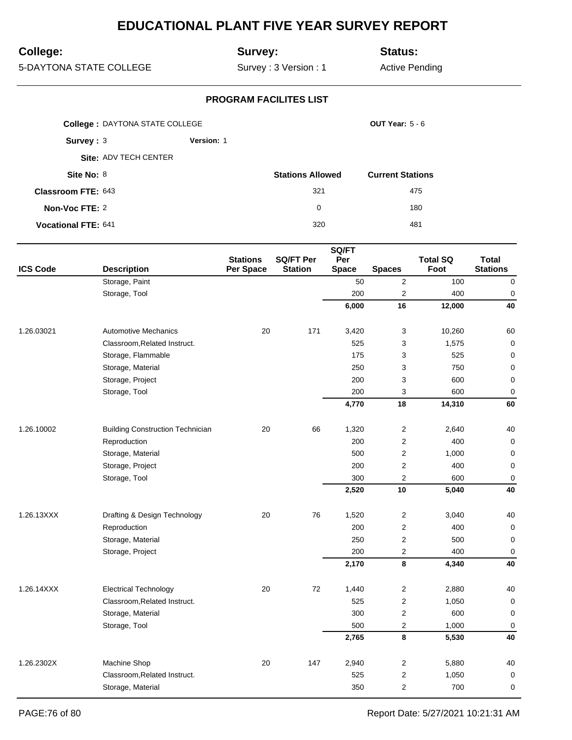# **College:**

## **Survey:**

**Status:**

5-DAYTONA STATE COLLEGE

Survey : 3 Version : 1

Active Pending

| <b>College: DAYTONA STATE COLLEGE</b> |                       |                   |                         | OUT Year: $5 - 6$       |
|---------------------------------------|-----------------------|-------------------|-------------------------|-------------------------|
| Survey: $3$                           |                       | <b>Version: 1</b> |                         |                         |
|                                       | Site: ADV TECH CENTER |                   |                         |                         |
| Site No: 8                            |                       |                   | <b>Stations Allowed</b> | <b>Current Stations</b> |
| <b>Classroom FTE: 643</b>             |                       |                   | 321                     | 475                     |
| Non-Voc FTE: 2                        |                       |                   | 0                       | 180                     |
| <b>Vocational FTE: 641</b>            |                       |                   | 320                     | 481                     |

|                 |                                         |                              |                                    | SQ/FT               |                         |                         |                                 |
|-----------------|-----------------------------------------|------------------------------|------------------------------------|---------------------|-------------------------|-------------------------|---------------------------------|
| <b>ICS Code</b> | <b>Description</b>                      | <b>Stations</b><br>Per Space | <b>SQ/FT Per</b><br><b>Station</b> | Per<br><b>Space</b> | <b>Spaces</b>           | <b>Total SQ</b><br>Foot | <b>Total</b><br><b>Stations</b> |
|                 | Storage, Paint                          |                              |                                    | 50                  | $\overline{2}$          | 100                     | $\mathbf 0$                     |
|                 | Storage, Tool                           |                              |                                    | 200                 | $\overline{\mathbf{c}}$ | 400                     | $\mathbf 0$                     |
|                 |                                         |                              |                                    | 6,000               | 16                      | 12,000                  | 40                              |
| 1.26.03021      | <b>Automotive Mechanics</b>             | 20                           | 171                                | 3,420               | 3                       | 10,260                  | 60                              |
|                 | Classroom, Related Instruct.            |                              |                                    | 525                 | 3                       | 1,575                   | $\pmb{0}$                       |
|                 | Storage, Flammable                      |                              |                                    | 175                 | 3                       | 525                     | 0                               |
|                 | Storage, Material                       |                              |                                    | 250                 | 3                       | 750                     | $\mathbf 0$                     |
|                 | Storage, Project                        |                              |                                    | 200                 | 3                       | 600                     | $\mathbf 0$                     |
|                 | Storage, Tool                           |                              |                                    | 200                 | 3                       | 600                     | $\pmb{0}$                       |
|                 |                                         |                              |                                    | 4,770               | 18                      | 14,310                  | 60                              |
| 1.26.10002      | <b>Building Construction Technician</b> | 20                           | 66                                 | 1,320               | $\sqrt{2}$              | 2,640                   | 40                              |
|                 | Reproduction                            |                              |                                    | 200                 | $\overline{c}$          | 400                     | 0                               |
|                 | Storage, Material                       |                              |                                    | 500                 | $\overline{2}$          | 1,000                   | 0                               |
|                 | Storage, Project                        |                              |                                    | 200                 | $\overline{2}$          | 400                     | 0                               |
|                 | Storage, Tool                           |                              |                                    | 300                 | $\overline{2}$          | 600                     | $\mathbf 0$                     |
|                 |                                         |                              |                                    | 2,520               | 10                      | 5,040                   | 40                              |
| 1.26.13XXX      | Drafting & Design Technology            | 20                           | 76                                 | 1,520               | $\overline{2}$          | 3,040                   | 40                              |
|                 | Reproduction                            |                              |                                    | 200                 | $\boldsymbol{2}$        | 400                     | $\mathbf 0$                     |
|                 | Storage, Material                       |                              |                                    | 250                 | $\overline{2}$          | 500                     | $\mathbf 0$                     |
|                 | Storage, Project                        |                              |                                    | 200                 | $\mathbf 2$             | 400                     | $\mathbf 0$                     |
|                 |                                         |                              |                                    | 2,170               | 8                       | 4,340                   | 40                              |
| 1.26.14XXX      | <b>Electrical Technology</b>            | 20                           | 72                                 | 1,440               | $\sqrt{2}$              | 2,880                   | 40                              |
|                 | Classroom, Related Instruct.            |                              |                                    | 525                 | $\sqrt{2}$              | 1,050                   | $\mathbf 0$                     |
|                 | Storage, Material                       |                              |                                    | 300                 | $\overline{2}$          | 600                     | 0                               |
|                 | Storage, Tool                           |                              |                                    | 500                 | $\overline{c}$          | 1,000                   | $\mathbf 0$                     |
|                 |                                         |                              |                                    | 2,765               | 8                       | 5,530                   | 40                              |
| 1.26.2302X      | Machine Shop                            | 20                           | 147                                | 2,940               | $\overline{2}$          | 5,880                   | 40                              |
|                 | Classroom, Related Instruct.            |                              |                                    | 525                 | $\mathbf 2$             | 1,050                   | $\mathbf 0$                     |
|                 | Storage, Material                       |                              |                                    | 350                 | $\overline{2}$          | 700                     | 0                               |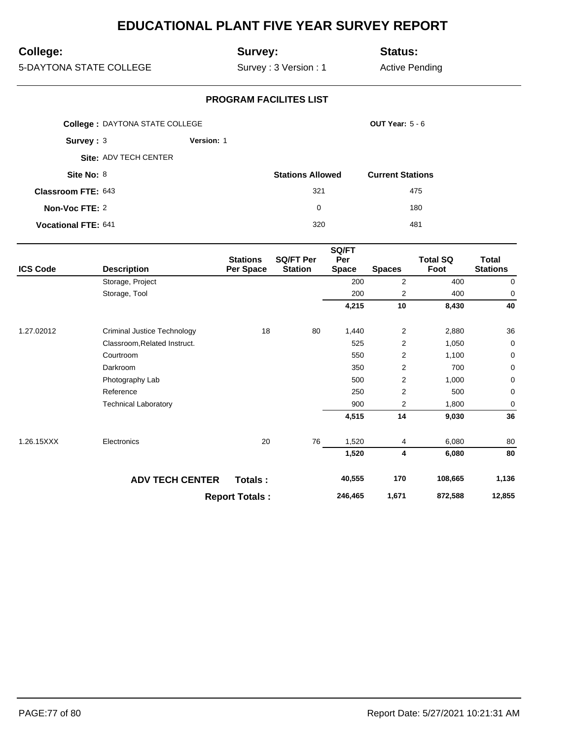# **College:**

## **Survey:**

**Status:**

5-DAYTONA STATE COLLEGE

Survey : 3 Version : 1

Active Pending

|                            | <b>College: DAYTONA STATE COLLEGE</b> |            |                         | OUT Year: $5 - 6$       |
|----------------------------|---------------------------------------|------------|-------------------------|-------------------------|
| Survey: $3$                |                                       | Version: 1 |                         |                         |
|                            | Site: ADV TECH CENTER                 |            |                         |                         |
| Site No: 8                 |                                       |            | <b>Stations Allowed</b> | <b>Current Stations</b> |
| <b>Classroom FTE: 643</b>  |                                       |            | 321                     | 475                     |
| Non-Voc FTE: 2             |                                       |            | $\Omega$                | 180                     |
| <b>Vocational FTE: 641</b> |                                       |            | 320                     | 481                     |

| <b>ICS Code</b> | <b>Description</b>           | <b>Stations</b><br>Per Space | <b>SQ/FT Per</b><br><b>Station</b> | SQ/FT<br>Per<br><b>Space</b> | <b>Spaces</b>           | <b>Total SQ</b><br>Foot | Total<br><b>Stations</b> |
|-----------------|------------------------------|------------------------------|------------------------------------|------------------------------|-------------------------|-------------------------|--------------------------|
|                 | Storage, Project             |                              |                                    | 200                          | 2                       | 400                     | 0                        |
|                 | Storage, Tool                |                              |                                    | 200                          | 2                       | 400                     | 0                        |
|                 |                              |                              |                                    | 4,215                        | 10                      | 8,430                   | 40                       |
| 1.27.02012      | Criminal Justice Technology  | 18                           | 80                                 | 1,440                        | $\overline{c}$          | 2,880                   | 36                       |
|                 | Classroom, Related Instruct. |                              |                                    | 525                          | 2                       | 1,050                   | 0                        |
|                 | Courtroom                    |                              |                                    | 550                          | 2                       | 1,100                   | 0                        |
|                 | Darkroom                     |                              |                                    | 350                          | $\overline{\mathbf{c}}$ | 700                     | 0                        |
|                 | Photography Lab              |                              |                                    | 500                          | $\overline{c}$          | 1,000                   | 0                        |
|                 | Reference                    |                              |                                    | 250                          | 2                       | 500                     | 0                        |
|                 | <b>Technical Laboratory</b>  |                              |                                    | 900                          | 2                       | 1,800                   | 0                        |
|                 |                              |                              |                                    | 4,515                        | 14                      | 9,030                   | 36                       |
| 1.26.15XXX      | Electronics                  | 20                           | 76                                 | 1,520                        | 4                       | 6,080                   | 80                       |
|                 |                              |                              |                                    | 1,520                        | 4                       | 6,080                   | 80                       |
|                 | <b>ADV TECH CENTER</b>       | Totals:                      |                                    | 40,555                       | 170                     | 108,665                 | 1,136                    |
|                 |                              | <b>Report Totals:</b>        |                                    | 246,465                      | 1,671                   | 872,588                 | 12,855                   |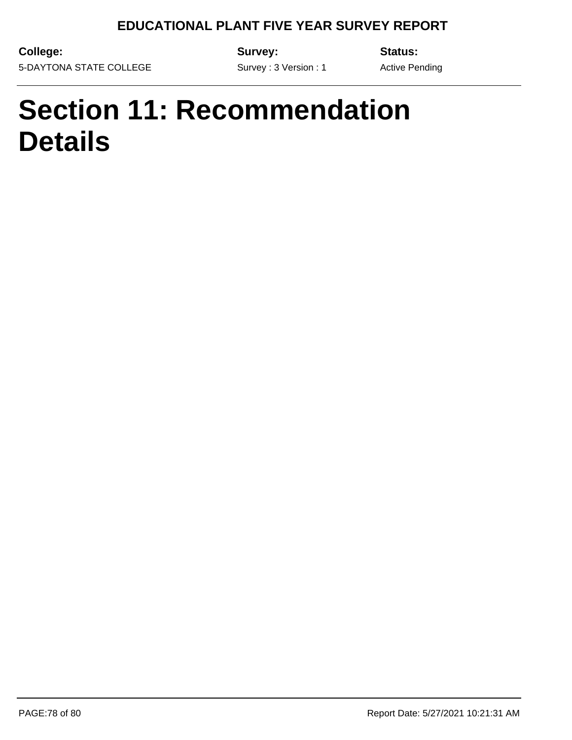Survey : 3 Version : 1

**College:** 5-DAYTONA STATE COLLEGE **Survey:**

**Status:**

Active Pending

# **Section 11: Recommendation Details**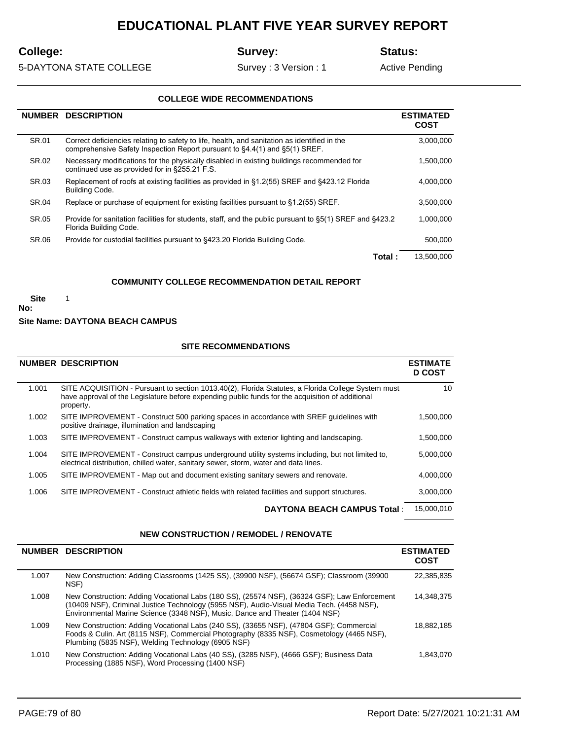# **College:**

**Survey:**

**Status:**

5-DAYTONA STATE COLLEGE

Survey : 3 Version : 1

Active Pending

#### **COLLEGE WIDE RECOMMENDATIONS**

|       | NUMBER DESCRIPTION                                                                                                                                                         | <b>ESTIMATED</b><br>COST |
|-------|----------------------------------------------------------------------------------------------------------------------------------------------------------------------------|--------------------------|
| SR.01 | Correct deficiencies relating to safety to life, health, and sanitation as identified in the<br>comprehensive Safety Inspection Report pursuant to §4.4(1) and §5(1) SREF. | 3,000,000                |
| SR.02 | Necessary modifications for the physically disabled in existing buildings recommended for<br>continued use as provided for in §255.21 F.S.                                 | 1,500,000                |
| SR.03 | Replacement of roofs at existing facilities as provided in §1.2(55) SREF and §423.12 Florida<br><b>Building Code.</b>                                                      | 4,000,000                |
| SR.04 | Replace or purchase of equipment for existing facilities pursuant to §1.2(55) SREF.                                                                                        | 3.500.000                |
| SR.05 | Provide for sanitation facilities for students, staff, and the public pursuant to §5(1) SREF and §423.2<br>Florida Building Code.                                          | 1,000,000                |
| SR.06 | Provide for custodial facilities pursuant to \$423.20 Florida Building Code.                                                                                               | 500.000                  |
|       | Total :                                                                                                                                                                    | 13,500,000               |

#### **COMMUNITY COLLEGE RECOMMENDATION DETAIL REPORT**

 **Site** 

1

**No:**

#### **Site Name: DAYTONA BEACH CAMPUS**

#### **SITE RECOMMENDATIONS**

|       | <b>NUMBER DESCRIPTION</b>                                                                                                                                                                                           | <b>ESTIMATE</b><br><b>D COST</b> |
|-------|---------------------------------------------------------------------------------------------------------------------------------------------------------------------------------------------------------------------|----------------------------------|
| 1.001 | SITE ACQUISITION - Pursuant to section 1013.40(2), Florida Statutes, a Florida College System must<br>have approval of the Legislature before expending public funds for the acquisition of additional<br>property. | 10                               |
| 1.002 | SITE IMPROVEMENT - Construct 500 parking spaces in accordance with SREF quidelines with<br>positive drainage, illumination and landscaping                                                                          | 1.500.000                        |
| 1.003 | SITE IMPROVEMENT - Construct campus walkways with exterior lighting and landscaping.                                                                                                                                | 1,500,000                        |
| 1.004 | SITE IMPROVEMENT - Construct campus underground utility systems including, but not limited to,<br>electrical distribution, chilled water, sanitary sewer, storm, water and data lines.                              | 5.000.000                        |
| 1.005 | SITE IMPROVEMENT - Map out and document existing sanitary sewers and renovate.                                                                                                                                      | 4.000.000                        |
| 1.006 | SITE IMPROVEMENT - Construct athletic fields with related facilities and support structures.                                                                                                                        | 3,000,000                        |
|       | <b>DAYTONA BEACH CAMPUS Total:</b>                                                                                                                                                                                  | 15.000.010                       |

#### **NEW CONSTRUCTION / REMODEL / RENOVATE**

|       | <b>NUMBER DESCRIPTION</b>                                                                                                                                                                                                                                                 | <b>ESTIMATED</b><br>COST |
|-------|---------------------------------------------------------------------------------------------------------------------------------------------------------------------------------------------------------------------------------------------------------------------------|--------------------------|
| 1.007 | New Construction: Adding Classrooms (1425 SS), (39900 NSF), (56674 GSF); Classroom (39900<br>NSF)                                                                                                                                                                         | 22,385,835               |
| 1.008 | New Construction: Adding Vocational Labs (180 SS), (25574 NSF), (36324 GSF); Law Enforcement<br>(10409 NSF), Criminal Justice Technology (5955 NSF), Audio-Visual Media Tech. (4458 NSF),<br>Environmental Marine Science (3348 NSF), Music, Dance and Theater (1404 NSF) | 14.348.375               |
| 1.009 | New Construction: Adding Vocational Labs (240 SS), (33655 NSF), (47804 GSF); Commercial<br>Foods & Culin. Art (8115 NSF), Commercial Photography (8335 NSF), Cosmetology (4465 NSF),<br>Plumbing (5835 NSF), Welding Technology (6905 NSF)                                | 18.882.185               |
| 1.010 | New Construction: Adding Vocational Labs (40 SS), (3285 NSF), (4666 GSF); Business Data<br>Processing (1885 NSF), Word Processing (1400 NSF)                                                                                                                              | 1.843.070                |